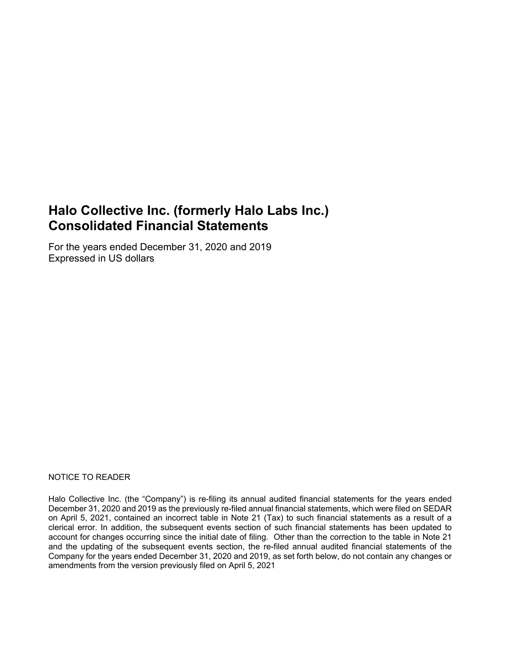# **Halo Collective Inc. (formerly Halo Labs Inc.) Consolidated Financial Statements**

For the years ended December 31, 2020 and 2019 Expressed in US dollars

#### NOTICE TO READER

Halo Collective Inc. (the "Company") is re-filing its annual audited financial statements for the years ended December 31, 2020 and 2019 as the previously re-filed annual financial statements, which were filed on SEDAR on April 5, 2021, contained an incorrect table in Note 21 (Tax) to such financial statements as a result of a clerical error. In addition, the subsequent events section of such financial statements has been updated to account for changes occurring since the initial date of filing. Other than the correction to the table in Note 21 and the updating of the subsequent events section, the re-filed annual audited financial statements of the Company for the years ended December 31, 2020 and 2019, as set forth below, do not contain any changes or amendments from the version previously filed on April 5, 2021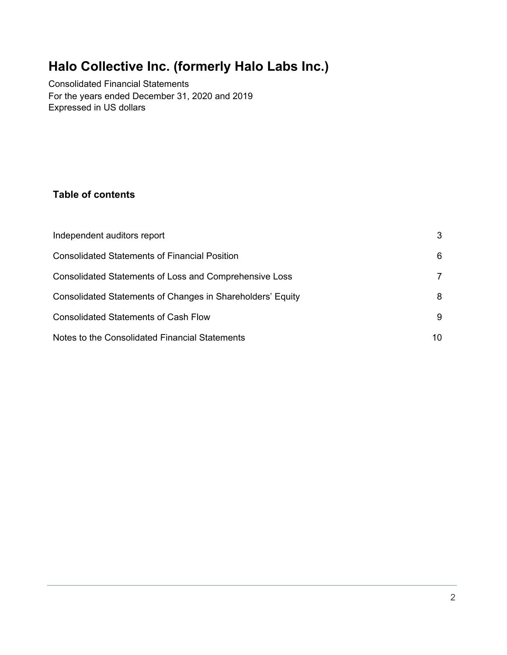# **Halo Collective Inc. (formerly Halo Labs Inc.)**

Consolidated Financial Statements For the years ended December 31, 2020 and 2019 Expressed in US dollars

# **Table of contents**

| Independent auditors report                                | 3              |
|------------------------------------------------------------|----------------|
| <b>Consolidated Statements of Financial Position</b>       | 6              |
| Consolidated Statements of Loss and Comprehensive Loss     | $\overline{7}$ |
| Consolidated Statements of Changes in Shareholders' Equity | 8              |
| <b>Consolidated Statements of Cash Flow</b>                | 9              |
| Notes to the Consolidated Financial Statements             | 10             |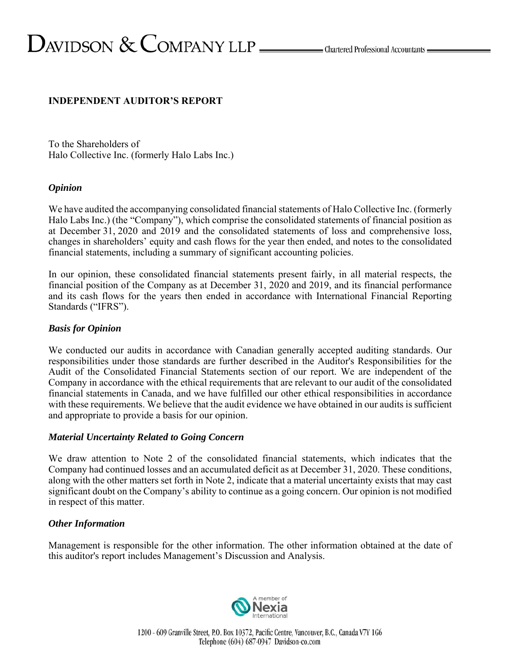# DAVIDSON & COMPANY LLP  $\_$

# **INDEPENDENT AUDITOR'S REPORT**

To the Shareholders of Halo Collective Inc. (formerly Halo Labs Inc.)

#### *Opinion*

We have audited the accompanying consolidated financial statements of Halo Collective Inc. (formerly Halo Labs Inc.) (the "Company"), which comprise the consolidated statements of financial position as at December 31, 2020 and 2019 and the consolidated statements of loss and comprehensive loss, changes in shareholders' equity and cash flows for the year then ended, and notes to the consolidated financial statements, including a summary of significant accounting policies.

In our opinion, these consolidated financial statements present fairly, in all material respects, the financial position of the Company as at December 31, 2020 and 2019, and its financial performance and its cash flows for the years then ended in accordance with International Financial Reporting Standards ("IFRS").

## *Basis for Opinion*

We conducted our audits in accordance with Canadian generally accepted auditing standards. Our responsibilities under those standards are further described in the Auditor's Responsibilities for the Audit of the Consolidated Financial Statements section of our report. We are independent of the Company in accordance with the ethical requirements that are relevant to our audit of the consolidated financial statements in Canada, and we have fulfilled our other ethical responsibilities in accordance with these requirements. We believe that the audit evidence we have obtained in our audits is sufficient and appropriate to provide a basis for our opinion.

## *Material Uncertainty Related to Going Concern*

We draw attention to Note 2 of the consolidated financial statements, which indicates that the Company had continued losses and an accumulated deficit as at December 31, 2020. These conditions, along with the other matters set forth in Note 2, indicate that a material uncertainty exists that may cast significant doubt on the Company's ability to continue as a going concern. Our opinion is not modified in respect of this matter.

## *Other Information*

Management is responsible for the other information. The other information obtained at the date of this auditor's report includes Management's Discussion and Analysis.

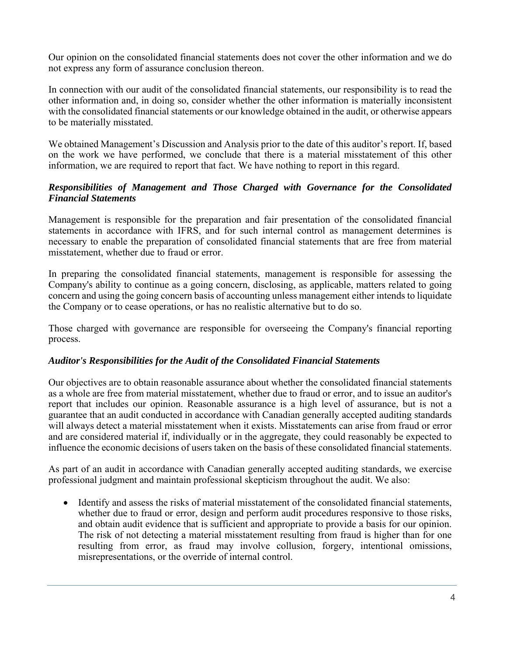Our opinion on the consolidated financial statements does not cover the other information and we do not express any form of assurance conclusion thereon.

In connection with our audit of the consolidated financial statements, our responsibility is to read the other information and, in doing so, consider whether the other information is materially inconsistent with the consolidated financial statements or our knowledge obtained in the audit, or otherwise appears to be materially misstated.

We obtained Management's Discussion and Analysis prior to the date of this auditor's report. If, based on the work we have performed, we conclude that there is a material misstatement of this other information, we are required to report that fact. We have nothing to report in this regard.

#### *Responsibilities of Management and Those Charged with Governance for the Consolidated Financial Statements*

Management is responsible for the preparation and fair presentation of the consolidated financial statements in accordance with IFRS, and for such internal control as management determines is necessary to enable the preparation of consolidated financial statements that are free from material misstatement, whether due to fraud or error.

In preparing the consolidated financial statements, management is responsible for assessing the Company's ability to continue as a going concern, disclosing, as applicable, matters related to going concern and using the going concern basis of accounting unless management either intends to liquidate the Company or to cease operations, or has no realistic alternative but to do so.

Those charged with governance are responsible for overseeing the Company's financial reporting process.

#### *Auditor's Responsibilities for the Audit of the Consolidated Financial Statements*

Our objectives are to obtain reasonable assurance about whether the consolidated financial statements as a whole are free from material misstatement, whether due to fraud or error, and to issue an auditor's report that includes our opinion. Reasonable assurance is a high level of assurance, but is not a guarantee that an audit conducted in accordance with Canadian generally accepted auditing standards will always detect a material misstatement when it exists. Misstatements can arise from fraud or error and are considered material if, individually or in the aggregate, they could reasonably be expected to influence the economic decisions of users taken on the basis of these consolidated financial statements.

As part of an audit in accordance with Canadian generally accepted auditing standards, we exercise professional judgment and maintain professional skepticism throughout the audit. We also:

 Identify and assess the risks of material misstatement of the consolidated financial statements, whether due to fraud or error, design and perform audit procedures responsive to those risks, and obtain audit evidence that is sufficient and appropriate to provide a basis for our opinion. The risk of not detecting a material misstatement resulting from fraud is higher than for one resulting from error, as fraud may involve collusion, forgery, intentional omissions, misrepresentations, or the override of internal control.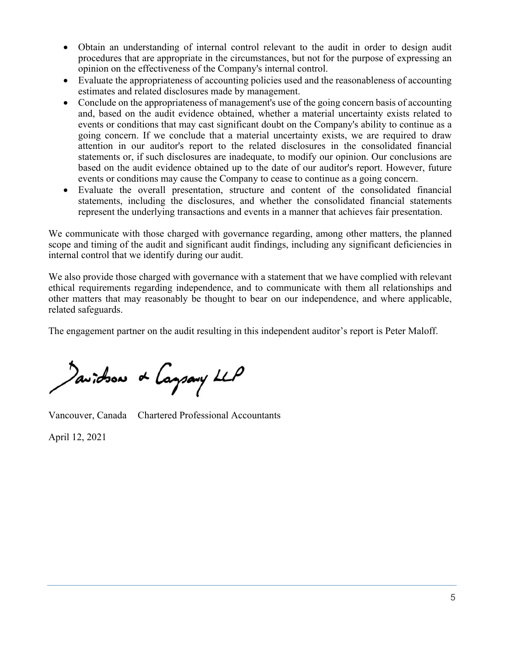- Obtain an understanding of internal control relevant to the audit in order to design audit procedures that are appropriate in the circumstances, but not for the purpose of expressing an opinion on the effectiveness of the Company's internal control.
- Evaluate the appropriateness of accounting policies used and the reasonableness of accounting estimates and related disclosures made by management.
- Conclude on the appropriateness of management's use of the going concern basis of accounting and, based on the audit evidence obtained, whether a material uncertainty exists related to events or conditions that may cast significant doubt on the Company's ability to continue as a going concern. If we conclude that a material uncertainty exists, we are required to draw attention in our auditor's report to the related disclosures in the consolidated financial statements or, if such disclosures are inadequate, to modify our opinion. Our conclusions are based on the audit evidence obtained up to the date of our auditor's report. However, future events or conditions may cause the Company to cease to continue as a going concern.
- Evaluate the overall presentation, structure and content of the consolidated financial statements, including the disclosures, and whether the consolidated financial statements represent the underlying transactions and events in a manner that achieves fair presentation.

We communicate with those charged with governance regarding, among other matters, the planned scope and timing of the audit and significant audit findings, including any significant deficiencies in internal control that we identify during our audit.

We also provide those charged with governance with a statement that we have complied with relevant ethical requirements regarding independence, and to communicate with them all relationships and other matters that may reasonably be thought to bear on our independence, and where applicable, related safeguards.

The engagement partner on the audit resulting in this independent auditor's report is Peter Maloff.

)avidson & Caysary LLP

Vancouver, Canada Chartered Professional Accountants

April 12, 2021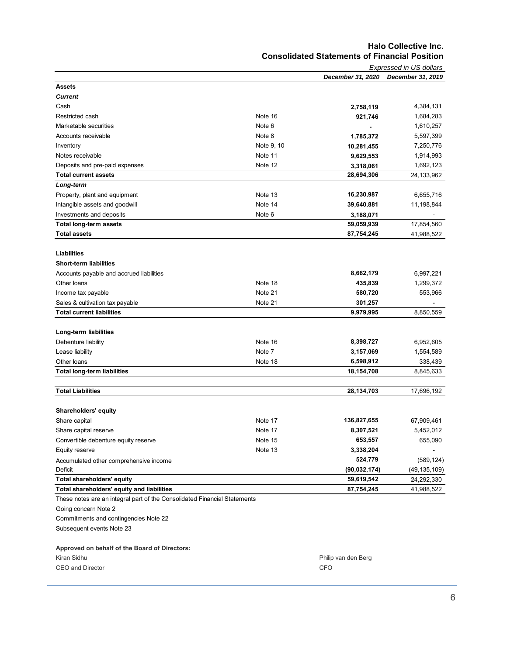#### **Halo Collective Inc. Consolidated Statements of Financial Position**

|                                                                           |            |                          | <b>Expressed in US dollars</b> |
|---------------------------------------------------------------------------|------------|--------------------------|--------------------------------|
|                                                                           |            | December 31, 2020        | December 31, 2019              |
| <b>Assets</b>                                                             |            |                          |                                |
| <b>Current</b>                                                            |            |                          |                                |
| Cash                                                                      |            | 2,758,119                | 4,384,131                      |
| Restricted cash                                                           | Note 16    | 921,746                  | 1,684,283                      |
| Marketable securities                                                     | Note 6     | $\overline{\phantom{0}}$ | 1,610,257                      |
| Accounts receivable                                                       | Note 8     | 1,785,372                | 5,597,399                      |
| Inventory                                                                 | Note 9, 10 | 10,281,455               | 7,250,776                      |
| Notes receivable                                                          | Note 11    | 9,629,553                | 1,914,993                      |
| Deposits and pre-paid expenses                                            | Note 12    | 3,318,061                | 1,692,123                      |
| <b>Total current assets</b>                                               |            | 28,694,306               | 24,133,962                     |
| Long-term                                                                 |            |                          |                                |
| Property, plant and equipment                                             | Note 13    | 16,230,987               | 6,655,716                      |
| Intangible assets and goodwill                                            | Note 14    | 39,640,881               | 11,198,844                     |
| Investments and deposits                                                  | Note 6     | 3,188,071                |                                |
| <b>Total long-term assets</b>                                             |            | 59,059,939               | 17,854,560                     |
| <b>Total assets</b>                                                       |            | 87,754,245               | 41,988,522                     |
|                                                                           |            |                          |                                |
| Liabilities                                                               |            |                          |                                |
| <b>Short-term liabilities</b>                                             |            |                          |                                |
| Accounts payable and accrued liabilities                                  |            | 8,662,179                | 6,997,221                      |
| Other loans                                                               | Note 18    | 435,839                  | 1,299,372                      |
| Income tax payable                                                        | Note 21    | 580,720                  | 553,966                        |
| Sales & cultivation tax payable                                           | Note 21    | 301,257                  |                                |
| <b>Total current liabilities</b>                                          |            | 9,979,995                | 8,850,559                      |
|                                                                           |            |                          |                                |
| Long-term liabilities                                                     |            |                          |                                |
| Debenture liability                                                       | Note 16    | 8,398,727                | 6,952,605                      |
| Lease liability                                                           | Note 7     | 3,157,069                | 1,554,589                      |
| Other loans                                                               | Note 18    | 6,598,912                | 338,439                        |
| <b>Total long-term liabilities</b>                                        |            | 18,154,708               | 8,845,633                      |
| <b>Total Liabilities</b>                                                  |            | 28,134,703               | 17,696,192                     |
|                                                                           |            |                          |                                |
| Shareholders' equity                                                      |            |                          |                                |
| Share capital                                                             | Note 17    | 136,827,655              | 67,909,461                     |
| Share capital reserve                                                     | Note 17    | 8,307,521                | 5,452,012                      |
| Convertible debenture equity reserve                                      | Note 15    | 653,557                  | 655,090                        |
| Equity reserve                                                            | Note 13    | 3,338,204                |                                |
| Accumulated other comprehensive income                                    |            | 524,779                  | (589, 124)                     |
| Deficit                                                                   |            | (90, 032, 174)           | (49, 135, 109)                 |
| Total shareholders' equity                                                |            | 59,619,542               | 24,292,330                     |
| Total shareholders' equity and liabilities                                |            | 87,754,245               | 41,988,522                     |
| These notes are an integral part of the Consolidated Financial Statements |            |                          |                                |
| Going concern Note 2                                                      |            |                          |                                |
| Commitments and contingencies Note 22                                     |            |                          |                                |
| Subsequent events Note 23                                                 |            |                          |                                |
|                                                                           |            |                          |                                |
| Approved on behalf of the Board of Directors:                             |            |                          |                                |

**Approved on behalf of the Board of Directors:**

Kiran Sidhu **Nigeria Sidhu Afrikaan Sidhu Afrikaan Sidhu Afrikaan Sidhu Afrikaan Sidhu Afrikaan Sidhu Afrikaan Sidhu Afrikaan Sidhu Afrikaan Sidhu Afrikaan Sidhu Afrikaan Sidhu Afrikaan Sidhu Afrikaan Sidhu Afrikaan Sidhu** CEO and Director CFO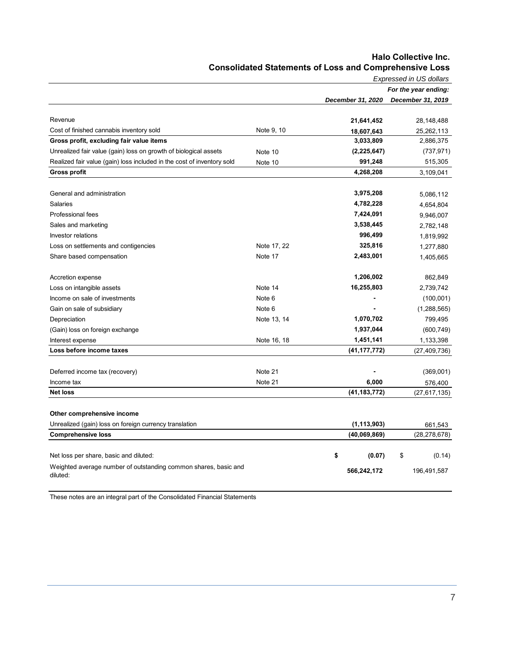|                                                                             |             |                   | Expressed in US dollars |
|-----------------------------------------------------------------------------|-------------|-------------------|-------------------------|
|                                                                             |             |                   | For the year ending:    |
|                                                                             |             | December 31, 2020 | December 31, 2019       |
|                                                                             |             |                   |                         |
| Revenue                                                                     |             | 21,641,452        | 28,148,488              |
| Cost of finished cannabis inventory sold                                    | Note 9, 10  | 18,607,643        | 25,262,113              |
| Gross profit, excluding fair value items                                    |             | 3,033,809         | 2,886,375               |
| Unrealized fair value (gain) loss on growth of biological assets            | Note 10     | (2, 225, 647)     | (737, 971)              |
| Realized fair value (gain) loss included in the cost of inventory sold      | Note 10     | 991,248           | 515,305                 |
| <b>Gross profit</b>                                                         |             | 4,268,208         | 3,109,041               |
|                                                                             |             |                   |                         |
| General and administration                                                  |             | 3,975,208         | 5,086,112               |
| Salaries                                                                    |             | 4,782,228         | 4,654,804               |
| Professional fees                                                           |             | 7,424,091         | 9,946,007               |
| Sales and marketing                                                         |             | 3,538,445         | 2,782,148               |
| Investor relations                                                          |             | 996,499           | 1,819,992               |
| Loss on settlements and contigencies                                        | Note 17, 22 | 325,816           | 1,277,880               |
| Share based compensation                                                    | Note 17     | 2,483,001         | 1,405,665               |
| Accretion expense                                                           |             | 1,206,002         | 862,849                 |
| Loss on intangible assets                                                   | Note 14     | 16,255,803        | 2,739,742               |
| Income on sale of investments                                               | Note 6      |                   | (100, 001)              |
| Gain on sale of subsidiary                                                  | Note 6      |                   | (1, 288, 565)           |
| Depreciation                                                                | Note 13, 14 | 1,070,702         | 799,495                 |
| (Gain) loss on foreign exchange                                             |             | 1,937,044         | (600, 749)              |
| Interest expense                                                            | Note 16, 18 | 1,451,141         | 1,133,398               |
| Loss before income taxes                                                    |             | (41, 177, 772)    | (27, 409, 736)          |
| Deferred income tax (recovery)                                              | Note 21     |                   | (369,001)               |
| Income tax                                                                  | Note 21     | 6,000             | 576,400                 |
| <b>Net loss</b>                                                             |             | (41, 183, 772)    | (27, 617, 135)          |
|                                                                             |             |                   |                         |
| Other comprehensive income                                                  |             |                   |                         |
| Unrealized (gain) loss on foreign currency translation                      |             | (1, 113, 903)     | 661,543                 |
| <b>Comprehensive loss</b>                                                   |             | (40,069,869)      | (28, 278, 678)          |
| Net loss per share, basic and diluted:                                      |             | \$<br>(0.07)      | \$<br>(0.14)            |
|                                                                             |             |                   |                         |
| Weighted average number of outstanding common shares, basic and<br>diluted: |             | 566,242,172       | 196,491,587             |

#### **Halo Collective Inc. Consolidated Statements of Loss and Comprehensive Loss**

These notes are an integral part of the Consolidated Financial Statements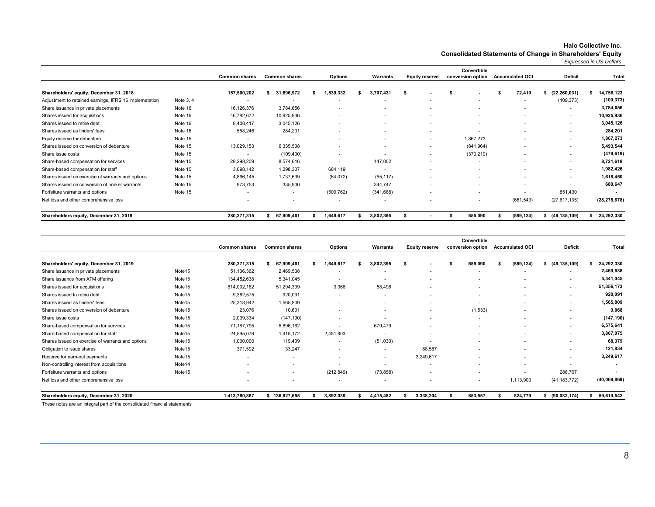#### **Halo Collective Inc.**

**Consolidated Statements of Change in Shareholders' Equity**

*Expressed in US Dollars*

|                                                        |           |                          |                          |                          |                          |     |                          | Convertible              |                          |                |                |
|--------------------------------------------------------|-----------|--------------------------|--------------------------|--------------------------|--------------------------|-----|--------------------------|--------------------------|--------------------------|----------------|----------------|
|                                                        |           | <b>Common shares</b>     | <b>Common shares</b>     | Options                  | Warrants                 |     | <b>Equity reserve</b>    | conversion option        | <b>Accumulated OCI</b>   | Deficit        | Total          |
|                                                        |           |                          |                          |                          |                          |     |                          |                          |                          |                |                |
| Shareholders' equity, December 31, 2018                |           | 157,500,202              | 31,696,972               | 1,539,332                | 3.707.431                | - 5 |                          | \$<br>$\blacksquare$     | 72,419                   | (22, 260, 031) | 14,756,123     |
| Adjustment to retained earnings, IFRS 16 implemetation | Note 3, 4 | $\overline{\phantom{a}}$ |                          | $\overline{\phantom{a}}$ |                          |     | $\overline{\phantom{a}}$ | $\overline{\phantom{a}}$ | $\overline{\phantom{a}}$ | (109, 373)     | (109, 373)     |
| Share issuance in private placements                   | Note 16   | 16,126,376               | 3,784,656                |                          |                          |     |                          |                          |                          |                | 3,784,656      |
| Shares issued for acquisitions                         | Note 16   | 46,782,672               | 10,925,936               | ٠                        |                          |     | ٠                        | $\overline{\phantom{a}}$ |                          | ۰              | 10,925,936     |
| Shares issued to retire debt                           | Note 16   | 8,408,417                | 3,045,126                | ٠                        |                          |     |                          | ۰                        |                          | ۰.             | 3,045,126      |
| Shares issued as finders' fees                         | Note 16   | 558,246                  | 284,201                  |                          |                          |     | $\overline{\phantom{a}}$ | $\overline{\phantom{a}}$ |                          | ۰.             | 284,201        |
| Equity reserve for debenture                           | Note 15   | ٠                        |                          | ۰.                       |                          |     | $\overline{\phantom{a}}$ | 1,867,273                |                          |                | 1,867,273      |
| Shares issued on conversion of debenture               | Note 15   | 13,029,153               | 6,335,508                | ٠                        |                          |     | $\overline{\phantom{a}}$ | (841, 964)               |                          | ۰.             | 5,493,544      |
| Share issue costs                                      | Note 15   | $\overline{\phantom{a}}$ | (109, 400)               | ٠                        |                          |     | $\overline{\phantom{a}}$ | (370, 219)               |                          |                | (479, 619)     |
| Share-based compensation for services                  | Note 15   | 28,298,209               | 8,574,616                | $\overline{\phantom{a}}$ | 147,002                  |     | ٠                        | $\overline{\phantom{a}}$ |                          |                | 8,721,618      |
| Share-based compensation for staff                     | Note 15   | 3,698,142                | 1,298,307                | 684,119                  | $\overline{\phantom{a}}$ |     |                          | $\overline{\phantom{a}}$ |                          |                | 1,982,426      |
| Shares issued on exercise of warrants and options      | Note 15   | 4,896,145                | 1,737,639                | (64, 072)                | (55, 117)                |     | $\overline{\phantom{a}}$ | $\overline{\phantom{a}}$ |                          |                | 1,618,450      |
| Shares issued on conversion of broker warrants         | Note 15   | 973,753                  | 335,900                  | $\overline{\phantom{a}}$ | 344,747                  |     | ٠                        | $\overline{\phantom{a}}$ | $\overline{\phantom{a}}$ |                | 680,647        |
| Forfeiture warrants and options                        | Note 15   | $\overline{\phantom{a}}$ | $\overline{\phantom{a}}$ | (509, 762)               | (341, 668)               |     |                          |                          |                          | 851,430        | . .            |
| Net loss and other comprehensive loss                  |           | $\overline{\phantom{a}}$ |                          | ٠                        |                          |     | ۰                        | ۰                        | (661, 543)               | (27, 617, 135) | (28, 278, 678) |
|                                                        |           |                          |                          |                          |                          |     |                          |                          |                          |                |                |
| Shareholders equity, December 31, 2019                 |           | 280,271,315              | 67,909,461               | 1,649,617                | 3,802,395                |     |                          | 655,090                  | (589, 124)               | (49,135,109)   | 24,292,330     |

|                                       |                |                        | Convertible              |   |                       |    |                          |                          |                          |                      |         |                                                                                                                        |
|---------------------------------------|----------------|------------------------|--------------------------|---|-----------------------|----|--------------------------|--------------------------|--------------------------|----------------------|---------|------------------------------------------------------------------------------------------------------------------------|
| Deficit<br>Total                      |                | <b>Accumulated OCI</b> | conversion option        |   | <b>Equity reserve</b> |    | Warrants                 | <b>Options</b>           | <b>Common shares</b>     | <b>Common shares</b> |         |                                                                                                                        |
| 24,292,330                            | (49,135,109)   | (589, 124)             | 655,090                  | S | $\blacksquare$        | -S | 3,802,395                | 1,649,617                | 67,909,461               | 280,271,315          |         | Shareholders' equity, December 31, 2019                                                                                |
| 2,469,538                             |                |                        |                          |   |                       |    |                          | $\overline{\phantom{a}}$ | 2,469,538                | 51,136,362           | Note15  | Share issuance in private placements                                                                                   |
| 5,341,045                             |                |                        |                          |   |                       |    |                          | $\overline{\phantom{a}}$ | 5,341,045                | 134,452,638          | Note 15 | Share issuance from ATM offering                                                                                       |
| 51,356,173                            |                | $\sim$                 |                          |   |                       |    | 58,496                   | 3,368                    | 51,294,309               | 814,002,162          | Note 15 | Shares issued for acquisitions                                                                                         |
| 920,091                               |                |                        |                          |   |                       |    | $\overline{\phantom{a}}$ | ٠                        | 920,091                  | 9,382,575            | Note15  | Shares issued to retire debt                                                                                           |
| 1,565,809<br>$\overline{\phantom{a}}$ |                |                        |                          |   |                       |    | $\overline{\phantom{a}}$ | $\overline{\phantom{a}}$ | 1,565,809                | 25,318,942           | Note15  | Shares issued as finders' fees                                                                                         |
| 9.068                                 |                |                        | (1,533)                  |   |                       |    |                          | $\overline{\phantom{a}}$ | 10,601                   | 23,076               | Note15  | Shares issued on conversion of debenture                                                                               |
| (147, 190)                            |                |                        | $\overline{\phantom{a}}$ |   |                       |    |                          | ٠                        | (147, 190)               | 2,039,334            | Note15  | Share issue costs                                                                                                      |
| 6,575,641                             |                |                        |                          |   |                       |    | 679,479                  | ۰.                       | 5,896,162                | 71,187,795           | Note 15 | Share-based compensation for services                                                                                  |
| 3,867,075                             |                |                        |                          |   |                       |    |                          | 2,451,903                | 1,415,172                | 24,595,076           | Note15  | Share-based compensation for staff                                                                                     |
| 68,379                                |                |                        |                          |   |                       |    | (51,030)                 | $\overline{\phantom{a}}$ | 119,409                  | 1,000,000            | Note15  | Shares issued on exercise of warrants and options                                                                      |
| 121,834                               |                |                        |                          |   | 88,587                |    |                          | ٠                        | 33,247                   | 371,592              | Note15  | Obligation to issue shares                                                                                             |
| 3,249,617                             |                | ۰.                     |                          |   | 3,249,617             |    | $\sim$                   | ۰.                       |                          | ٠                    | Note15  | Reserve for earn-out payments                                                                                          |
|                                       |                |                        |                          |   |                       |    |                          |                          |                          | ٠                    | Note14  | Non-controlling interest from acquisitions                                                                             |
|                                       | 286,707        |                        | $\overline{\phantom{a}}$ |   |                       |    | (73, 858)                | (212, 849)               | $\overline{\phantom{a}}$ | ٠                    | Note15  | Forfeiture warrants and options                                                                                        |
| (40,069,869)                          | (41, 183, 772) | 1,113,903              | $\overline{\phantom{a}}$ |   |                       |    |                          | $\overline{\phantom{a}}$ |                          | ٠                    |         | Net loss and other comprehensive loss                                                                                  |
| 59,619,542                            | (90, 032, 174) | 524,779                | 653,557                  |   | 3,338,204             |    | 4,415,482                | 3,892,039                | \$136,827,655            | 1,413,780,867        |         | Shareholders equity, December 31, 2020                                                                                 |
|                                       |                |                        |                          |   |                       |    |                          |                          |                          |                      |         | The communication of the community of the communication of the communication of the communication of the communication |

These notes are an integral part of the consolidated financial statements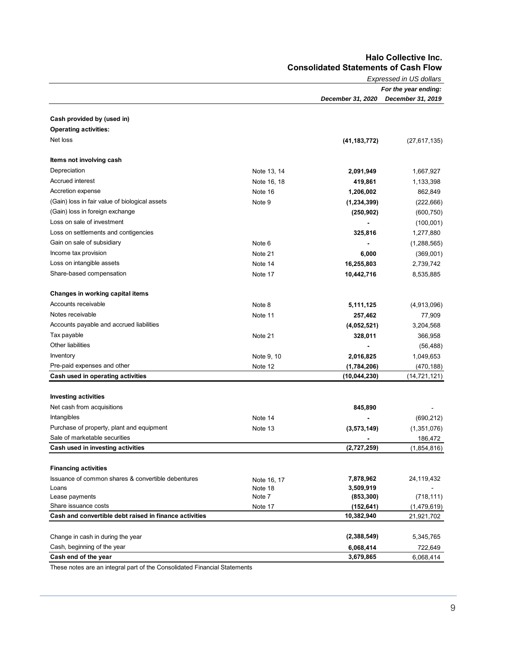**Halo Collective Inc. Consolidated Statements of Cash Flow** *Expressed in US dollars*

|                                                        |             |                   | For the year ending: |
|--------------------------------------------------------|-------------|-------------------|----------------------|
|                                                        |             | December 31, 2020 | December 31, 2019    |
|                                                        |             |                   |                      |
| Cash provided by (used in)                             |             |                   |                      |
| <b>Operating activities:</b>                           |             |                   |                      |
| Net loss                                               |             | (41, 183, 772)    | (27, 617, 135)       |
| Items not involving cash                               |             |                   |                      |
| Depreciation                                           | Note 13, 14 | 2,091,949         | 1,667,927            |
| Accrued interest                                       | Note 16, 18 | 419,861           | 1,133,398            |
| Accretion expense                                      | Note 16     | 1,206,002         | 862,849              |
| (Gain) loss in fair value of biological assets         | Note 9      | (1, 234, 399)     | (222, 666)           |
| (Gain) loss in foreign exchange                        |             | (250, 902)        | (600, 750)           |
| Loss on sale of investment                             |             |                   | (100, 001)           |
| Loss on settlements and contigencies                   |             | 325,816           | 1,277,880            |
| Gain on sale of subsidiary                             | Note 6      |                   | (1, 288, 565)        |
| Income tax provision                                   | Note 21     | 6,000             | (369,001)            |
| Loss on intangible assets                              | Note 14     | 16,255,803        | 2,739,742            |
| Share-based compensation                               | Note 17     | 10,442,716        | 8,535,885            |
|                                                        |             |                   |                      |
| Changes in working capital items                       |             |                   |                      |
| Accounts receivable                                    | Note 8      | 5,111,125         | (4,913,096)          |
| Notes receivable                                       | Note 11     | 257,462           | 77,909               |
| Accounts payable and accrued liabilities               |             | (4,052,521)       | 3,204,568            |
| Tax payable                                            | Note 21     | 328,011           | 366,958              |
| Other liabilities                                      |             |                   | (56, 488)            |
| Inventory                                              | Note 9, 10  | 2,016,825         | 1,049,653            |
| Pre-paid expenses and other                            | Note 12     | (1,784,206)       | (470, 188)           |
| Cash used in operating activities                      |             | (10,044,230)      | (14, 721, 121)       |
| <b>Investing activities</b>                            |             |                   |                      |
| Net cash from acquisitions                             |             |                   |                      |
| Intangibles                                            | Note 14     | 845,890           |                      |
| Purchase of property, plant and equipment              | Note 13     |                   | (690, 212)           |
| Sale of marketable securities                          |             | (3,573,149)       | (1,351,076)          |
| Cash used in investing activities                      |             | (2,727,259)       | 186,472              |
|                                                        |             |                   | (1,854,816)          |
| <b>Financing activities</b>                            |             |                   |                      |
| Issuance of common shares & convertible debentures     | Note 16, 17 | 7,878,962         | 24,119,432           |
| Loans                                                  | Note 18     | 3,509,919         |                      |
| Lease payments                                         | Note 7      | (853, 300)        | (718, 111)           |
| Share issuance costs                                   | Note 17     | (152, 641)        | (1,479,619)          |
| Cash and convertible debt raised in finance activities |             | 10,382,940        | 21,921,702           |
|                                                        |             | (2,388,549)       |                      |
| Change in cash in during the year                      |             |                   | 5,345,765            |
| Cash, beginning of the year                            |             | 6,068,414         | 722,649              |
| Cash end of the year                                   |             | 3,679,865         | 6,068,414            |

These notes are an integral part of the Consolidated Financial Statements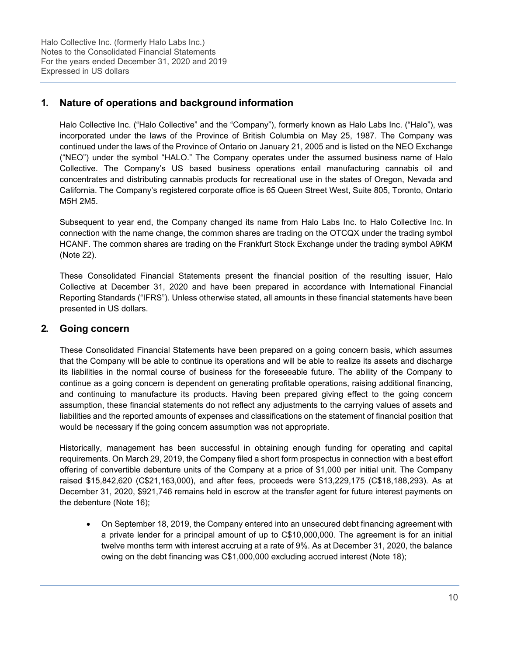## **1. Nature of operations and background information**

Halo Collective Inc. ("Halo Collective" and the "Company"), formerly known as Halo Labs Inc. ("Halo"), was incorporated under the laws of the Province of British Columbia on May 25, 1987. The Company was continued under the laws of the Province of Ontario on January 21, 2005 and is listed on the NEO Exchange ("NEO") under the symbol "HALO." The Company operates under the assumed business name of Halo Collective. The Company's US based business operations entail manufacturing cannabis oil and concentrates and distributing cannabis products for recreational use in the states of Oregon, Nevada and California. The Company's registered corporate office is 65 Queen Street West, Suite 805, Toronto, Ontario M5H 2M5.

Subsequent to year end, the Company changed its name from Halo Labs Inc. to Halo Collective Inc. In connection with the name change, the common shares are trading on the OTCQX under the trading symbol HCANF. The common shares are trading on the Frankfurt Stock Exchange under the trading symbol A9KM (Note 22).

These Consolidated Financial Statements present the financial position of the resulting issuer, Halo Collective at December 31, 2020 and have been prepared in accordance with International Financial Reporting Standards ("IFRS"). Unless otherwise stated, all amounts in these financial statements have been presented in US dollars.

## **2. Going concern**

These Consolidated Financial Statements have been prepared on a going concern basis, which assumes that the Company will be able to continue its operations and will be able to realize its assets and discharge its liabilities in the normal course of business for the foreseeable future. The ability of the Company to continue as a going concern is dependent on generating profitable operations, raising additional financing, and continuing to manufacture its products. Having been prepared giving effect to the going concern assumption, these financial statements do not reflect any adjustments to the carrying values of assets and liabilities and the reported amounts of expenses and classifications on the statement of financial position that would be necessary if the going concern assumption was not appropriate.

Historically, management has been successful in obtaining enough funding for operating and capital requirements. On March 29, 2019, the Company filed a short form prospectus in connection with a best effort offering of convertible debenture units of the Company at a price of \$1,000 per initial unit. The Company raised \$15,842,620 (C\$21,163,000), and after fees, proceeds were \$13,229,175 (C\$18,188,293). As at December 31, 2020, \$921,746 remains held in escrow at the transfer agent for future interest payments on the debenture (Note 16);

 On September 18, 2019, the Company entered into an unsecured debt financing agreement with a private lender for a principal amount of up to C\$10,000,000. The agreement is for an initial twelve months term with interest accruing at a rate of 9%. As at December 31, 2020, the balance owing on the debt financing was C\$1,000,000 excluding accrued interest (Note 18);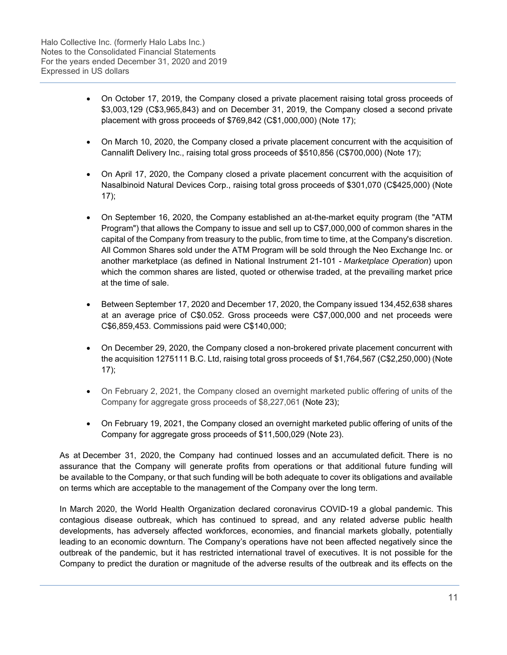- On October 17, 2019, the Company closed a private placement raising total gross proceeds of \$3,003,129 (C\$3,965,843) and on December 31, 2019, the Company closed a second private placement with gross proceeds of \$769,842 (C\$1,000,000) (Note 17);
- On March 10, 2020, the Company closed a private placement concurrent with the acquisition of Cannalift Delivery Inc., raising total gross proceeds of \$510,856 (C\$700,000) (Note 17);
- On April 17, 2020, the Company closed a private placement concurrent with the acquisition of Nasalbinoid Natural Devices Corp., raising total gross proceeds of \$301,070 (C\$425,000) (Note 17);
- On September 16, 2020, the Company established an at-the-market equity program (the "ATM Program") that allows the Company to issue and sell up to C\$7,000,000 of common shares in the capital of the Company from treasury to the public, from time to time, at the Company's discretion. All Common Shares sold under the ATM Program will be sold through the Neo Exchange Inc. or another marketplace (as defined in National Instrument 21-101 - *Marketplace Operation*) upon which the common shares are listed, quoted or otherwise traded, at the prevailing market price at the time of sale.
- Between September 17, 2020 and December 17, 2020, the Company issued 134,452,638 shares at an average price of C\$0.052. Gross proceeds were C\$7,000,000 and net proceeds were C\$6,859,453. Commissions paid were C\$140,000;
- On December 29, 2020, the Company closed a non-brokered private placement concurrent with the acquisition 1275111 B.C. Ltd, raising total gross proceeds of \$1,764,567 (C\$2,250,000) (Note 17);
- On February 2, 2021, the Company closed an overnight marketed public offering of units of the Company for aggregate gross proceeds of \$8,227,061 (Note 23);
- On February 19, 2021, the Company closed an overnight marketed public offering of units of the Company for aggregate gross proceeds of \$11,500,029 (Note 23).

As at December 31, 2020, the Company had continued losses and an accumulated deficit. There is no assurance that the Company will generate profits from operations or that additional future funding will be available to the Company, or that such funding will be both adequate to cover its obligations and available on terms which are acceptable to the management of the Company over the long term.

In March 2020, the World Health Organization declared coronavirus COVID-19 a global pandemic. This contagious disease outbreak, which has continued to spread, and any related adverse public health developments, has adversely affected workforces, economies, and financial markets globally, potentially leading to an economic downturn. The Company's operations have not been affected negatively since the outbreak of the pandemic, but it has restricted international travel of executives. It is not possible for the Company to predict the duration or magnitude of the adverse results of the outbreak and its effects on the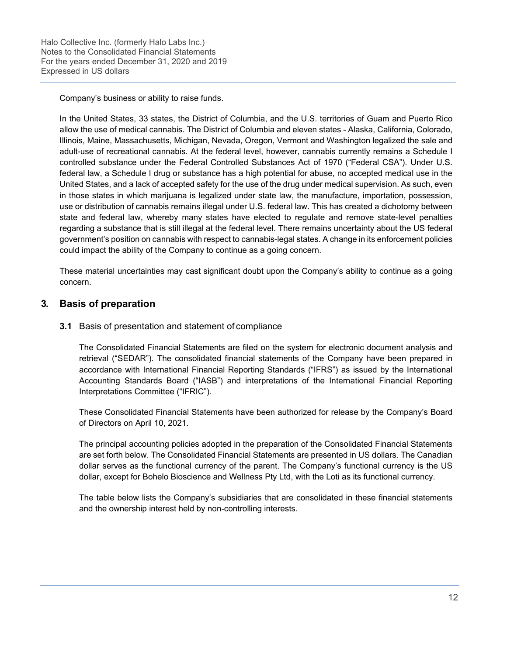Company's business or ability to raise funds.

In the United States, 33 states, the District of Columbia, and the U.S. territories of Guam and Puerto Rico allow the use of medical cannabis. The District of Columbia and eleven states - Alaska, California, Colorado, Illinois, Maine, Massachusetts, Michigan, Nevada, Oregon, Vermont and Washington legalized the sale and adult-use of recreational cannabis. At the federal level, however, cannabis currently remains a Schedule I controlled substance under the Federal Controlled Substances Act of 1970 ("Federal CSA"). Under U.S. federal law, a Schedule I drug or substance has a high potential for abuse, no accepted medical use in the United States, and a lack of accepted safety for the use of the drug under medical supervision. As such, even in those states in which marijuana is legalized under state law, the manufacture, importation, possession, use or distribution of cannabis remains illegal under U.S. federal law. This has created a dichotomy between state and federal law, whereby many states have elected to regulate and remove state-level penalties regarding a substance that is still illegal at the federal level. There remains uncertainty about the US federal government's position on cannabis with respect to cannabis-legal states. A change in its enforcement policies could impact the ability of the Company to continue as a going concern.

These material uncertainties may cast significant doubt upon the Company's ability to continue as a going concern.

## **3. Basis of preparation**

#### **3.1** Basis of presentation and statement of compliance

The Consolidated Financial Statements are filed on the system for electronic document analysis and retrieval ("SEDAR"). The consolidated financial statements of the Company have been prepared in accordance with International Financial Reporting Standards ("IFRS") as issued by the International Accounting Standards Board ("IASB") and interpretations of the International Financial Reporting Interpretations Committee ("IFRIC").

These Consolidated Financial Statements have been authorized for release by the Company's Board of Directors on April 10, 2021.

The principal accounting policies adopted in the preparation of the Consolidated Financial Statements are set forth below. The Consolidated Financial Statements are presented in US dollars. The Canadian dollar serves as the functional currency of the parent. The Company's functional currency is the US dollar, except for Bohelo Bioscience and Wellness Pty Ltd, with the Loti as its functional currency.

The table below lists the Company's subsidiaries that are consolidated in these financial statements and the ownership interest held by non-controlling interests.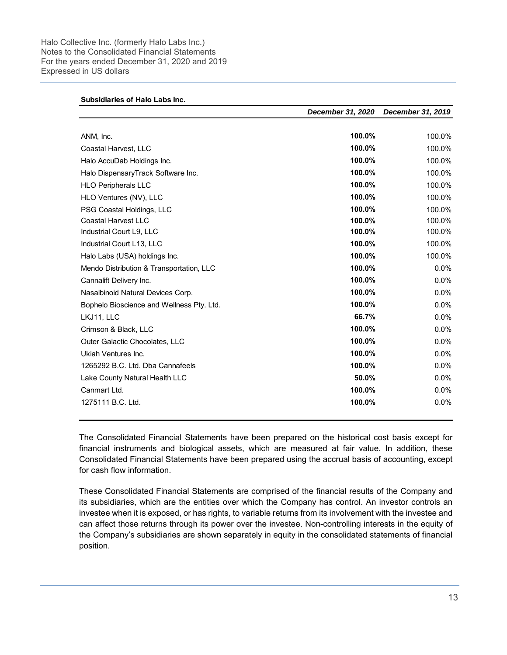#### **Subsidiaries of Halo Labs Inc.**

|                                           |        | December 31, 2020 December 31, 2019 |
|-------------------------------------------|--------|-------------------------------------|
|                                           |        |                                     |
| ANM, Inc.                                 | 100.0% | 100.0%                              |
| Coastal Harvest, LLC                      | 100.0% | 100.0%                              |
| Halo AccuDab Holdings Inc.                | 100.0% | 100.0%                              |
| Halo DispensaryTrack Software Inc.        | 100.0% | 100.0%                              |
| <b>HLO Peripherals LLC</b>                | 100.0% | 100.0%                              |
| HLO Ventures (NV), LLC                    | 100.0% | 100.0%                              |
| PSG Coastal Holdings, LLC                 | 100.0% | 100.0%                              |
| <b>Coastal Harvest LLC</b>                | 100.0% | 100.0%                              |
| Industrial Court L9, LLC                  | 100.0% | 100.0%                              |
| Industrial Court L13, LLC                 | 100.0% | 100.0%                              |
| Halo Labs (USA) holdings Inc.             | 100.0% | 100.0%                              |
| Mendo Distribution & Transportation, LLC  | 100.0% | 0.0%                                |
| Cannalift Delivery Inc.                   | 100.0% | 0.0%                                |
| Nasalbinoid Natural Devices Corp.         | 100.0% | 0.0%                                |
| Bophelo Bioscience and Wellness Pty. Ltd. | 100.0% | 0.0%                                |
| LKJ11, LLC                                | 66.7%  | 0.0%                                |
| Crimson & Black, LLC                      | 100.0% | 0.0%                                |
| Outer Galactic Chocolates, LLC            | 100.0% | 0.0%                                |
| Ukiah Ventures Inc.                       | 100.0% | 0.0%                                |
| 1265292 B.C. Ltd. Dba Cannafeels          | 100.0% | $0.0\%$                             |
| Lake County Natural Health LLC            | 50.0%  | 0.0%                                |
| Canmart Ltd.                              | 100.0% | 0.0%                                |
| 1275111 B.C. Ltd.                         | 100.0% | 0.0%                                |

The Consolidated Financial Statements have been prepared on the historical cost basis except for financial instruments and biological assets, which are measured at fair value. In addition, these Consolidated Financial Statements have been prepared using the accrual basis of accounting, except for cash flow information.

These Consolidated Financial Statements are comprised of the financial results of the Company and its subsidiaries, which are the entities over which the Company has control. An investor controls an investee when it is exposed, or has rights, to variable returns from its involvement with the investee and can affect those returns through its power over the investee. Non-controlling interests in the equity of the Company's subsidiaries are shown separately in equity in the consolidated statements of financial position.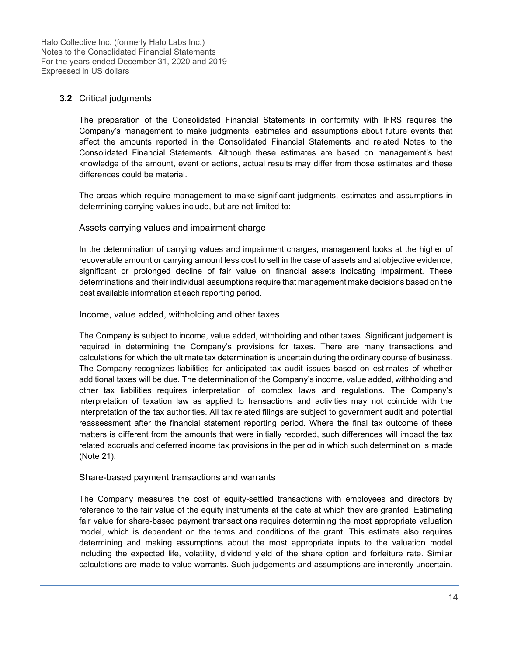#### **3.2** Critical judgments

The preparation of the Consolidated Financial Statements in conformity with IFRS requires the Company's management to make judgments, estimates and assumptions about future events that affect the amounts reported in the Consolidated Financial Statements and related Notes to the Consolidated Financial Statements. Although these estimates are based on management's best knowledge of the amount, event or actions, actual results may differ from those estimates and these differences could be material.

The areas which require management to make significant judgments, estimates and assumptions in determining carrying values include, but are not limited to:

#### Assets carrying values and impairment charge

In the determination of carrying values and impairment charges, management looks at the higher of recoverable amount or carrying amount less cost to sell in the case of assets and at objective evidence, significant or prolonged decline of fair value on financial assets indicating impairment. These determinations and their individual assumptions require that management make decisions based on the best available information at each reporting period.

#### Income, value added, withholding and other taxes

The Company is subject to income, value added, withholding and other taxes. Significant judgement is required in determining the Company's provisions for taxes. There are many transactions and calculations for which the ultimate tax determination is uncertain during the ordinary course of business. The Company recognizes liabilities for anticipated tax audit issues based on estimates of whether additional taxes will be due. The determination of the Company's income, value added, withholding and other tax liabilities requires interpretation of complex laws and regulations. The Company's interpretation of taxation law as applied to transactions and activities may not coincide with the interpretation of the tax authorities. All tax related filings are subject to government audit and potential reassessment after the financial statement reporting period. Where the final tax outcome of these matters is different from the amounts that were initially recorded, such differences will impact the tax related accruals and deferred income tax provisions in the period in which such determination is made (Note 21).

#### Share-based payment transactions and warrants

The Company measures the cost of equity-settled transactions with employees and directors by reference to the fair value of the equity instruments at the date at which they are granted. Estimating fair value for share-based payment transactions requires determining the most appropriate valuation model, which is dependent on the terms and conditions of the grant. This estimate also requires determining and making assumptions about the most appropriate inputs to the valuation model including the expected life, volatility, dividend yield of the share option and forfeiture rate. Similar calculations are made to value warrants. Such judgements and assumptions are inherently uncertain.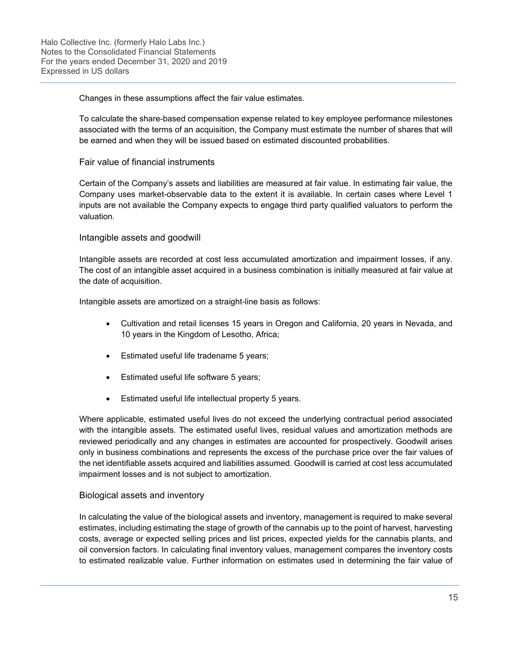Changes in these assumptions affect the fair value estimates.

To calculate the share-based compensation expense related to key employee performance milestones associated with the terms of an acquisition, the Company must estimate the number of shares that will be earned and when they will be issued based on estimated discounted probabilities.

Fair value of financial instruments

Certain of the Company's assets and liabilities are measured at fair value. In estimating fair value, the Company uses market-observable data to the extent it is available. In certain cases where Level 1 inputs are not available the Company expects to engage third party qualified valuators to perform the valuation.

Intangible assets and goodwill

Intangible assets are recorded at cost less accumulated amortization and impairment losses, if any. The cost of an intangible asset acquired in a business combination is initially measured at fair value at the date of acquisition.

Intangible assets are amortized on a straight-line basis as follows:

- Cultivation and retail licenses 15 years in Oregon and California, 20 years in Nevada, and 10 years in the Kingdom of Lesotho, Africa;
- Estimated useful life tradename 5 years;
- Estimated useful life software 5 years;
- Estimated useful life intellectual property 5 years.

Where applicable, estimated useful lives do not exceed the underlying contractual period associated with the intangible assets. The estimated useful lives, residual values and amortization methods are reviewed periodically and any changes in estimates are accounted for prospectively. Goodwill arises only in business combinations and represents the excess of the purchase price over the fair values of the net identifiable assets acquired and liabilities assumed. Goodwill is carried at cost less accumulated impairment losses and is not subject to amortization.

#### Biological assets and inventory

In calculating the value of the biological assets and inventory, management is required to make several estimates, including estimating the stage of growth of the cannabis up to the point of harvest, harvesting costs, average or expected selling prices and list prices, expected yields for the cannabis plants, and oil conversion factors. In calculating final inventory values, management compares the inventory costs to estimated realizable value. Further information on estimates used in determining the fair value of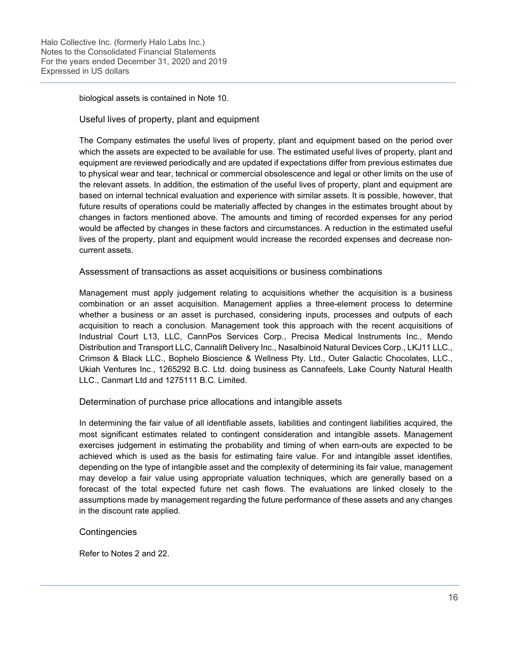biological assets is contained in Note 10.

#### Useful lives of property, plant and equipment

The Company estimates the useful lives of property, plant and equipment based on the period over which the assets are expected to be available for use. The estimated useful lives of property, plant and equipment are reviewed periodically and are updated if expectations differ from previous estimates due to physical wear and tear, technical or commercial obsolescence and legal or other limits on the use of the relevant assets. In addition, the estimation of the useful lives of property, plant and equipment are based on internal technical evaluation and experience with similar assets. It is possible, however, that future results of operations could be materially affected by changes in the estimates brought about by changes in factors mentioned above. The amounts and timing of recorded expenses for any period would be affected by changes in these factors and circumstances. A reduction in the estimated useful lives of the property, plant and equipment would increase the recorded expenses and decrease noncurrent assets.

#### Assessment of transactions as asset acquisitions or business combinations

Management must apply judgement relating to acquisitions whether the acquisition is a business combination or an asset acquisition. Management applies a three-element process to determine whether a business or an asset is purchased, considering inputs, processes and outputs of each acquisition to reach a conclusion. Management took this approach with the recent acquisitions of Industrial Court L13, LLC, CannPos Services Corp., Precisa Medical Instruments Inc., Mendo Distribution and Transport LLC, Cannalift Delivery Inc., Nasalbinoid Natural Devices Corp., LKJ11 LLC., Crimson & Black LLC., Bophelo Bioscience & Wellness Pty. Ltd., Outer Galactic Chocolates, LLC., Ukiah Ventures Inc., 1265292 B.C. Ltd. doing business as Cannafeels, Lake County Natural Health LLC., Canmart Ltd and 1275111 B.C. Limited.

#### Determination of purchase price allocations and intangible assets

In determining the fair value of all identifiable assets, liabilities and contingent liabilities acquired, the most significant estimates related to contingent consideration and intangible assets. Management exercises judgement in estimating the probability and timing of when earn-outs are expected to be achieved which is used as the basis for estimating faire value. For and intangible asset identifies, depending on the type of intangible asset and the complexity of determining its fair value, management may develop a fair value using appropriate valuation techniques, which are generally based on a forecast of the total expected future net cash flows. The evaluations are linked closely to the assumptions made by management regarding the future performance of these assets and any changes in the discount rate applied.

#### **Contingencies**

Refer to Notes 2 and 22.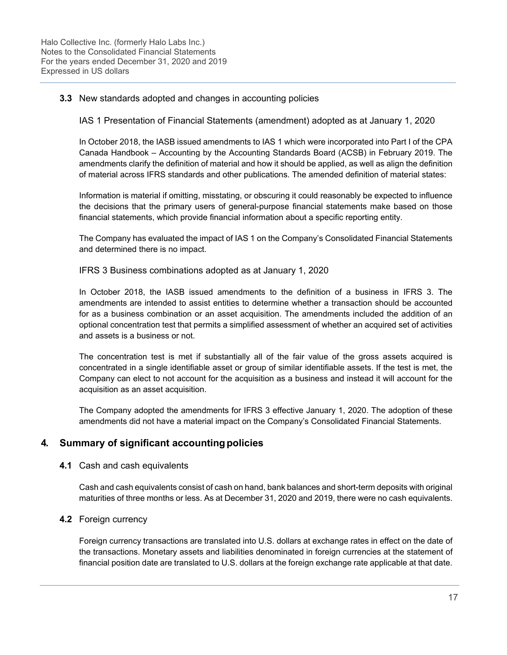#### **3.3** New standards adopted and changes in accounting policies

IAS 1 Presentation of Financial Statements (amendment) adopted as at January 1, 2020

In October 2018, the IASB issued amendments to IAS 1 which were incorporated into Part I of the CPA Canada Handbook – Accounting by the Accounting Standards Board (ACSB) in February 2019. The amendments clarify the definition of material and how it should be applied, as well as align the definition of material across IFRS standards and other publications. The amended definition of material states:

Information is material if omitting, misstating, or obscuring it could reasonably be expected to influence the decisions that the primary users of general-purpose financial statements make based on those financial statements, which provide financial information about a specific reporting entity.

The Company has evaluated the impact of IAS 1 on the Company's Consolidated Financial Statements and determined there is no impact.

IFRS 3 Business combinations adopted as at January 1, 2020

In October 2018, the IASB issued amendments to the definition of a business in IFRS 3. The amendments are intended to assist entities to determine whether a transaction should be accounted for as a business combination or an asset acquisition. The amendments included the addition of an optional concentration test that permits a simplified assessment of whether an acquired set of activities and assets is a business or not.

The concentration test is met if substantially all of the fair value of the gross assets acquired is concentrated in a single identifiable asset or group of similar identifiable assets. If the test is met, the Company can elect to not account for the acquisition as a business and instead it will account for the acquisition as an asset acquisition.

The Company adopted the amendments for IFRS 3 effective January 1, 2020. The adoption of these amendments did not have a material impact on the Company's Consolidated Financial Statements.

# **4. Summary of significant accounting policies**

#### **4.1** Cash and cash equivalents

Cash and cash equivalents consist of cash on hand, bank balances and short-term deposits with original maturities of three months or less. As at December 31, 2020 and 2019, there were no cash equivalents.

#### **4.2** Foreign currency

Foreign currency transactions are translated into U.S. dollars at exchange rates in effect on the date of the transactions. Monetary assets and liabilities denominated in foreign currencies at the statement of financial position date are translated to U.S. dollars at the foreign exchange rate applicable at that date.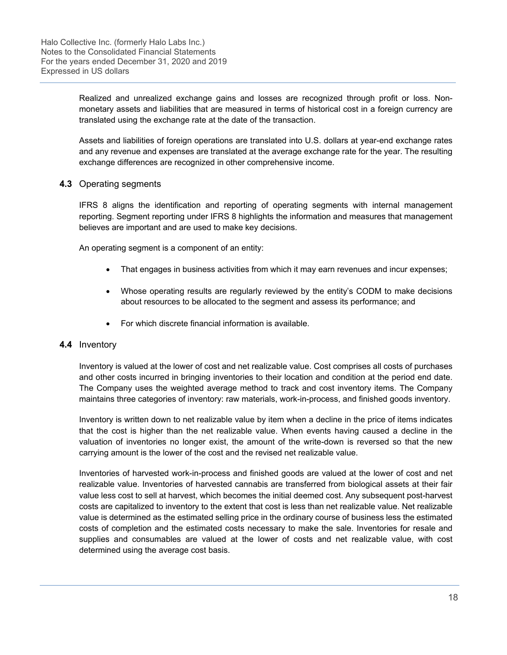Realized and unrealized exchange gains and losses are recognized through profit or loss. Nonmonetary assets and liabilities that are measured in terms of historical cost in a foreign currency are translated using the exchange rate at the date of the transaction.

Assets and liabilities of foreign operations are translated into U.S. dollars at year-end exchange rates and any revenue and expenses are translated at the average exchange rate for the year. The resulting exchange differences are recognized in other comprehensive income.

#### **4.3** Operating segments

IFRS 8 aligns the identification and reporting of operating segments with internal management reporting. Segment reporting under IFRS 8 highlights the information and measures that management believes are important and are used to make key decisions.

An operating segment is a component of an entity:

- That engages in business activities from which it may earn revenues and incur expenses;
- Whose operating results are regularly reviewed by the entity's CODM to make decisions about resources to be allocated to the segment and assess its performance; and
- For which discrete financial information is available.

#### **4.4** Inventory

Inventory is valued at the lower of cost and net realizable value. Cost comprises all costs of purchases and other costs incurred in bringing inventories to their location and condition at the period end date. The Company uses the weighted average method to track and cost inventory items. The Company maintains three categories of inventory: raw materials, work-in-process, and finished goods inventory.

Inventory is written down to net realizable value by item when a decline in the price of items indicates that the cost is higher than the net realizable value. When events having caused a decline in the valuation of inventories no longer exist, the amount of the write-down is reversed so that the new carrying amount is the lower of the cost and the revised net realizable value.

Inventories of harvested work-in-process and finished goods are valued at the lower of cost and net realizable value. Inventories of harvested cannabis are transferred from biological assets at their fair value less cost to sell at harvest, which becomes the initial deemed cost. Any subsequent post-harvest costs are capitalized to inventory to the extent that cost is less than net realizable value. Net realizable value is determined as the estimated selling price in the ordinary course of business less the estimated costs of completion and the estimated costs necessary to make the sale. Inventories for resale and supplies and consumables are valued at the lower of costs and net realizable value, with cost determined using the average cost basis.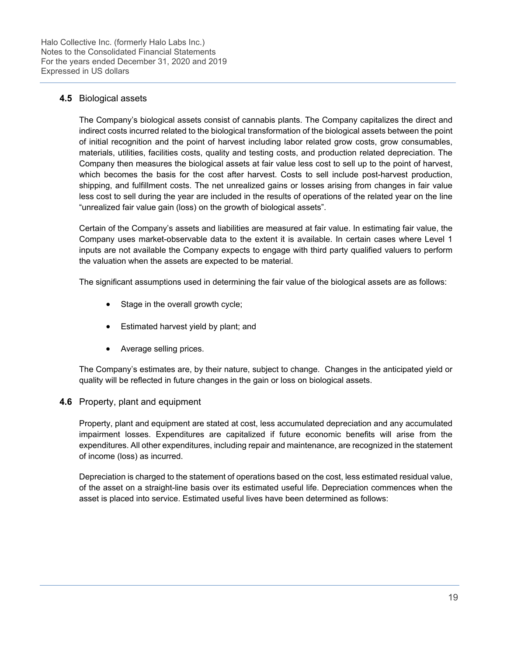#### **4.5** Biological assets

The Company's biological assets consist of cannabis plants. The Company capitalizes the direct and indirect costs incurred related to the biological transformation of the biological assets between the point of initial recognition and the point of harvest including labor related grow costs, grow consumables, materials, utilities, facilities costs, quality and testing costs, and production related depreciation. The Company then measures the biological assets at fair value less cost to sell up to the point of harvest, which becomes the basis for the cost after harvest. Costs to sell include post-harvest production, shipping, and fulfillment costs. The net unrealized gains or losses arising from changes in fair value less cost to sell during the year are included in the results of operations of the related year on the line "unrealized fair value gain (loss) on the growth of biological assets".

Certain of the Company's assets and liabilities are measured at fair value. In estimating fair value, the Company uses market-observable data to the extent it is available. In certain cases where Level 1 inputs are not available the Company expects to engage with third party qualified valuers to perform the valuation when the assets are expected to be material.

The significant assumptions used in determining the fair value of the biological assets are as follows:

- Stage in the overall growth cycle;
- Estimated harvest yield by plant; and
- Average selling prices.

The Company's estimates are, by their nature, subject to change. Changes in the anticipated yield or quality will be reflected in future changes in the gain or loss on biological assets.

#### **4.6** Property, plant and equipment

Property, plant and equipment are stated at cost, less accumulated depreciation and any accumulated impairment losses. Expenditures are capitalized if future economic benefits will arise from the expenditures. All other expenditures, including repair and maintenance, are recognized in the statement of income (loss) as incurred.

Depreciation is charged to the statement of operations based on the cost, less estimated residual value, of the asset on a straight-line basis over its estimated useful life. Depreciation commences when the asset is placed into service. Estimated useful lives have been determined as follows: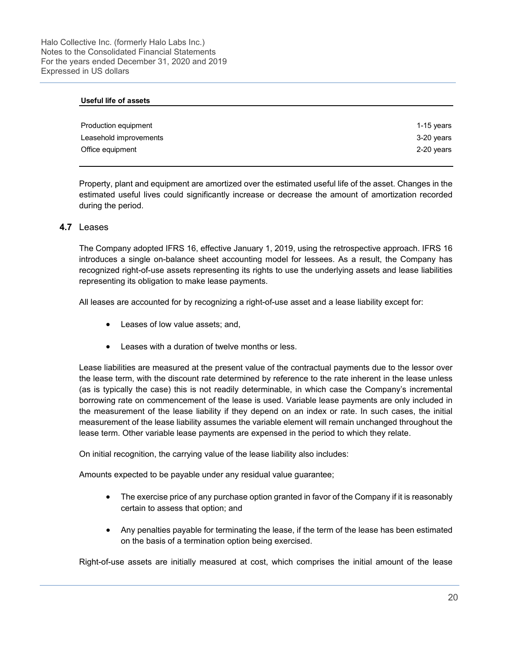#### **Useful life of assets**

| Production equipment   | 1-15 years |
|------------------------|------------|
| Leasehold improvements | 3-20 years |
| Office equipment       | 2-20 vears |

Property, plant and equipment are amortized over the estimated useful life of the asset. Changes in the estimated useful lives could significantly increase or decrease the amount of amortization recorded during the period.

#### **4.7** Leases

The Company adopted IFRS 16, effective January 1, 2019, using the retrospective approach. IFRS 16 introduces a single on-balance sheet accounting model for lessees. As a result, the Company has recognized right-of-use assets representing its rights to use the underlying assets and lease liabilities representing its obligation to make lease payments.

All leases are accounted for by recognizing a right-of-use asset and a lease liability except for:

- Leases of low value assets; and,
- Leases with a duration of twelve months or less.

Lease liabilities are measured at the present value of the contractual payments due to the lessor over the lease term, with the discount rate determined by reference to the rate inherent in the lease unless (as is typically the case) this is not readily determinable, in which case the Company's incremental borrowing rate on commencement of the lease is used. Variable lease payments are only included in the measurement of the lease liability if they depend on an index or rate. In such cases, the initial measurement of the lease liability assumes the variable element will remain unchanged throughout the lease term. Other variable lease payments are expensed in the period to which they relate.

On initial recognition, the carrying value of the lease liability also includes:

Amounts expected to be payable under any residual value guarantee;

- The exercise price of any purchase option granted in favor of the Company if it is reasonably certain to assess that option; and
- Any penalties payable for terminating the lease, if the term of the lease has been estimated on the basis of a termination option being exercised.

Right-of-use assets are initially measured at cost, which comprises the initial amount of the lease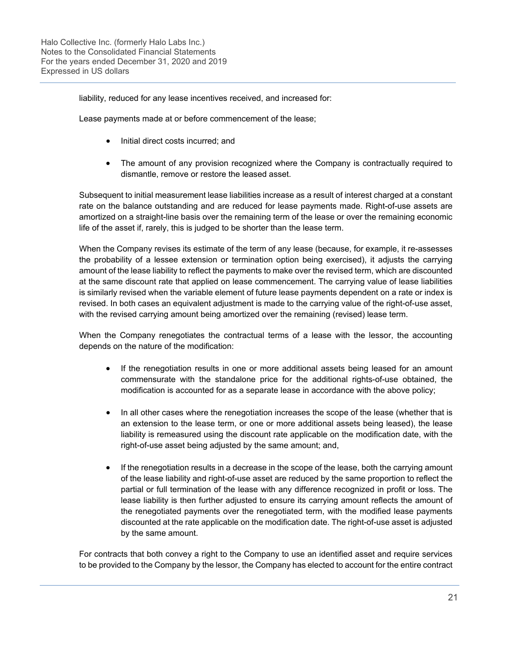liability, reduced for any lease incentives received, and increased for:

Lease payments made at or before commencement of the lease;

- Initial direct costs incurred; and
- The amount of any provision recognized where the Company is contractually required to dismantle, remove or restore the leased asset.

Subsequent to initial measurement lease liabilities increase as a result of interest charged at a constant rate on the balance outstanding and are reduced for lease payments made. Right-of-use assets are amortized on a straight-line basis over the remaining term of the lease or over the remaining economic life of the asset if, rarely, this is judged to be shorter than the lease term.

When the Company revises its estimate of the term of any lease (because, for example, it re-assesses the probability of a lessee extension or termination option being exercised), it adjusts the carrying amount of the lease liability to reflect the payments to make over the revised term, which are discounted at the same discount rate that applied on lease commencement. The carrying value of lease liabilities is similarly revised when the variable element of future lease payments dependent on a rate or index is revised. In both cases an equivalent adjustment is made to the carrying value of the right-of-use asset, with the revised carrying amount being amortized over the remaining (revised) lease term.

When the Company renegotiates the contractual terms of a lease with the lessor, the accounting depends on the nature of the modification:

- If the renegotiation results in one or more additional assets being leased for an amount commensurate with the standalone price for the additional rights-of-use obtained, the modification is accounted for as a separate lease in accordance with the above policy;
- In all other cases where the renegotiation increases the scope of the lease (whether that is an extension to the lease term, or one or more additional assets being leased), the lease liability is remeasured using the discount rate applicable on the modification date, with the right-of-use asset being adjusted by the same amount; and,
- If the renegotiation results in a decrease in the scope of the lease, both the carrying amount of the lease liability and right-of-use asset are reduced by the same proportion to reflect the partial or full termination of the lease with any difference recognized in profit or loss. The lease liability is then further adjusted to ensure its carrying amount reflects the amount of the renegotiated payments over the renegotiated term, with the modified lease payments discounted at the rate applicable on the modification date. The right-of-use asset is adjusted by the same amount.

For contracts that both convey a right to the Company to use an identified asset and require services to be provided to the Company by the lessor, the Company has elected to account for the entire contract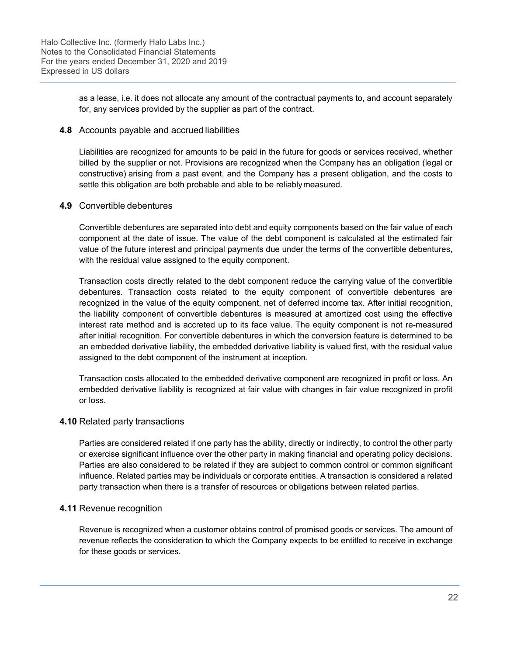as a lease, i.e. it does not allocate any amount of the contractual payments to, and account separately for, any services provided by the supplier as part of the contract.

#### **4.8** Accounts payable and accrued liabilities

Liabilities are recognized for amounts to be paid in the future for goods or services received, whether billed by the supplier or not. Provisions are recognized when the Company has an obligation (legal or constructive) arising from a past event, and the Company has a present obligation, and the costs to settle this obligation are both probable and able to be reliably measured.

#### **4.9** Convertible debentures

Convertible debentures are separated into debt and equity components based on the fair value of each component at the date of issue. The value of the debt component is calculated at the estimated fair value of the future interest and principal payments due under the terms of the convertible debentures, with the residual value assigned to the equity component.

Transaction costs directly related to the debt component reduce the carrying value of the convertible debentures. Transaction costs related to the equity component of convertible debentures are recognized in the value of the equity component, net of deferred income tax. After initial recognition, the liability component of convertible debentures is measured at amortized cost using the effective interest rate method and is accreted up to its face value. The equity component is not re-measured after initial recognition. For convertible debentures in which the conversion feature is determined to be an embedded derivative liability, the embedded derivative liability is valued first, with the residual value assigned to the debt component of the instrument at inception.

Transaction costs allocated to the embedded derivative component are recognized in profit or loss. An embedded derivative liability is recognized at fair value with changes in fair value recognized in profit or loss.

#### **4.10** Related party transactions

Parties are considered related if one party has the ability, directly or indirectly, to control the other party or exercise significant influence over the other party in making financial and operating policy decisions. Parties are also considered to be related if they are subject to common control or common significant influence. Related parties may be individuals or corporate entities. A transaction is considered a related party transaction when there is a transfer of resources or obligations between related parties.

#### **4.11** Revenue recognition

Revenue is recognized when a customer obtains control of promised goods or services. The amount of revenue reflects the consideration to which the Company expects to be entitled to receive in exchange for these goods or services.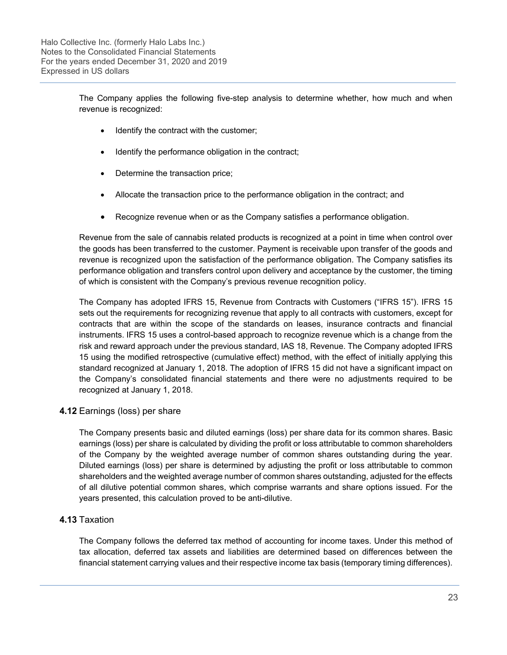The Company applies the following five-step analysis to determine whether, how much and when revenue is recognized:

- Identify the contract with the customer;
- Identify the performance obligation in the contract;
- Determine the transaction price;
- Allocate the transaction price to the performance obligation in the contract; and
- Recognize revenue when or as the Company satisfies a performance obligation.

Revenue from the sale of cannabis related products is recognized at a point in time when control over the goods has been transferred to the customer. Payment is receivable upon transfer of the goods and revenue is recognized upon the satisfaction of the performance obligation. The Company satisfies its performance obligation and transfers control upon delivery and acceptance by the customer, the timing of which is consistent with the Company's previous revenue recognition policy.

The Company has adopted IFRS 15, Revenue from Contracts with Customers ("IFRS 15"). IFRS 15 sets out the requirements for recognizing revenue that apply to all contracts with customers, except for contracts that are within the scope of the standards on leases, insurance contracts and financial instruments. IFRS 15 uses a control-based approach to recognize revenue which is a change from the risk and reward approach under the previous standard, IAS 18, Revenue. The Company adopted IFRS 15 using the modified retrospective (cumulative effect) method, with the effect of initially applying this standard recognized at January 1, 2018. The adoption of IFRS 15 did not have a significant impact on the Company's consolidated financial statements and there were no adjustments required to be recognized at January 1, 2018.

#### **4.12** Earnings (loss) per share

The Company presents basic and diluted earnings (loss) per share data for its common shares. Basic earnings (loss) per share is calculated by dividing the profit or loss attributable to common shareholders of the Company by the weighted average number of common shares outstanding during the year. Diluted earnings (loss) per share is determined by adjusting the profit or loss attributable to common shareholders and the weighted average number of common shares outstanding, adjusted for the effects of all dilutive potential common shares, which comprise warrants and share options issued. For the years presented, this calculation proved to be anti-dilutive.

#### **4.13** Taxation

The Company follows the deferred tax method of accounting for income taxes. Under this method of tax allocation, deferred tax assets and liabilities are determined based on differences between the financial statement carrying values and their respective income tax basis (temporary timing differences).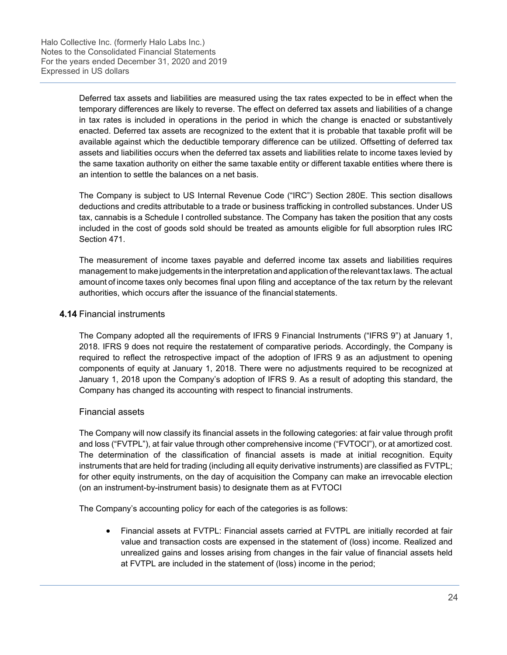Deferred tax assets and liabilities are measured using the tax rates expected to be in effect when the temporary differences are likely to reverse. The effect on deferred tax assets and liabilities of a change in tax rates is included in operations in the period in which the change is enacted or substantively enacted. Deferred tax assets are recognized to the extent that it is probable that taxable profit will be available against which the deductible temporary difference can be utilized. Offsetting of deferred tax assets and liabilities occurs when the deferred tax assets and liabilities relate to income taxes levied by the same taxation authority on either the same taxable entity or different taxable entities where there is an intention to settle the balances on a net basis.

The Company is subject to US Internal Revenue Code ("IRC") Section 280E. This section disallows deductions and credits attributable to a trade or business trafficking in controlled substances. Under US tax, cannabis is a Schedule I controlled substance. The Company has taken the position that any costs included in the cost of goods sold should be treated as amounts eligible for full absorption rules IRC Section 471.

The measurement of income taxes payable and deferred income tax assets and liabilities requires management to make judgements in the interpretation and application of the relevant tax laws. The actual amount of income taxes only becomes final upon filing and acceptance of the tax return by the relevant authorities, which occurs after the issuance of the financial statements.

#### **4.14** Financial instruments

The Company adopted all the requirements of IFRS 9 Financial Instruments ("IFRS 9") at January 1, 2018. IFRS 9 does not require the restatement of comparative periods. Accordingly, the Company is required to reflect the retrospective impact of the adoption of IFRS 9 as an adjustment to opening components of equity at January 1, 2018. There were no adjustments required to be recognized at January 1, 2018 upon the Company's adoption of IFRS 9. As a result of adopting this standard, the Company has changed its accounting with respect to financial instruments.

#### Financial assets

The Company will now classify its financial assets in the following categories: at fair value through profit and loss ("FVTPL"), at fair value through other comprehensive income ("FVTOCI"), or at amortized cost. The determination of the classification of financial assets is made at initial recognition. Equity instruments that are held for trading (including all equity derivative instruments) are classified as FVTPL; for other equity instruments, on the day of acquisition the Company can make an irrevocable election (on an instrument-by-instrument basis) to designate them as at FVTOCI

The Company's accounting policy for each of the categories is as follows:

 Financial assets at FVTPL: Financial assets carried at FVTPL are initially recorded at fair value and transaction costs are expensed in the statement of (loss) income. Realized and unrealized gains and losses arising from changes in the fair value of financial assets held at FVTPL are included in the statement of (loss) income in the period;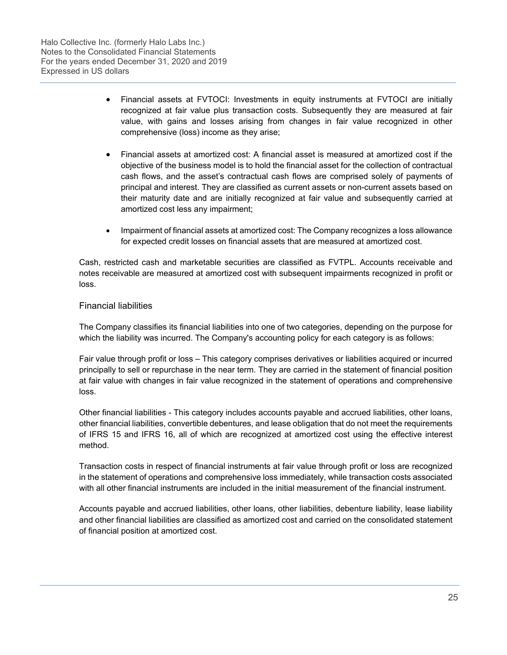- Financial assets at FVTOCI: Investments in equity instruments at FVTOCI are initially recognized at fair value plus transaction costs. Subsequently they are measured at fair value, with gains and losses arising from changes in fair value recognized in other comprehensive (loss) income as they arise;
- Financial assets at amortized cost: A financial asset is measured at amortized cost if the objective of the business model is to hold the financial asset for the collection of contractual cash flows, and the asset's contractual cash flows are comprised solely of payments of principal and interest. They are classified as current assets or non-current assets based on their maturity date and are initially recognized at fair value and subsequently carried at amortized cost less any impairment;
- Impairment of financial assets at amortized cost: The Company recognizes a loss allowance for expected credit losses on financial assets that are measured at amortized cost.

Cash, restricted cash and marketable securities are classified as FVTPL. Accounts receivable and notes receivable are measured at amortized cost with subsequent impairments recognized in profit or loss.

#### Financial liabilities

The Company classifies its financial liabilities into one of two categories, depending on the purpose for which the liability was incurred. The Company's accounting policy for each category is as follows:

Fair value through profit or loss – This category comprises derivatives or liabilities acquired or incurred principally to sell or repurchase in the near term. They are carried in the statement of financial position at fair value with changes in fair value recognized in the statement of operations and comprehensive loss.

Other financial liabilities - This category includes accounts payable and accrued liabilities, other loans, other financial liabilities, convertible debentures, and lease obligation that do not meet the requirements of IFRS 15 and IFRS 16, all of which are recognized at amortized cost using the effective interest method.

Transaction costs in respect of financial instruments at fair value through profit or loss are recognized in the statement of operations and comprehensive loss immediately, while transaction costs associated with all other financial instruments are included in the initial measurement of the financial instrument.

Accounts payable and accrued liabilities, other loans, other liabilities, debenture liability, lease liability and other financial liabilities are classified as amortized cost and carried on the consolidated statement of financial position at amortized cost.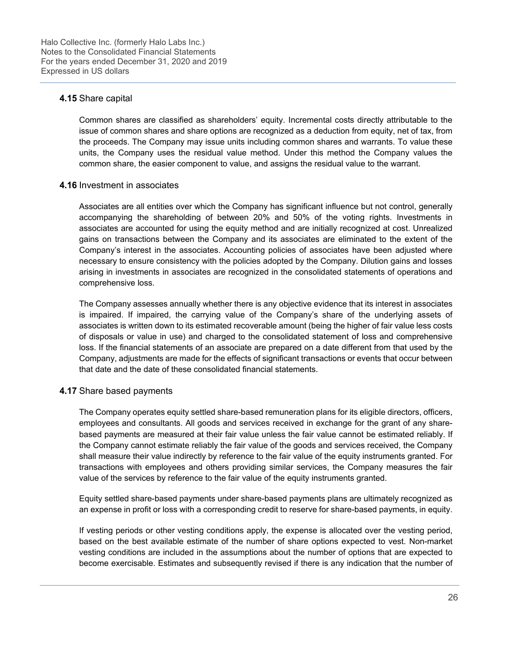#### **4.15** Share capital

Common shares are classified as shareholders' equity. Incremental costs directly attributable to the issue of common shares and share options are recognized as a deduction from equity, net of tax, from the proceeds. The Company may issue units including common shares and warrants. To value these units, the Company uses the residual value method. Under this method the Company values the common share, the easier component to value, and assigns the residual value to the warrant.

#### **4.16** Investment in associates

Associates are all entities over which the Company has significant influence but not control, generally accompanying the shareholding of between 20% and 50% of the voting rights. Investments in associates are accounted for using the equity method and are initially recognized at cost. Unrealized gains on transactions between the Company and its associates are eliminated to the extent of the Company's interest in the associates. Accounting policies of associates have been adjusted where necessary to ensure consistency with the policies adopted by the Company. Dilution gains and losses arising in investments in associates are recognized in the consolidated statements of operations and comprehensive loss.

The Company assesses annually whether there is any objective evidence that its interest in associates is impaired. If impaired, the carrying value of the Company's share of the underlying assets of associates is written down to its estimated recoverable amount (being the higher of fair value less costs of disposals or value in use) and charged to the consolidated statement of loss and comprehensive loss. If the financial statements of an associate are prepared on a date different from that used by the Company, adjustments are made for the effects of significant transactions or events that occur between that date and the date of these consolidated financial statements.

#### **4.17** Share based payments

The Company operates equity settled share-based remuneration plans for its eligible directors, officers, employees and consultants. All goods and services received in exchange for the grant of any sharebased payments are measured at their fair value unless the fair value cannot be estimated reliably. If the Company cannot estimate reliably the fair value of the goods and services received, the Company shall measure their value indirectly by reference to the fair value of the equity instruments granted. For transactions with employees and others providing similar services, the Company measures the fair value of the services by reference to the fair value of the equity instruments granted.

Equity settled share-based payments under share-based payments plans are ultimately recognized as an expense in profit or loss with a corresponding credit to reserve for share-based payments, in equity.

If vesting periods or other vesting conditions apply, the expense is allocated over the vesting period, based on the best available estimate of the number of share options expected to vest. Non-market vesting conditions are included in the assumptions about the number of options that are expected to become exercisable. Estimates and subsequently revised if there is any indication that the number of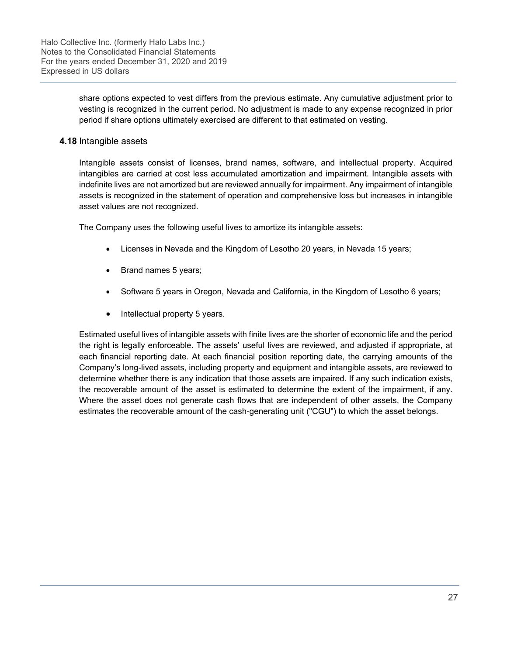share options expected to vest differs from the previous estimate. Any cumulative adjustment prior to vesting is recognized in the current period. No adjustment is made to any expense recognized in prior period if share options ultimately exercised are different to that estimated on vesting.

#### **4.18** Intangible assets

Intangible assets consist of licenses, brand names, software, and intellectual property. Acquired intangibles are carried at cost less accumulated amortization and impairment. Intangible assets with indefinite lives are not amortized but are reviewed annually for impairment. Any impairment of intangible assets is recognized in the statement of operation and comprehensive loss but increases in intangible asset values are not recognized.

The Company uses the following useful lives to amortize its intangible assets:

- Licenses in Nevada and the Kingdom of Lesotho 20 years, in Nevada 15 years;
- Brand names 5 years;
- Software 5 years in Oregon, Nevada and California, in the Kingdom of Lesotho 6 years;
- Intellectual property 5 years.

Estimated useful lives of intangible assets with finite lives are the shorter of economic life and the period the right is legally enforceable. The assets' useful lives are reviewed, and adjusted if appropriate, at each financial reporting date. At each financial position reporting date, the carrying amounts of the Company's long-lived assets, including property and equipment and intangible assets, are reviewed to determine whether there is any indication that those assets are impaired. If any such indication exists, the recoverable amount of the asset is estimated to determine the extent of the impairment, if any. Where the asset does not generate cash flows that are independent of other assets, the Company estimates the recoverable amount of the cash-generating unit ("CGU") to which the asset belongs.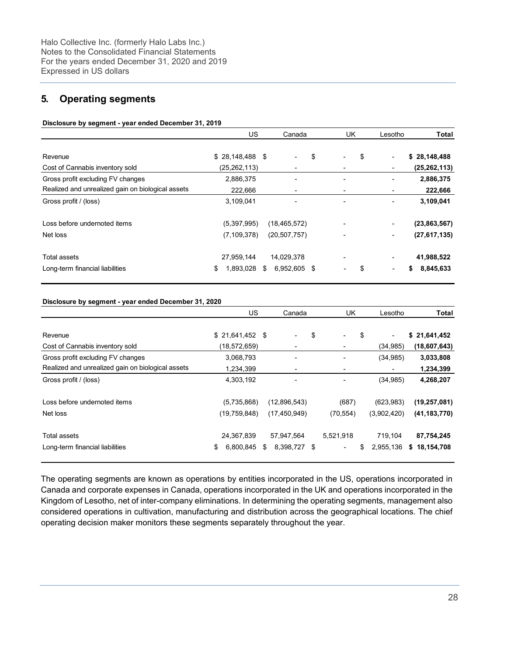# **5. Operating segments**

| Disclosure by segment - year ended December 31, 2019 |  |  |  |  |
|------------------------------------------------------|--|--|--|--|
|                                                      |  |  |  |  |

|                                                   | US               | Canada         | UK                             | Lesotho                        | Total          |
|---------------------------------------------------|------------------|----------------|--------------------------------|--------------------------------|----------------|
|                                                   |                  |                |                                |                                |                |
| Revenue                                           | $$28,148,488$ \; |                | \$<br>$\overline{\phantom{a}}$ | \$<br>$\overline{\phantom{a}}$ | \$28,148,488   |
| Cost of Cannabis inventory sold                   | (25, 262, 113)   |                |                                |                                | (25, 262, 113) |
| Gross profit excluding FV changes                 | 2,886,375        |                |                                |                                | 2,886,375      |
| Realized and unrealized gain on biological assets | 222,666          |                |                                |                                | 222,666        |
| Gross profit / (loss)                             | 3,109,041        |                | ۰                              |                                | 3,109,041      |
| Loss before undernoted items                      | (5, 397, 995)    | (18, 465, 572) |                                | $\overline{\phantom{0}}$       | (23,863,567)   |
| Net loss                                          | (7, 109, 378)    | (20, 507, 757) |                                | ٠                              | (27, 617, 135) |
| Total assets                                      | 27,959,144       | 14,029,378     |                                |                                | 41,988,522     |
| Long-term financial liabilities                   | \$<br>1,893,028  | 6,952,605<br>S | -\$                            | \$<br>-                        | 8,845,633<br>S |

#### **Disclosure by segment - year ended December 31, 2020**

|                                                   | US               | Canada                  | UK        | Lesotho                  | <b>Total</b>     |
|---------------------------------------------------|------------------|-------------------------|-----------|--------------------------|------------------|
| Revenue                                           | $$21,641,452$ \$ | \$                      | \$<br>٠   | $\overline{\phantom{0}}$ | \$21,641,452     |
| Cost of Cannabis inventory sold                   | (18, 572, 659)   |                         |           | (34, 985)                | (18,607,643)     |
| Gross profit excluding FV changes                 | 3,068,793        |                         |           | (34, 985)                | 3,033,808        |
| Realized and unrealized gain on biological assets | 1,234,399        | ٠                       |           |                          | 1,234,399        |
| Gross profit / (loss)                             | 4,303,192        | ۰                       |           | (34, 985)                | 4,268,207        |
| Loss before undernoted items                      | (5,735,868)      | (12,896,543)            | (687)     | (623, 983)               | (19, 257, 081)   |
| Net loss                                          | (19,759,848)     | (17, 450, 949)          | (70, 554) | (3,902,420)              | (41, 183, 770)   |
| Total assets                                      | 24,367,839       | 57,947,564              | 5,521,918 | 719.104                  | 87,754,245       |
| Long-term financial liabilities                   | 6,800,845<br>\$  | 8,398,727<br>\$<br>- \$ | ۰.        | \$<br>2,955,136          | 18,154,708<br>\$ |

The operating segments are known as operations by entities incorporated in the US, operations incorporated in Canada and corporate expenses in Canada, operations incorporated in the UK and operations incorporated in the Kingdom of Lesotho, net of inter-company eliminations. In determining the operating segments, management also considered operations in cultivation, manufacturing and distribution across the geographical locations. The chief operating decision maker monitors these segments separately throughout the year.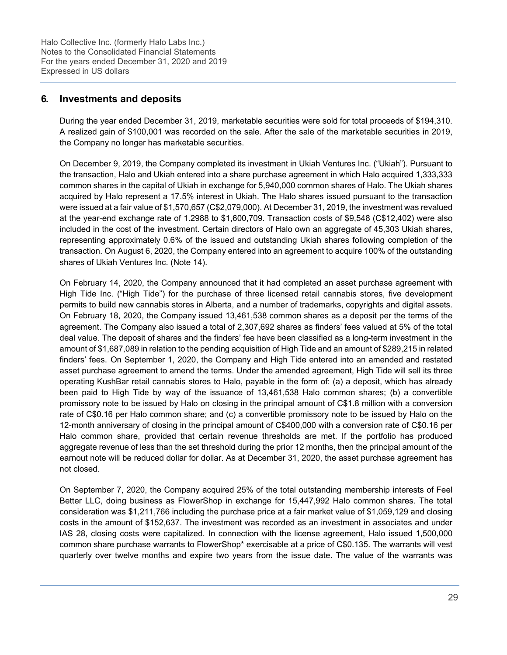#### **6. Investments and deposits**

During the year ended December 31, 2019, marketable securities were sold for total proceeds of \$194,310. A realized gain of \$100,001 was recorded on the sale. After the sale of the marketable securities in 2019, the Company no longer has marketable securities.

On December 9, 2019, the Company completed its investment in Ukiah Ventures Inc. ("Ukiah"). Pursuant to the transaction, Halo and Ukiah entered into a share purchase agreement in which Halo acquired 1,333,333 common shares in the capital of Ukiah in exchange for 5,940,000 common shares of Halo. The Ukiah shares acquired by Halo represent a 17.5% interest in Ukiah. The Halo shares issued pursuant to the transaction were issued at a fair value of \$1,570,657 (C\$2,079,000). At December 31, 2019, the investment was revalued at the year-end exchange rate of 1.2988 to \$1,600,709. Transaction costs of \$9,548 (C\$12,402) were also included in the cost of the investment. Certain directors of Halo own an aggregate of 45,303 Ukiah shares, representing approximately 0.6% of the issued and outstanding Ukiah shares following completion of the transaction. On August 6, 2020, the Company entered into an agreement to acquire 100% of the outstanding shares of Ukiah Ventures Inc. (Note 14).

On February 14, 2020, the Company announced that it had completed an asset purchase agreement with High Tide Inc. ("High Tide") for the purchase of three licensed retail cannabis stores, five development permits to build new cannabis stores in Alberta, and a number of trademarks, copyrights and digital assets. On February 18, 2020, the Company issued 13,461,538 common shares as a deposit per the terms of the agreement. The Company also issued a total of 2,307,692 shares as finders' fees valued at 5% of the total deal value. The deposit of shares and the finders' fee have been classified as a long-term investment in the amount of \$1,687,089 in relation to the pending acquisition of High Tide and an amount of \$289,215 in related finders' fees. On September 1, 2020, the Company and High Tide entered into an amended and restated asset purchase agreement to amend the terms. Under the amended agreement, High Tide will sell its three operating KushBar retail cannabis stores to Halo, payable in the form of: (a) a deposit, which has already been paid to High Tide by way of the issuance of 13,461,538 Halo common shares; (b) a convertible promissory note to be issued by Halo on closing in the principal amount of C\$1.8 million with a conversion rate of C\$0.16 per Halo common share; and (c) a convertible promissory note to be issued by Halo on the 12-month anniversary of closing in the principal amount of C\$400,000 with a conversion rate of C\$0.16 per Halo common share, provided that certain revenue thresholds are met. If the portfolio has produced aggregate revenue of less than the set threshold during the prior 12 months, then the principal amount of the earnout note will be reduced dollar for dollar. As at December 31, 2020, the asset purchase agreement has not closed.

On September 7, 2020, the Company acquired 25% of the total outstanding membership interests of Feel Better LLC, doing business as FlowerShop in exchange for 15,447,992 Halo common shares. The total consideration was \$1,211,766 including the purchase price at a fair market value of \$1,059,129 and closing costs in the amount of \$152,637. The investment was recorded as an investment in associates and under IAS 28, closing costs were capitalized. In connection with the license agreement, Halo issued 1,500,000 common share purchase warrants to FlowerShop\* exercisable at a price of C\$0.135. The warrants will vest quarterly over twelve months and expire two years from the issue date. The value of the warrants was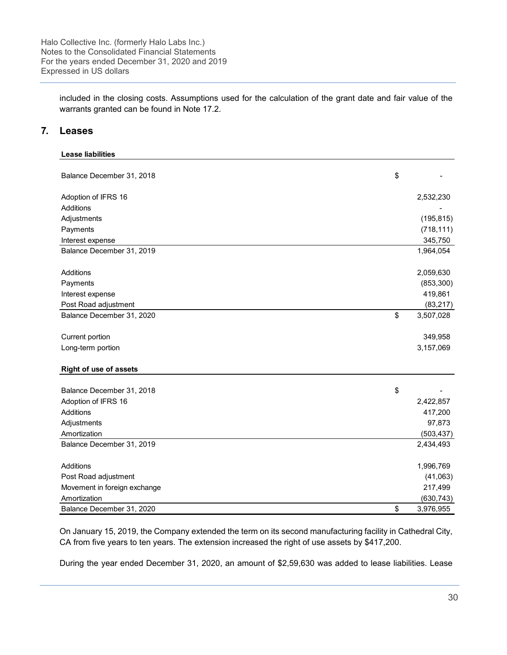included in the closing costs. Assumptions used for the calculation of the grant date and fair value of the warrants granted can be found in Note 17.2.

#### **7. Leases**

| <b>Lease liabilities</b>      |                 |
|-------------------------------|-----------------|
|                               |                 |
| Balance December 31, 2018     | \$              |
| Adoption of IFRS 16           | 2,532,230       |
| Additions                     |                 |
| Adjustments                   | (195, 815)      |
| Payments                      | (718, 111)      |
| Interest expense              | 345,750         |
| Balance December 31, 2019     | 1,964,054       |
| Additions                     | 2,059,630       |
| Payments                      | (853, 300)      |
| Interest expense              | 419,861         |
| Post Road adjustment          | (83, 217)       |
| Balance December 31, 2020     | \$<br>3,507,028 |
| Current portion               | 349,958         |
| Long-term portion             | 3,157,069       |
| <b>Right of use of assets</b> |                 |
| Balance December 31, 2018     | \$              |
| Adoption of IFRS 16           | 2,422,857       |
| Additions                     | 417,200         |
| Adjustments                   | 97,873          |
| Amortization                  | (503, 437)      |
| Balance December 31, 2019     | 2,434,493       |
| Additions                     | 1,996,769       |
| Post Road adjustment          | (41,063)        |
| Movement in foreign exchange  | 217,499         |
| Amortization                  | (630, 743)      |
| Balance December 31, 2020     | \$<br>3,976,955 |

On January 15, 2019, the Company extended the term on its second manufacturing facility in Cathedral City, CA from five years to ten years. The extension increased the right of use assets by \$417,200.

During the year ended December 31, 2020, an amount of \$2,59,630 was added to lease liabilities. Lease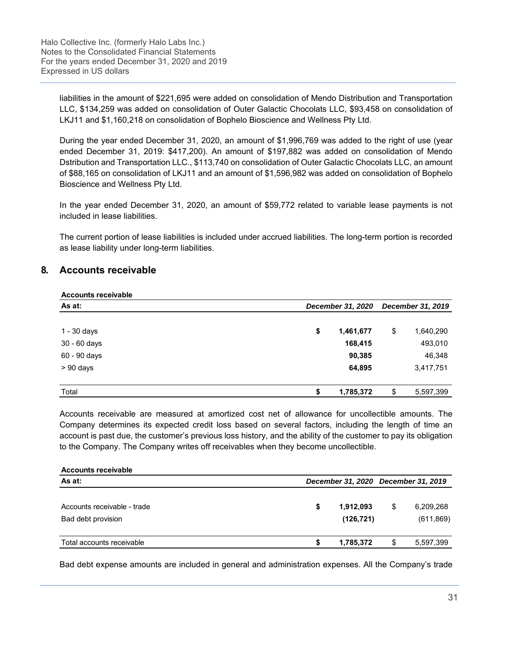liabilities in the amount of \$221,695 were added on consolidation of Mendo Distribution and Transportation LLC, \$134,259 was added on consolidation of Outer Galactic Chocolats LLC, \$93,458 on consolidation of LKJ11 and \$1,160,218 on consolidation of Bophelo Bioscience and Wellness Pty Ltd.

During the year ended December 31, 2020, an amount of \$1,996,769 was added to the right of use (year ended December 31, 2019: \$417,200). An amount of \$197,882 was added on consolidation of Mendo Dstribution and Transportation LLC., \$113,740 on consolidation of Outer Galactic Chocolats LLC, an amount of \$88,165 on consolidation of LKJ11 and an amount of \$1,596,982 was added on consolidation of Bophelo Bioscience and Wellness Pty Ltd.

In the year ended December 31, 2020, an amount of \$59,772 related to variable lease payments is not included in lease liabilities.

The current portion of lease liabilities is included under accrued liabilities. The long-term portion is recorded as lease liability under long-term liabilities.

#### **8. Accounts receivable**

| <b>Accounts receivable</b> |                   |           |    |                   |  |  |
|----------------------------|-------------------|-----------|----|-------------------|--|--|
| As at:                     | December 31, 2020 |           |    | December 31, 2019 |  |  |
| 1 - 30 days                | \$                | 1,461,677 | \$ | 1,640,290         |  |  |
| 30 - 60 days               |                   | 168,415   |    | 493,010           |  |  |
| 60 - 90 days               |                   | 90,385    |    | 46,348            |  |  |
| $> 90$ days                |                   | 64,895    |    | 3,417,751         |  |  |
| Total                      | \$                | 1,785,372 | \$ | 5,597,399         |  |  |

Accounts receivable are measured at amortized cost net of allowance for uncollectible amounts. The Company determines its expected credit loss based on several factors, including the length of time an account is past due, the customer's previous loss history, and the ability of the customer to pay its obligation to the Company. The Company writes off receivables when they become uncollectible.

| <b>Accounts receivable</b>  |                                     |    |            |  |  |
|-----------------------------|-------------------------------------|----|------------|--|--|
| As at:                      | December 31, 2020 December 31, 2019 |    |            |  |  |
| Accounts receivable - trade | 1,912,093                           | \$ | 6,209,268  |  |  |
| Bad debt provision          | (126, 721)                          |    | (611, 869) |  |  |
| Total accounts receivable   | 1,785,372                           |    | 5,597,399  |  |  |

Bad debt expense amounts are included in general and administration expenses. All the Company's trade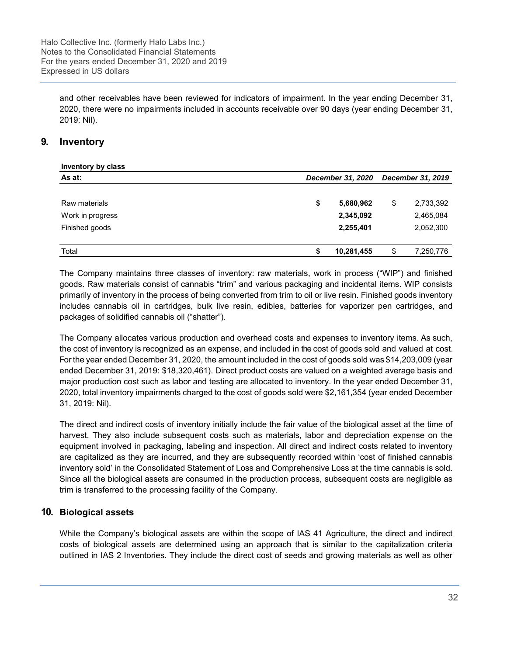and other receivables have been reviewed for indicators of impairment. In the year ending December 31, 2020, there were no impairments included in accounts receivable over 90 days (year ending December 31, 2019: Nil).

#### **9. Inventory**

| Inventory by class |                   |    |           |
|--------------------|-------------------|----|-----------|
| As at:             | December 31, 2020 |    |           |
|                    |                   |    |           |
| Raw materials      | \$<br>5,680,962   | \$ | 2,733,392 |
| Work in progress   | 2,345,092         |    | 2,465,084 |
| Finished goods     | 2,255,401         |    | 2,052,300 |
| Total              | 10,281,455        | \$ | 7,250,776 |

The Company maintains three classes of inventory: raw materials, work in process ("WIP") and finished goods. Raw materials consist of cannabis "trim" and various packaging and incidental items. WIP consists primarily of inventory in the process of being converted from trim to oil or live resin. Finished goods inventory includes cannabis oil in cartridges, bulk live resin, edibles, batteries for vaporizer pen cartridges, and packages of solidified cannabis oil ("shatter").

The Company allocates various production and overhead costs and expenses to inventory items. As such, the cost of inventory is recognized as an expense, and included in the cost of goods sold and valued at cost. For the year ended December 31, 2020, the amount included in the cost of goods sold was \$14,203,009 (year ended December 31, 2019: \$18,320,461). Direct product costs are valued on a weighted average basis and major production cost such as labor and testing are allocated to inventory. In the year ended December 31, 2020, total inventory impairments charged to the cost of goods sold were \$2,161,354 (year ended December 31, 2019: Nil).

The direct and indirect costs of inventory initially include the fair value of the biological asset at the time of harvest. They also include subsequent costs such as materials, labor and depreciation expense on the equipment involved in packaging, labeling and inspection. All direct and indirect costs related to inventory are capitalized as they are incurred, and they are subsequently recorded within 'cost of finished cannabis inventory sold' in the Consolidated Statement of Loss and Comprehensive Loss at the time cannabis is sold. Since all the biological assets are consumed in the production process, subsequent costs are negligible as trim is transferred to the processing facility of the Company.

#### **10. Biological assets**

While the Company's biological assets are within the scope of IAS 41 Agriculture, the direct and indirect costs of biological assets are determined using an approach that is similar to the capitalization criteria outlined in IAS 2 Inventories. They include the direct cost of seeds and growing materials as well as other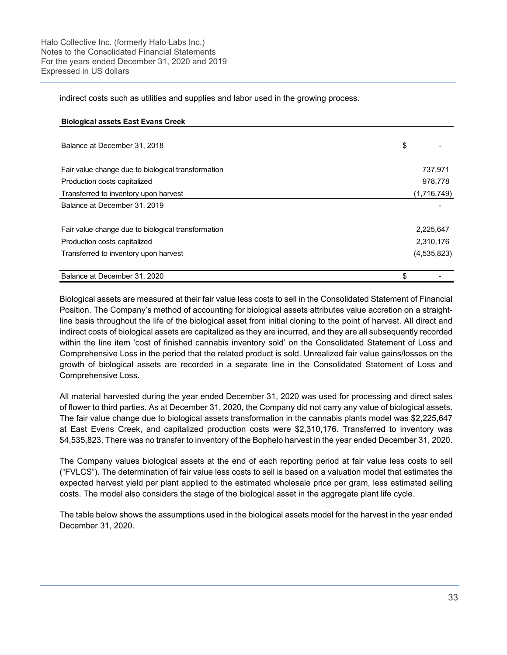indirect costs such as utilities and supplies and labor used in the growing process.

| <b>Biological assets East Evans Creek</b>          |               |
|----------------------------------------------------|---------------|
| Balance at December 31, 2018                       | \$            |
| Fair value change due to biological transformation | 737.971       |
| Production costs capitalized                       | 978,778       |
| Transferred to inventory upon harvest              | (1,716,749)   |
| Balance at December 31, 2019                       |               |
| Fair value change due to biological transformation | 2,225,647     |
| Production costs capitalized                       | 2,310,176     |
| Transferred to inventory upon harvest              | (4, 535, 823) |
| Balance at December 31, 2020                       | \$            |

Biological assets are measured at their fair value less costs to sell in the Consolidated Statement of Financial Position. The Company's method of accounting for biological assets attributes value accretion on a straightline basis throughout the life of the biological asset from initial cloning to the point of harvest. All direct and indirect costs of biological assets are capitalized as they are incurred, and they are all subsequently recorded within the line item 'cost of finished cannabis inventory sold' on the Consolidated Statement of Loss and Comprehensive Loss in the period that the related product is sold. Unrealized fair value gains/losses on the growth of biological assets are recorded in a separate line in the Consolidated Statement of Loss and Comprehensive Loss.

All material harvested during the year ended December 31, 2020 was used for processing and direct sales of flower to third parties. As at December 31, 2020, the Company did not carry any value of biological assets. The fair value change due to biological assets transformation in the cannabis plants model was \$2,225,647 at East Evens Creek, and capitalized production costs were \$2,310,176. Transferred to inventory was \$4,535,823. There was no transfer to inventory of the Bophelo harvest in the year ended December 31, 2020.

The Company values biological assets at the end of each reporting period at fair value less costs to sell ("FVLCS"). The determination of fair value less costs to sell is based on a valuation model that estimates the expected harvest yield per plant applied to the estimated wholesale price per gram, less estimated selling costs. The model also considers the stage of the biological asset in the aggregate plant life cycle.

The table below shows the assumptions used in the biological assets model for the harvest in the year ended December 31, 2020.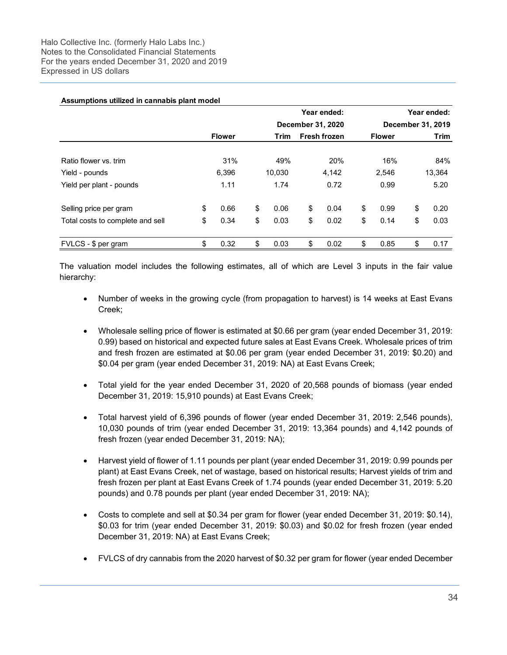|                                  |               |             | Year ended:         |               | Year ended:       |
|----------------------------------|---------------|-------------|---------------------|---------------|-------------------|
|                                  |               |             | December 31, 2020   |               | December 31, 2019 |
|                                  | <b>Flower</b> | <b>Trim</b> | <b>Fresh frozen</b> | <b>Flower</b> | Trim              |
|                                  |               |             |                     |               |                   |
| Ratio flower vs. trim            | 31%           | 49%         | 20%                 | 16%           | 84%               |
| Yield - pounds                   | 6,396         | 10,030      | 4,142               | 2,546         | 13,364            |
| Yield per plant - pounds         | 1.11          | 1.74        | 0.72                | 0.99          | 5.20              |
| Selling price per gram           | \$<br>0.66    | \$<br>0.06  | \$<br>0.04          | \$<br>0.99    | \$<br>0.20        |
| Total costs to complete and sell | \$<br>0.34    | \$<br>0.03  | \$<br>0.02          | \$<br>0.14    | \$<br>0.03        |
| FVLCS - \$ per gram              | \$<br>0.32    | \$<br>0.03  | \$<br>0.02          | \$<br>0.85    | \$<br>0.17        |

#### **Assumptions utilized in cannabis plant model**

The valuation model includes the following estimates, all of which are Level 3 inputs in the fair value hierarchy:

- Number of weeks in the growing cycle (from propagation to harvest) is 14 weeks at East Evans Creek;
- Wholesale selling price of flower is estimated at \$0.66 per gram (year ended December 31, 2019: 0.99) based on historical and expected future sales at East Evans Creek. Wholesale prices of trim and fresh frozen are estimated at \$0.06 per gram (year ended December 31, 2019: \$0.20) and \$0.04 per gram (year ended December 31, 2019: NA) at East Evans Creek;
- Total yield for the year ended December 31, 2020 of 20,568 pounds of biomass (year ended December 31, 2019: 15,910 pounds) at East Evans Creek;
- Total harvest yield of 6,396 pounds of flower (year ended December 31, 2019: 2,546 pounds), 10,030 pounds of trim (year ended December 31, 2019: 13,364 pounds) and 4,142 pounds of fresh frozen (year ended December 31, 2019: NA);
- Harvest yield of flower of 1.11 pounds per plant (year ended December 31, 2019: 0.99 pounds per plant) at East Evans Creek, net of wastage, based on historical results; Harvest yields of trim and fresh frozen per plant at East Evans Creek of 1.74 pounds (year ended December 31, 2019: 5.20 pounds) and 0.78 pounds per plant (year ended December 31, 2019: NA);
- Costs to complete and sell at \$0.34 per gram for flower (year ended December 31, 2019: \$0.14), \$0.03 for trim (year ended December 31, 2019: \$0.03) and \$0.02 for fresh frozen (year ended December 31, 2019: NA) at East Evans Creek;
- FVLCS of dry cannabis from the 2020 harvest of \$0.32 per gram for flower (year ended December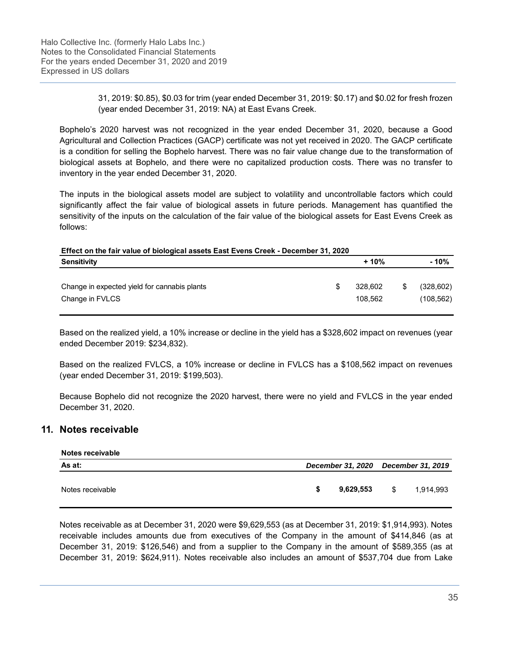31, 2019: \$0.85), \$0.03 for trim (year ended December 31, 2019: \$0.17) and \$0.02 for fresh frozen (year ended December 31, 2019: NA) at East Evans Creek.

Bophelo's 2020 harvest was not recognized in the year ended December 31, 2020, because a Good Agricultural and Collection Practices (GACP) certificate was not yet received in 2020. The GACP certificate is a condition for selling the Bophelo harvest. There was no fair value change due to the transformation of biological assets at Bophelo, and there were no capitalized production costs. There was no transfer to inventory in the year ended December 31, 2020.

The inputs in the biological assets model are subject to volatility and uncontrollable factors which could significantly affect the fair value of biological assets in future periods. Management has quantified the sensitivity of the inputs on the calculation of the fair value of the biological assets for East Evens Creek as follows:

| Effect on the fair value of biological assets East Evens Creek - December 31, 2020 |                    |   |                          |  |
|------------------------------------------------------------------------------------|--------------------|---|--------------------------|--|
|                                                                                    | $+10%$             |   | - 10%                    |  |
|                                                                                    | 328.602<br>108.562 | S | (328, 602)<br>(108, 562) |  |
|                                                                                    |                    |   |                          |  |

Based on the realized yield, a 10% increase or decline in the yield has a \$328,602 impact on revenues (year ended December 2019: \$234,832).

Based on the realized FVLCS, a 10% increase or decline in FVLCS has a \$108,562 impact on revenues (year ended December 31, 2019: \$199,503).

Because Bophelo did not recognize the 2020 harvest, there were no yield and FVLCS in the year ended December 31, 2020.

#### **11. Notes receivable**

| Notes receivable |           |     |                                     |
|------------------|-----------|-----|-------------------------------------|
| As at:           |           |     | December 31, 2020 December 31, 2019 |
| Notes receivable | 9,629,553 | - S | 1.914.993                           |

Notes receivable as at December 31, 2020 were \$9,629,553 (as at December 31, 2019: \$1,914,993). Notes receivable includes amounts due from executives of the Company in the amount of \$414,846 (as at December 31, 2019: \$126,546) and from a supplier to the Company in the amount of \$589,355 (as at December 31, 2019: \$624,911). Notes receivable also includes an amount of \$537,704 due from Lake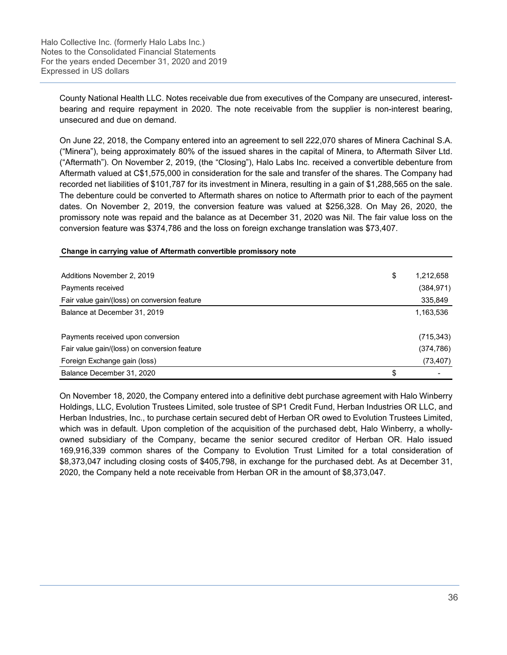County National Health LLC. Notes receivable due from executives of the Company are unsecured, interestbearing and require repayment in 2020. The note receivable from the supplier is non-interest bearing, unsecured and due on demand.

On June 22, 2018, the Company entered into an agreement to sell 222,070 shares of Minera Cachinal S.A. ("Minera"), being approximately 80% of the issued shares in the capital of Minera, to Aftermath Silver Ltd. ("Aftermath"). On November 2, 2019, (the "Closing"), Halo Labs Inc. received a convertible debenture from Aftermath valued at C\$1,575,000 in consideration for the sale and transfer of the shares. The Company had recorded net liabilities of \$101,787 for its investment in Minera, resulting in a gain of \$1,288,565 on the sale. The debenture could be converted to Aftermath shares on notice to Aftermath prior to each of the payment dates. On November 2, 2019, the conversion feature was valued at \$256,328. On May 26, 2020, the promissory note was repaid and the balance as at December 31, 2020 was Nil. The fair value loss on the conversion feature was \$374,786 and the loss on foreign exchange translation was \$73,407.

| <b>Prange in barrying value of Altermatic convertible promissory floto</b> |                 |
|----------------------------------------------------------------------------|-----------------|
|                                                                            |                 |
| Additions November 2, 2019                                                 | \$<br>1,212,658 |
| Payments received                                                          | (384, 971)      |
| Fair value gain/(loss) on conversion feature                               | 335,849         |
| Balance at December 31, 2019                                               | 1,163,536       |
| Payments received upon conversion                                          | (715, 343)      |
| Fair value gain/(loss) on conversion feature                               | (374, 786)      |
| Foreign Exchange gain (loss)                                               | (73, 407)       |
| Balance December 31, 2020                                                  | \$              |

#### **Change in carrying value of Aftermath convertible promissory note**

On November 18, 2020, the Company entered into a definitive debt purchase agreement with Halo Winberry Holdings, LLC, Evolution Trustees Limited, sole trustee of SP1 Credit Fund, Herban Industries OR LLC, and Herban Industries, Inc., to purchase certain secured debt of Herban OR owed to Evolution Trustees Limited, which was in default. Upon completion of the acquisition of the purchased debt, Halo Winberry, a whollyowned subsidiary of the Company, became the senior secured creditor of Herban OR. Halo issued 169,916,339 common shares of the Company to Evolution Trust Limited for a total consideration of \$8,373,047 including closing costs of \$405,798, in exchange for the purchased debt. As at December 31, 2020, the Company held a note receivable from Herban OR in the amount of \$8,373,047.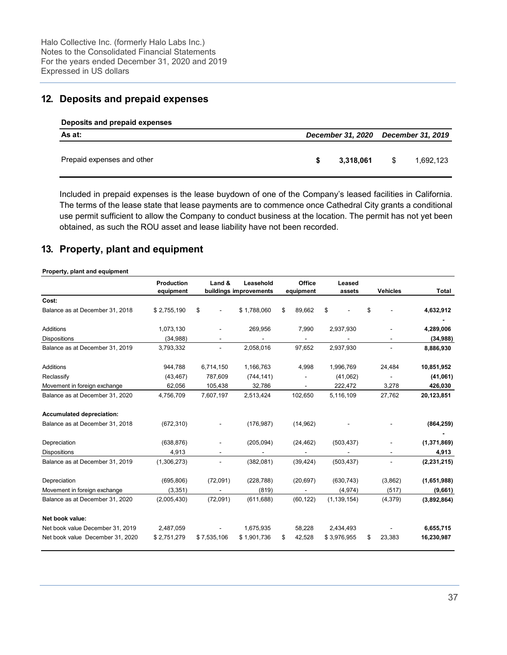# **12. Deposits and prepaid expenses**

| As at:                     |    |           |     | December 31, 2020 December 31, 2019 |
|----------------------------|----|-----------|-----|-------------------------------------|
| Prepaid expenses and other | S. | 3.318.061 | -SG | 1,692,123                           |

Included in prepaid expenses is the lease buydown of one of the Company's leased facilities in California. The terms of the lease state that lease payments are to commence once Cathedral City grants a conditional use permit sufficient to allow the Company to conduct business at the location. The permit has not yet been obtained, as such the ROU asset and lease liability have not been recorded.

# **13. Property, plant and equipment**

#### **Property, plant and equipment**

|                                  | <b>Production</b><br>equipment | Land &               | Leasehold<br>buildings improvements | Office<br>equipment | Leased<br>assets | <b>Vehicles</b>          | Total         |
|----------------------------------|--------------------------------|----------------------|-------------------------------------|---------------------|------------------|--------------------------|---------------|
| Cost:                            |                                |                      |                                     |                     |                  |                          |               |
| Balance as at December 31, 2018  | \$2.755.190                    | \$<br>$\blacksquare$ | \$1,788,060                         | \$<br>89.662        | \$               | \$                       | 4,632,912     |
| Additions                        | 1,073,130                      |                      | 269,956                             | 7,990               | 2,937,930        |                          | 4,289,006     |
| <b>Dispositions</b>              | (34,988)                       | $\blacksquare$       |                                     |                     |                  | $\overline{\phantom{a}}$ | (34, 988)     |
| Balance as at December 31, 2019  | 3,793,332                      |                      | 2,058,016                           | 97,652              | 2,937,930        |                          | 8,886,930     |
| Additions                        | 944,788                        | 6,714,150            | 1,166,763                           | 4.998               | 1,996,769        | 24,484                   | 10,851,952    |
| Reclassify                       | (43, 467)                      | 787,609              | (744, 141)                          |                     | (41,062)         |                          | (41,061)      |
| Movement in foreign exchange     | 62,056                         | 105,438              | 32,786                              | ٠                   | 222,472          | 3,278                    | 426,030       |
| Balance as at December 31, 2020  | 4,756,709                      | 7,607,197            | 2,513,424                           | 102,650             | 5,116,109        | 27,762                   | 20,123,851    |
| <b>Accumulated depreciation:</b> |                                |                      |                                     |                     |                  |                          |               |
| Balance as at December 31, 2018  | (672, 310)                     |                      | (176, 987)                          | (14, 962)           |                  |                          | (864, 259)    |
| Depreciation                     | (638, 876)                     |                      | (205, 094)                          | (24, 462)           | (503, 437)       |                          | (1,371,869)   |
| <b>Dispositions</b>              | 4.913                          |                      |                                     |                     |                  |                          | 4,913         |
| Balance as at December 31, 2019  | (1,306,273)                    | $\blacksquare$       | (382,081)                           | (39, 424)           | (503, 437)       |                          | (2, 231, 215) |
| Depreciation                     | (695, 806)                     | (72,091)             | (228, 788)                          | (20, 697)           | (630, 743)       | (3,862)                  | (1,651,988)   |
| Movement in foreign exchange     | (3, 351)                       |                      | (819)                               |                     | (4, 974)         | (517)                    | (9,661)       |
| Balance as at December 31, 2020  | (2,005,430)                    | (72,091)             | (611, 688)                          | (60, 122)           | (1, 139, 154)    | (4,379)                  | (3,892,864)   |
| Net book value:                  |                                |                      |                                     |                     |                  |                          |               |
| Net book value December 31, 2019 | 2,487,059                      |                      | 1,675,935                           | 58,228              | 2,434,493        |                          | 6,655,715     |
| Net book value December 31, 2020 | \$2,751,279                    | \$7,535,106          | \$1,901,736                         | \$<br>42,528        | \$3,976,955      | \$<br>23,383             | 16,230,987    |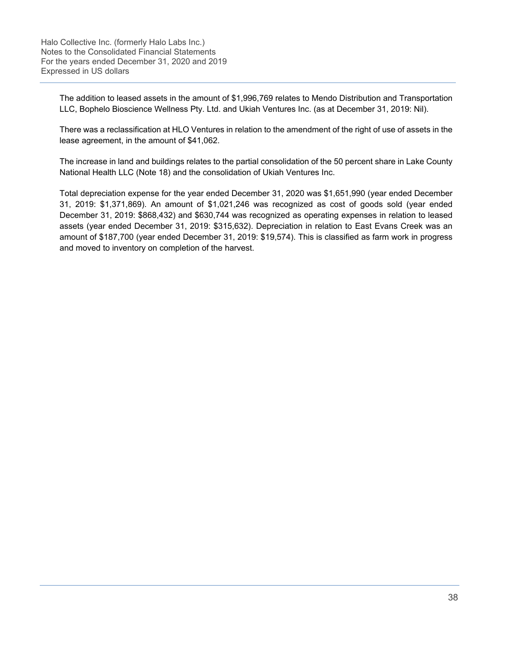The addition to leased assets in the amount of \$1,996,769 relates to Mendo Distribution and Transportation LLC, Bophelo Bioscience Wellness Pty. Ltd. and Ukiah Ventures Inc. (as at December 31, 2019: Nil).

There was a reclassification at HLO Ventures in relation to the amendment of the right of use of assets in the lease agreement, in the amount of \$41,062.

The increase in land and buildings relates to the partial consolidation of the 50 percent share in Lake County National Health LLC (Note 18) and the consolidation of Ukiah Ventures Inc.

Total depreciation expense for the year ended December 31, 2020 was \$1,651,990 (year ended December 31, 2019: \$1,371,869). An amount of \$1,021,246 was recognized as cost of goods sold (year ended December 31, 2019: \$868,432) and \$630,744 was recognized as operating expenses in relation to leased assets (year ended December 31, 2019: \$315,632). Depreciation in relation to East Evans Creek was an amount of \$187,700 (year ended December 31, 2019: \$19,574). This is classified as farm work in progress and moved to inventory on completion of the harvest.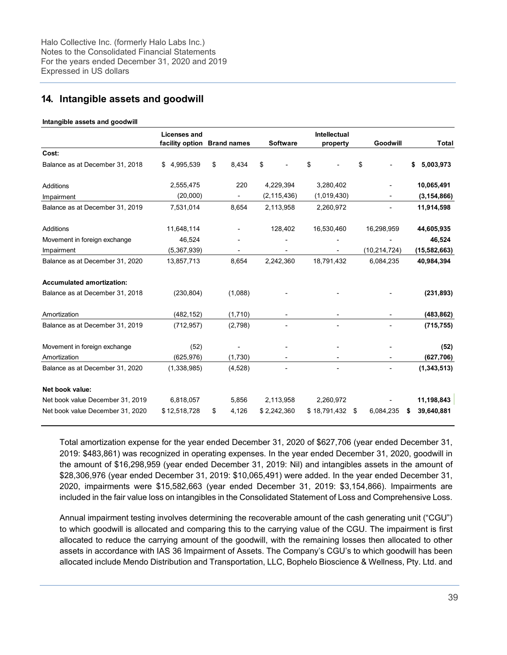# **14. Intangible assets and goodwill**

#### **Intangible assets and goodwill**

|                                  | <b>Licenses and</b>         |             |                 | <b>Intellectual</b> |     |                |                  |
|----------------------------------|-----------------------------|-------------|-----------------|---------------------|-----|----------------|------------------|
|                                  | facility option Brand names |             | <b>Software</b> | property            |     | Goodwill       | <b>Total</b>     |
| Cost:                            |                             |             |                 |                     |     |                |                  |
| Balance as at December 31, 2018  | 4,995,539<br>\$             | \$<br>8,434 | \$              | \$                  | \$  |                | 5,003,973        |
| Additions                        | 2,555,475                   | 220         | 4,229,394       | 3,280,402           |     |                | 10,065,491       |
| Impairment                       | (20,000)                    |             | (2, 115, 436)   | (1,019,430)         |     |                | (3, 154, 866)    |
| Balance as at December 31, 2019  | 7,531,014                   | 8,654       | 2,113,958       | 2,260,972           |     |                | 11,914,598       |
| Additions                        | 11,648,114                  |             | 128,402         | 16,530,460          |     | 16,298,959     | 44,605,935       |
| Movement in foreign exchange     | 46,524                      |             |                 |                     |     |                | 46,524           |
| Impairment                       | (5,367,939)                 |             |                 |                     |     | (10, 214, 724) | (15, 582, 663)   |
| Balance as at December 31, 2020  | 13,857,713                  | 8.654       | 2.242.360       | 18,791,432          |     | 6,084,235      | 40,984,394       |
| <b>Accumulated amortization:</b> |                             |             |                 |                     |     |                |                  |
| Balance as at December 31, 2018  | (230, 804)                  | (1,088)     |                 |                     |     |                | (231, 893)       |
| Amortization                     | (482, 152)                  | (1,710)     |                 |                     |     |                | (483, 862)       |
| Balance as at December 31, 2019  | (712, 957)                  | (2,798)     |                 |                     |     |                | (715, 755)       |
| Movement in foreign exchange     | (52)                        |             |                 |                     |     |                | (52)             |
| Amortization                     | (625, 976)                  | (1,730)     |                 |                     |     |                | (627, 706)       |
| Balance as at December 31, 2020  | (1,338,985)                 | (4,528)     |                 |                     |     |                | (1, 343, 513)    |
| Net book value:                  |                             |             |                 |                     |     |                |                  |
| Net book value December 31, 2019 | 6,818,057                   | 5,856       | 2,113,958       | 2,260,972           |     |                | 11,198,843       |
| Net book value December 31, 2020 | \$12,518,728                | \$<br>4.126 | \$2,242,360     | \$18,791,432        | -\$ | 6.084.235      | \$<br>39,640,881 |

Total amortization expense for the year ended December 31, 2020 of \$627,706 (year ended December 31, 2019: \$483,861) was recognized in operating expenses. In the year ended December 31, 2020, goodwill in the amount of \$16,298,959 (year ended December 31, 2019: Nil) and intangibles assets in the amount of \$28,306,976 (year ended December 31, 2019: \$10,065,491) were added. In the year ended December 31, 2020, impairments were \$15,582,663 (year ended December 31, 2019: \$3,154,866). Impairments are included in the fair value loss on intangibles in the Consolidated Statement of Loss and Comprehensive Loss.

Annual impairment testing involves determining the recoverable amount of the cash generating unit ("CGU") to which goodwill is allocated and comparing this to the carrying value of the CGU. The impairment is first allocated to reduce the carrying amount of the goodwill, with the remaining losses then allocated to other assets in accordance with IAS 36 Impairment of Assets. The Company's CGU's to which goodwill has been allocated include Mendo Distribution and Transportation, LLC, Bophelo Bioscience & Wellness, Pty. Ltd. and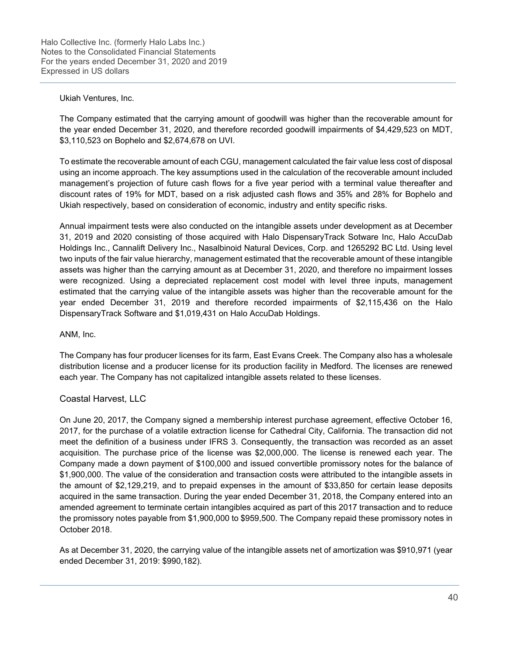## Ukiah Ventures, Inc.

The Company estimated that the carrying amount of goodwill was higher than the recoverable amount for the year ended December 31, 2020, and therefore recorded goodwill impairments of \$4,429,523 on MDT, \$3,110,523 on Bophelo and \$2,674,678 on UVI.

To estimate the recoverable amount of each CGU, management calculated the fair value less cost of disposal using an income approach. The key assumptions used in the calculation of the recoverable amount included management's projection of future cash flows for a five year period with a terminal value thereafter and discount rates of 19% for MDT, based on a risk adjusted cash flows and 35% and 28% for Bophelo and Ukiah respectively, based on consideration of economic, industry and entity specific risks.

Annual impairment tests were also conducted on the intangible assets under development as at December 31, 2019 and 2020 consisting of those acquired with Halo DispensaryTrack Sotware Inc, Halo AccuDab Holdings Inc., Cannalift Delivery Inc., Nasalbinoid Natural Devices, Corp. and 1265292 BC Ltd. Using level two inputs of the fair value hierarchy, management estimated that the recoverable amount of these intangible assets was higher than the carrying amount as at December 31, 2020, and therefore no impairment losses were recognized. Using a depreciated replacement cost model with level three inputs, management estimated that the carrying value of the intangible assets was higher than the recoverable amount for the year ended December 31, 2019 and therefore recorded impairments of \$2,115,436 on the Halo DispensaryTrack Software and \$1,019,431 on Halo AccuDab Holdings.

### ANM, Inc.

The Company has four producer licenses for its farm, East Evans Creek. The Company also has a wholesale distribution license and a producer license for its production facility in Medford. The licenses are renewed each year. The Company has not capitalized intangible assets related to these licenses.

## Coastal Harvest, LLC

On June 20, 2017, the Company signed a membership interest purchase agreement, effective October 16, 2017, for the purchase of a volatile extraction license for Cathedral City, California. The transaction did not meet the definition of a business under IFRS 3. Consequently, the transaction was recorded as an asset acquisition. The purchase price of the license was \$2,000,000. The license is renewed each year. The Company made a down payment of \$100,000 and issued convertible promissory notes for the balance of \$1,900,000. The value of the consideration and transaction costs were attributed to the intangible assets in the amount of \$2,129,219, and to prepaid expenses in the amount of \$33,850 for certain lease deposits acquired in the same transaction. During the year ended December 31, 2018, the Company entered into an amended agreement to terminate certain intangibles acquired as part of this 2017 transaction and to reduce the promissory notes payable from \$1,900,000 to \$959,500. The Company repaid these promissory notes in October 2018.

As at December 31, 2020, the carrying value of the intangible assets net of amortization was \$910,971 (year ended December 31, 2019: \$990,182).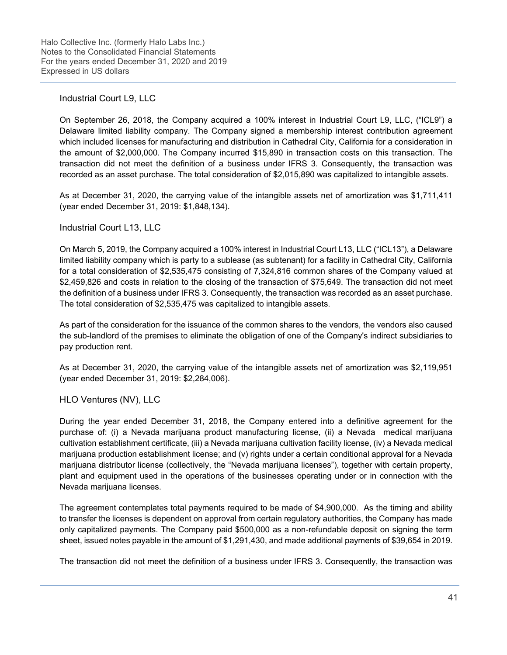# Industrial Court L9, LLC

On September 26, 2018, the Company acquired a 100% interest in Industrial Court L9, LLC, ("ICL9") a Delaware limited liability company. The Company signed a membership interest contribution agreement which included licenses for manufacturing and distribution in Cathedral City, California for a consideration in the amount of \$2,000,000. The Company incurred \$15,890 in transaction costs on this transaction. The transaction did not meet the definition of a business under IFRS 3. Consequently, the transaction was recorded as an asset purchase. The total consideration of \$2,015,890 was capitalized to intangible assets.

As at December 31, 2020, the carrying value of the intangible assets net of amortization was \$1,711,411 (year ended December 31, 2019: \$1,848,134).

## Industrial Court L13, LLC

On March 5, 2019, the Company acquired a 100% interest in Industrial Court L13, LLC ("ICL13"), a Delaware limited liability company which is party to a sublease (as subtenant) for a facility in Cathedral City, California for a total consideration of \$2,535,475 consisting of 7,324,816 common shares of the Company valued at \$2,459,826 and costs in relation to the closing of the transaction of \$75,649. The transaction did not meet the definition of a business under IFRS 3. Consequently, the transaction was recorded as an asset purchase. The total consideration of \$2,535,475 was capitalized to intangible assets.

As part of the consideration for the issuance of the common shares to the vendors, the vendors also caused the sub-landlord of the premises to eliminate the obligation of one of the Company's indirect subsidiaries to pay production rent.

As at December 31, 2020, the carrying value of the intangible assets net of amortization was \$2,119,951 (year ended December 31, 2019: \$2,284,006).

## HLO Ventures (NV), LLC

During the year ended December 31, 2018, the Company entered into a definitive agreement for the purchase of: (i) a Nevada marijuana product manufacturing license, (ii) a Nevada medical marijuana cultivation establishment certificate, (iii) a Nevada marijuana cultivation facility license, (iv) a Nevada medical marijuana production establishment license; and (v) rights under a certain conditional approval for a Nevada marijuana distributor license (collectively, the "Nevada marijuana licenses"), together with certain property, plant and equipment used in the operations of the businesses operating under or in connection with the Nevada marijuana licenses.

The agreement contemplates total payments required to be made of \$4,900,000. As the timing and ability to transfer the licenses is dependent on approval from certain regulatory authorities, the Company has made only capitalized payments. The Company paid \$500,000 as a non-refundable deposit on signing the term sheet, issued notes payable in the amount of \$1,291,430, and made additional payments of \$39,654 in 2019.

The transaction did not meet the definition of a business under IFRS 3. Consequently, the transaction was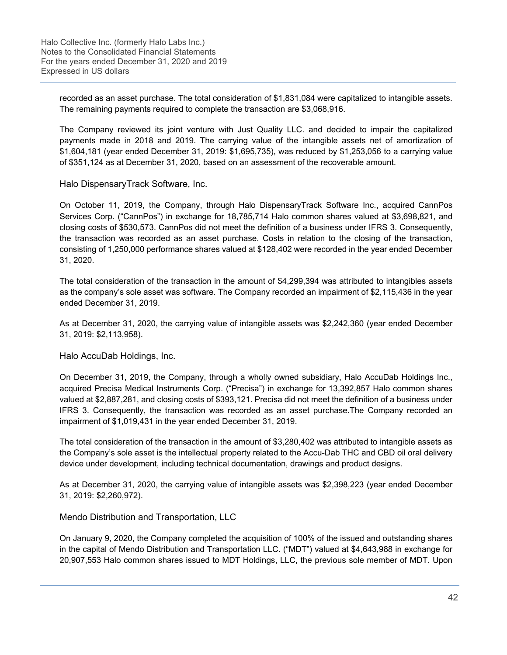recorded as an asset purchase. The total consideration of \$1,831,084 were capitalized to intangible assets. The remaining payments required to complete the transaction are \$3,068,916.

The Company reviewed its joint venture with Just Quality LLC. and decided to impair the capitalized payments made in 2018 and 2019. The carrying value of the intangible assets net of amortization of \$1,604,181 (year ended December 31, 2019: \$1,695,735), was reduced by \$1,253,056 to a carrying value of \$351,124 as at December 31, 2020, based on an assessment of the recoverable amount.

Halo DispensaryTrack Software, Inc.

On October 11, 2019, the Company, through Halo DispensaryTrack Software Inc., acquired CannPos Services Corp. ("CannPos") in exchange for 18,785,714 Halo common shares valued at \$3,698,821, and closing costs of \$530,573. CannPos did not meet the definition of a business under IFRS 3. Consequently, the transaction was recorded as an asset purchase. Costs in relation to the closing of the transaction, consisting of 1,250,000 performance shares valued at \$128,402 were recorded in the year ended December 31, 2020.

The total consideration of the transaction in the amount of \$4,299,394 was attributed to intangibles assets as the company's sole asset was software. The Company recorded an impairment of \$2,115,436 in the year ended December 31, 2019.

As at December 31, 2020, the carrying value of intangible assets was \$2,242,360 (year ended December 31, 2019: \$2,113,958).

Halo AccuDab Holdings, Inc.

On December 31, 2019, the Company, through a wholly owned subsidiary, Halo AccuDab Holdings Inc., acquired Precisa Medical Instruments Corp. ("Precisa") in exchange for 13,392,857 Halo common shares valued at \$2,887,281, and closing costs of \$393,121. Precisa did not meet the definition of a business under IFRS 3. Consequently, the transaction was recorded as an asset purchase.The Company recorded an impairment of \$1,019,431 in the year ended December 31, 2019.

The total consideration of the transaction in the amount of \$3,280,402 was attributed to intangible assets as the Company's sole asset is the intellectual property related to the Accu-Dab THC and CBD oil oral delivery device under development, including technical documentation, drawings and product designs.

As at December 31, 2020, the carrying value of intangible assets was \$2,398,223 (year ended December 31, 2019: \$2,260,972).

Mendo Distribution and Transportation, LLC

On January 9, 2020, the Company completed the acquisition of 100% of the issued and outstanding shares in the capital of Mendo Distribution and Transportation LLC. ("MDT") valued at \$4,643,988 in exchange for 20,907,553 Halo common shares issued to MDT Holdings, LLC, the previous sole member of MDT. Upon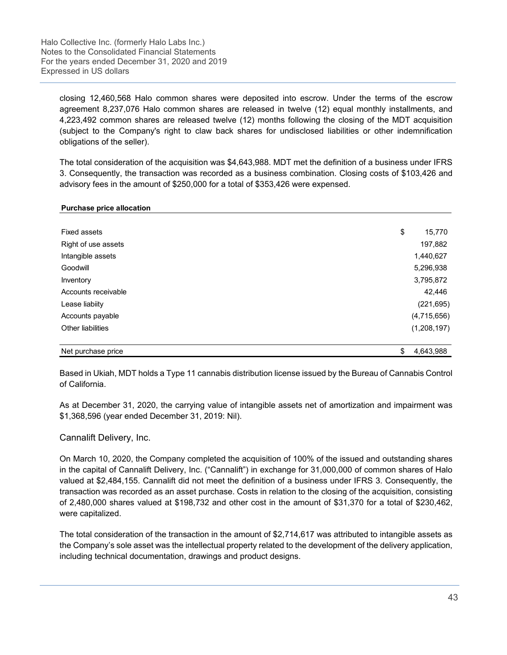closing 12,460,568 Halo common shares were deposited into escrow. Under the terms of the escrow agreement 8,237,076 Halo common shares are released in twelve (12) equal monthly installments, and 4,223,492 common shares are released twelve (12) months following the closing of the MDT acquisition (subject to the Company's right to claw back shares for undisclosed liabilities or other indemnification obligations of the seller).

The total consideration of the acquisition was \$4,643,988. MDT met the definition of a business under IFRS 3. Consequently, the transaction was recorded as a business combination. Closing costs of \$103,426 and advisory fees in the amount of \$250,000 for a total of \$353,426 were expensed.

### **Purchase price allocation**

| \$<br>4,643,988 |
|-----------------|
| (1,208,197)     |
|                 |
| (4,715,656)     |
| (221, 695)      |
| 42,446          |
| 3,795,872       |
| 5,296,938       |
| 1,440,627       |
| 197,882         |
| \$<br>15,770    |
|                 |

Based in Ukiah, MDT holds a Type 11 cannabis distribution license issued by the Bureau of Cannabis Control of California.

As at December 31, 2020, the carrying value of intangible assets net of amortization and impairment was \$1,368,596 (year ended December 31, 2019: Nil).

## Cannalift Delivery, Inc.

On March 10, 2020, the Company completed the acquisition of 100% of the issued and outstanding shares in the capital of Cannalift Delivery, Inc. ("Cannalift") in exchange for 31,000,000 of common shares of Halo valued at \$2,484,155. Cannalift did not meet the definition of a business under IFRS 3. Consequently, the transaction was recorded as an asset purchase. Costs in relation to the closing of the acquisition, consisting of 2,480,000 shares valued at \$198,732 and other cost in the amount of \$31,370 for a total of \$230,462, were capitalized.

The total consideration of the transaction in the amount of \$2,714,617 was attributed to intangible assets as the Company's sole asset was the intellectual property related to the development of the delivery application, including technical documentation, drawings and product designs.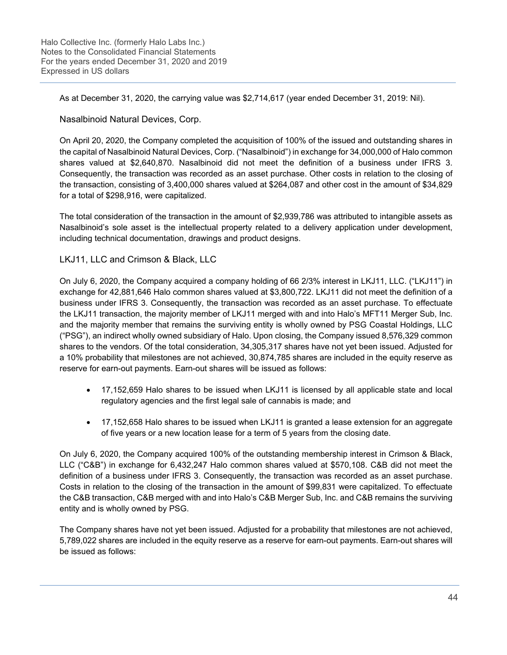As at December 31, 2020, the carrying value was \$2,714,617 (year ended December 31, 2019: Nil).

# Nasalbinoid Natural Devices, Corp.

On April 20, 2020, the Company completed the acquisition of 100% of the issued and outstanding shares in the capital of Nasalbinoid Natural Devices, Corp. ("Nasalbinoid") in exchange for 34,000,000 of Halo common shares valued at \$2,640,870. Nasalbinoid did not meet the definition of a business under IFRS 3. Consequently, the transaction was recorded as an asset purchase. Other costs in relation to the closing of the transaction, consisting of 3,400,000 shares valued at \$264,087 and other cost in the amount of \$34,829 for a total of \$298,916, were capitalized.

The total consideration of the transaction in the amount of \$2,939,786 was attributed to intangible assets as Nasalbinoid's sole asset is the intellectual property related to a delivery application under development, including technical documentation, drawings and product designs.

# LKJ11, LLC and Crimson & Black, LLC

On July 6, 2020, the Company acquired a company holding of 66 2/3% interest in LKJ11, LLC. ("LKJ11") in exchange for 42,881,646 Halo common shares valued at \$3,800,722. LKJ11 did not meet the definition of a business under IFRS 3. Consequently, the transaction was recorded as an asset purchase. To effectuate the LKJ11 transaction, the majority member of LKJ11 merged with and into Halo's MFT11 Merger Sub, Inc. and the majority member that remains the surviving entity is wholly owned by PSG Coastal Holdings, LLC ("PSG"), an indirect wholly owned subsidiary of Halo. Upon closing, the Company issued 8,576,329 common shares to the vendors. Of the total consideration, 34,305,317 shares have not yet been issued. Adjusted for a 10% probability that milestones are not achieved, 30,874,785 shares are included in the equity reserve as reserve for earn-out payments. Earn-out shares will be issued as follows:

- 17,152,659 Halo shares to be issued when LKJ11 is licensed by all applicable state and local regulatory agencies and the first legal sale of cannabis is made; and
- 17,152,658 Halo shares to be issued when LKJ11 is granted a lease extension for an aggregate of five years or a new location lease for a term of 5 years from the closing date.

On July 6, 2020, the Company acquired 100% of the outstanding membership interest in Crimson & Black, LLC ("C&B") in exchange for 6,432,247 Halo common shares valued at \$570,108. C&B did not meet the definition of a business under IFRS 3. Consequently, the transaction was recorded as an asset purchase. Costs in relation to the closing of the transaction in the amount of \$99,831 were capitalized. To effectuate the C&B transaction, C&B merged with and into Halo's C&B Merger Sub, Inc. and C&B remains the surviving entity and is wholly owned by PSG.

The Company shares have not yet been issued. Adjusted for a probability that milestones are not achieved, 5,789,022 shares are included in the equity reserve as a reserve for earn-out payments. Earn-out shares will be issued as follows: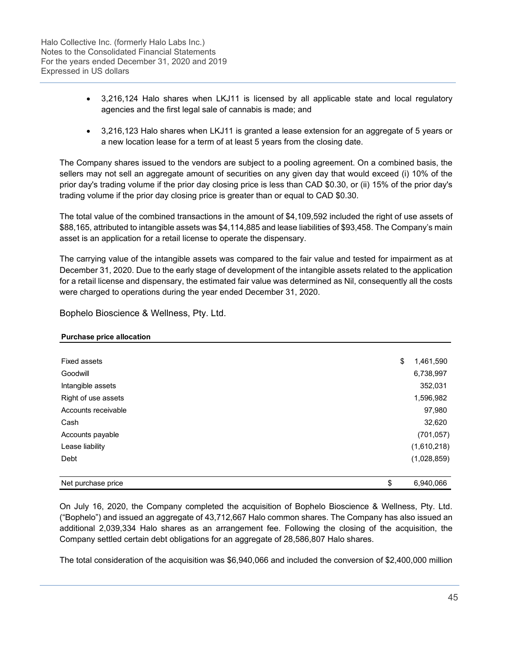- 3,216,124 Halo shares when LKJ11 is licensed by all applicable state and local regulatory agencies and the first legal sale of cannabis is made; and
- 3,216,123 Halo shares when LKJ11 is granted a lease extension for an aggregate of 5 years or a new location lease for a term of at least 5 years from the closing date.

The Company shares issued to the vendors are subject to a pooling agreement. On a combined basis, the sellers may not sell an aggregate amount of securities on any given day that would exceed (i) 10% of the prior day's trading volume if the prior day closing price is less than CAD \$0.30, or (ii) 15% of the prior day's trading volume if the prior day closing price is greater than or equal to CAD \$0.30.

The total value of the combined transactions in the amount of \$4,109,592 included the right of use assets of \$88,165, attributed to intangible assets was \$4,114,885 and lease liabilities of \$93,458. The Company's main asset is an application for a retail license to operate the dispensary.

The carrying value of the intangible assets was compared to the fair value and tested for impairment as at December 31, 2020. Due to the early stage of development of the intangible assets related to the application for a retail license and dispensary, the estimated fair value was determined as Nil, consequently all the costs were charged to operations during the year ended December 31, 2020.

Bophelo Bioscience & Wellness, Pty. Ltd.

### **Purchase price allocation**

| \$<br>6,940,066 |
|-----------------|
|                 |
| (1,028,859)     |
| (1,610,218)     |
| (701, 057)      |
| 32,620          |
| 97,980          |
| 1,596,982       |
| 352,031         |
| 6,738,997       |
| 1,461,590       |
| \$              |

On July 16, 2020, the Company completed the acquisition of Bophelo Bioscience & Wellness, Pty. Ltd. ("Bophelo") and issued an aggregate of 43,712,667 Halo common shares. The Company has also issued an additional 2,039,334 Halo shares as an arrangement fee. Following the closing of the acquisition, the Company settled certain debt obligations for an aggregate of 28,586,807 Halo shares.

The total consideration of the acquisition was \$6,940,066 and included the conversion of \$2,400,000 million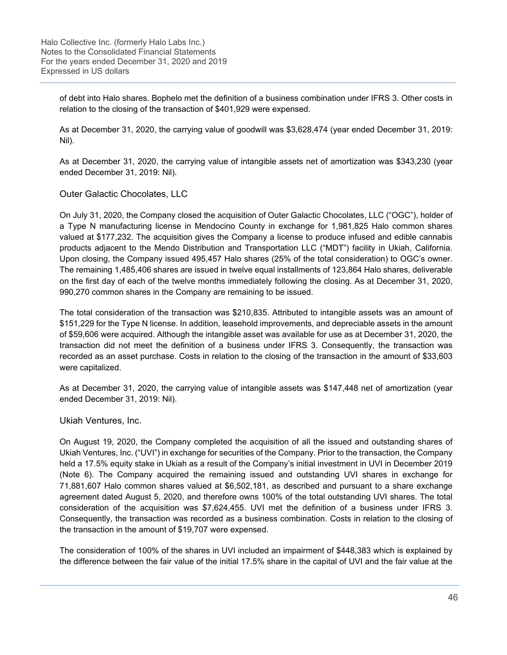of debt into Halo shares. Bophelo met the definition of a business combination under IFRS 3. Other costs in relation to the closing of the transaction of \$401,929 were expensed.

As at December 31, 2020, the carrying value of goodwill was \$3,628,474 (year ended December 31, 2019: Nil).

As at December 31, 2020, the carrying value of intangible assets net of amortization was \$343,230 (year ended December 31, 2019: Nil).

Outer Galactic Chocolates, LLC

On July 31, 2020, the Company closed the acquisition of Outer Galactic Chocolates, LLC ("OGC"), holder of a Type N manufacturing license in Mendocino County in exchange for 1,981,825 Halo common shares valued at \$177,232. The acquisition gives the Company a license to produce infused and edible cannabis products adjacent to the Mendo Distribution and Transportation LLC ("MDT") facility in Ukiah, California. Upon closing, the Company issued 495,457 Halo shares (25% of the total consideration) to OGC's owner. The remaining 1,485,406 shares are issued in twelve equal installments of 123,864 Halo shares, deliverable on the first day of each of the twelve months immediately following the closing. As at December 31, 2020, 990,270 common shares in the Company are remaining to be issued.

The total consideration of the transaction was \$210,835. Attributed to intangible assets was an amount of \$151,229 for the Type N license. In addition, leasehold improvements, and depreciable assets in the amount of \$59,606 were acquired. Although the intangible asset was available for use as at December 31, 2020, the transaction did not meet the definition of a business under IFRS 3. Consequently, the transaction was recorded as an asset purchase. Costs in relation to the closing of the transaction in the amount of \$33,603 were capitalized.

As at December 31, 2020, the carrying value of intangible assets was \$147,448 net of amortization (year ended December 31, 2019: Nil).

Ukiah Ventures, Inc.

On August 19, 2020, the Company completed the acquisition of all the issued and outstanding shares of Ukiah Ventures, Inc. ("UVI") in exchange for securities of the Company. Prior to the transaction, the Company held a 17.5% equity stake in Ukiah as a result of the Company's initial investment in UVI in December 2019 (Note 6). The Company acquired the remaining issued and outstanding UVI shares in exchange for 71,881,607 Halo common shares valued at \$6,502,181, as described and pursuant to a share exchange agreement dated August 5, 2020, and therefore owns 100% of the total outstanding UVI shares. The total consideration of the acquisition was \$7,624,455. UVI met the definition of a business under IFRS 3. Consequently, the transaction was recorded as a business combination. Costs in relation to the closing of the transaction in the amount of \$19,707 were expensed.

The consideration of 100% of the shares in UVI included an impairment of \$448,383 which is explained by the difference between the fair value of the initial 17.5% share in the capital of UVI and the fair value at the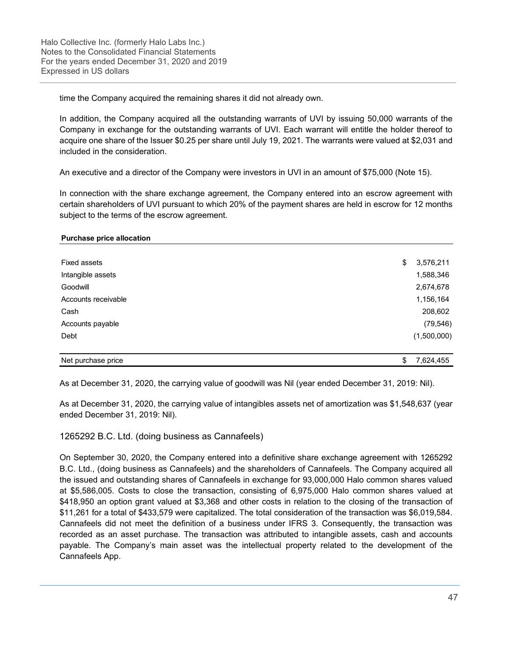time the Company acquired the remaining shares it did not already own.

In addition, the Company acquired all the outstanding warrants of UVI by issuing 50,000 warrants of the Company in exchange for the outstanding warrants of UVI. Each warrant will entitle the holder thereof to acquire one share of the Issuer \$0.25 per share until July 19, 2021. The warrants were valued at \$2,031 and included in the consideration.

An executive and a director of the Company were investors in UVI in an amount of \$75,000 (Note 15).

In connection with the share exchange agreement, the Company entered into an escrow agreement with certain shareholders of UVI pursuant to which 20% of the payment shares are held in escrow for 12 months subject to the terms of the escrow agreement.

### **Purchase price allocation**

| Net purchase price  | 7,624,455<br>\$ |
|---------------------|-----------------|
| Debt                | (1,500,000)     |
| Accounts payable    | (79, 546)       |
| Cash                | 208,602         |
| Accounts receivable | 1,156,164       |
| Goodwill            | 2,674,678       |
| Intangible assets   | 1,588,346       |
| <b>Fixed assets</b> | 3,576,211<br>\$ |
|                     |                 |

As at December 31, 2020, the carrying value of goodwill was Nil (year ended December 31, 2019: Nil).

As at December 31, 2020, the carrying value of intangibles assets net of amortization was \$1,548,637 (year ended December 31, 2019: Nil).

1265292 B.C. Ltd. (doing business as Cannafeels)

On September 30, 2020, the Company entered into a definitive share exchange agreement with 1265292 B.C. Ltd., (doing business as Cannafeels) and the shareholders of Cannafeels. The Company acquired all the issued and outstanding shares of Cannafeels in exchange for 93,000,000 Halo common shares valued at \$5,586,005. Costs to close the transaction, consisting of 6,975,000 Halo common shares valued at \$418,950 an option grant valued at \$3,368 and other costs in relation to the closing of the transaction of \$11,261 for a total of \$433,579 were capitalized. The total consideration of the transaction was \$6,019,584. Cannafeels did not meet the definition of a business under IFRS 3. Consequently, the transaction was recorded as an asset purchase. The transaction was attributed to intangible assets, cash and accounts payable. The Company's main asset was the intellectual property related to the development of the Cannafeels App.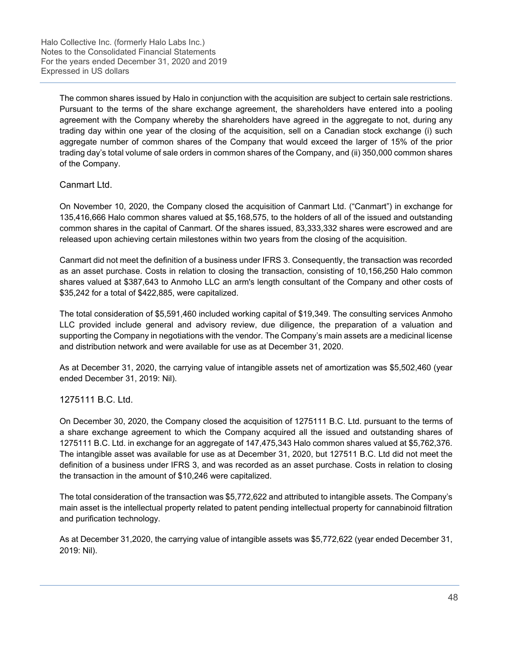The common shares issued by Halo in conjunction with the acquisition are subject to certain sale restrictions. Pursuant to the terms of the share exchange agreement, the shareholders have entered into a pooling agreement with the Company whereby the shareholders have agreed in the aggregate to not, during any trading day within one year of the closing of the acquisition, sell on a Canadian stock exchange (i) such aggregate number of common shares of the Company that would exceed the larger of 15% of the prior trading day's total volume of sale orders in common shares of the Company, and (ii) 350,000 common shares of the Company.

## Canmart Ltd.

On November 10, 2020, the Company closed the acquisition of Canmart Ltd. ("Canmart") in exchange for 135,416,666 Halo common shares valued at \$5,168,575, to the holders of all of the issued and outstanding common shares in the capital of Canmart. Of the shares issued, 83,333,332 shares were escrowed and are released upon achieving certain milestones within two years from the closing of the acquisition.

Canmart did not meet the definition of a business under IFRS 3. Consequently, the transaction was recorded as an asset purchase. Costs in relation to closing the transaction, consisting of 10,156,250 Halo common shares valued at \$387,643 to Anmoho LLC an arm's length consultant of the Company and other costs of \$35,242 for a total of \$422,885, were capitalized.

The total consideration of \$5,591,460 included working capital of \$19,349. The consulting services Anmoho LLC provided include general and advisory review, due diligence, the preparation of a valuation and supporting the Company in negotiations with the vendor. The Company's main assets are a medicinal license and distribution network and were available for use as at December 31, 2020.

As at December 31, 2020, the carrying value of intangible assets net of amortization was \$5,502,460 (year ended December 31, 2019: Nil).

# 1275111 B.C. Ltd.

On December 30, 2020, the Company closed the acquisition of 1275111 B.C. Ltd. pursuant to the terms of a share exchange agreement to which the Company acquired all the issued and outstanding shares of 1275111 B.C. Ltd. in exchange for an aggregate of 147,475,343 Halo common shares valued at \$5,762,376. The intangible asset was available for use as at December 31, 2020, but 127511 B.C. Ltd did not meet the definition of a business under IFRS 3, and was recorded as an asset purchase. Costs in relation to closing the transaction in the amount of \$10,246 were capitalized.

The total consideration of the transaction was \$5,772,622 and attributed to intangible assets. The Company's main asset is the intellectual property related to patent pending intellectual property for cannabinoid filtration and purification technology.

As at December 31,2020, the carrying value of intangible assets was \$5,772,622 (year ended December 31, 2019: Nil).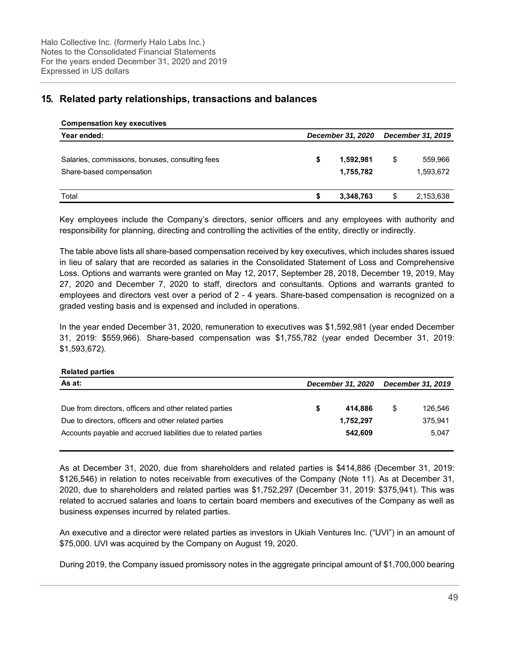# **15. Related party relationships, transactions and balances**

|  | <b>Compensation key executives</b> |  |
|--|------------------------------------|--|
|--|------------------------------------|--|

| Year ended:                                                                 | December 31, 2020      |    | December 31, 2019    |
|-----------------------------------------------------------------------------|------------------------|----|----------------------|
| Salaries, commissions, bonuses, consulting fees<br>Share-based compensation | 1,592,981<br>1,755,782 | \$ | 559,966<br>1,593,672 |
| Total                                                                       | 3,348,763              | S  | 2,153,638            |

Key employees include the Company's directors, senior officers and any employees with authority and responsibility for planning, directing and controlling the activities of the entity, directly or indirectly.

The table above lists all share-based compensation received by key executives, which includes shares issued in lieu of salary that are recorded as salaries in the Consolidated Statement of Loss and Comprehensive Loss. Options and warrants were granted on May 12, 2017, September 28, 2018, December 19, 2019, May 27, 2020 and December 7, 2020 to staff, directors and consultants. Options and warrants granted to employees and directors vest over a period of 2 - 4 years. Share-based compensation is recognized on a graded vesting basis and is expensed and included in operations.

In the year ended December 31, 2020, remuneration to executives was \$1,592,981 (year ended December 31, 2019: \$559,966). Share-based compensation was \$1,755,782 (year ended December 31, 2019: \$1,593,672).

| <b>Related parties</b>                                          |                   |                   |
|-----------------------------------------------------------------|-------------------|-------------------|
| As at:                                                          | December 31, 2020 | December 31, 2019 |
|                                                                 |                   |                   |
| Due from directors, officers and other related parties          | 414.886           | \$<br>126,546     |
| Due to directors, officers and other related parties            | 1,752,297         | 375,941           |
| Accounts payable and accrued liabilities due to related parties | 542.609           | 5,047             |

As at December 31, 2020, due from shareholders and related parties is \$414,886 (December 31, 2019: \$126,546) in relation to notes receivable from executives of the Company (Note 11). As at December 31, 2020, due to shareholders and related parties was \$1,752,297 (December 31, 2019: \$375,941). This was related to accrued salaries and loans to certain board members and executives of the Company as well as business expenses incurred by related parties.

An executive and a director were related parties as investors in Ukiah Ventures Inc. ("UVI") in an amount of \$75,000. UVI was acquired by the Company on August 19, 2020.

During 2019, the Company issued promissory notes in the aggregate principal amount of \$1,700,000 bearing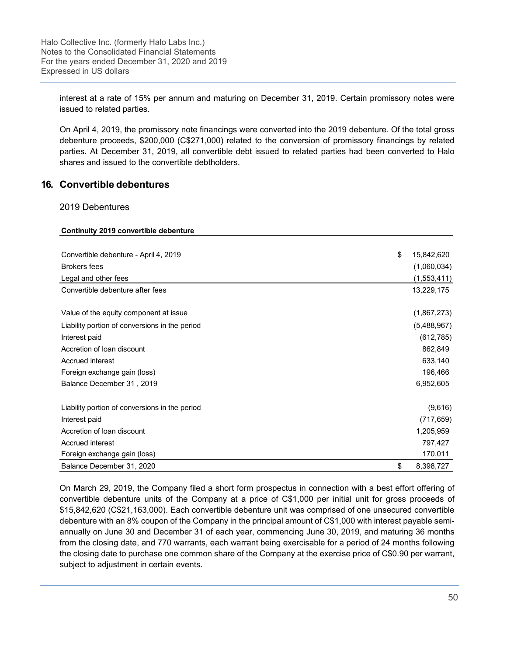interest at a rate of 15% per annum and maturing on December 31, 2019. Certain promissory notes were issued to related parties.

On April 4, 2019, the promissory note financings were converted into the 2019 debenture. Of the total gross debenture proceeds, \$200,000 (C\$271,000) related to the conversion of promissory financings by related parties. At December 31, 2019, all convertible debt issued to related parties had been converted to Halo shares and issued to the convertible debtholders.

# **16. Convertible debentures**

## 2019 Debentures

### **Continuity 2019 convertible debenture**

| Convertible debenture - April 4, 2019          | \$<br>15,842,620 |
|------------------------------------------------|------------------|
| <b>Brokers</b> fees                            | (1,060,034)      |
| Legal and other fees                           | (1,553,411)      |
| Convertible debenture after fees               | 13,229,175       |
|                                                |                  |
| Value of the equity component at issue         | (1,867,273)      |
| Liability portion of conversions in the period | (5,488,967)      |
| Interest paid                                  | (612, 785)       |
| Accretion of loan discount                     | 862,849          |
| Accrued interest                               | 633,140          |
| Foreign exchange gain (loss)                   | 196,466          |
| Balance December 31, 2019                      | 6,952,605        |
| Liability portion of conversions in the period | (9,616)          |
| Interest paid                                  | (717, 659)       |
| Accretion of loan discount                     | 1,205,959        |
| Accrued interest                               | 797,427          |
| Foreign exchange gain (loss)                   | 170,011          |
| Balance December 31, 2020                      | \$<br>8,398,727  |

On March 29, 2019, the Company filed a short form prospectus in connection with a best effort offering of convertible debenture units of the Company at a price of C\$1,000 per initial unit for gross proceeds of \$15,842,620 (C\$21,163,000). Each convertible debenture unit was comprised of one unsecured convertible debenture with an 8% coupon of the Company in the principal amount of C\$1,000 with interest payable semiannually on June 30 and December 31 of each year, commencing June 30, 2019, and maturing 36 months from the closing date, and 770 warrants, each warrant being exercisable for a period of 24 months following the closing date to purchase one common share of the Company at the exercise price of C\$0.90 per warrant, subject to adjustment in certain events.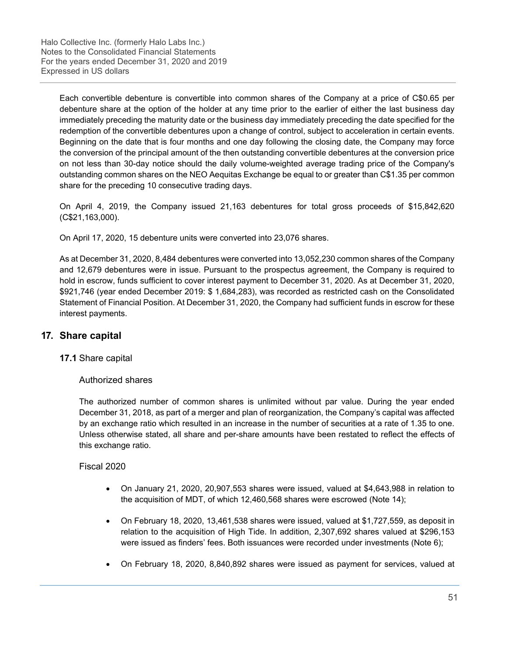Each convertible debenture is convertible into common shares of the Company at a price of C\$0.65 per debenture share at the option of the holder at any time prior to the earlier of either the last business day immediately preceding the maturity date or the business day immediately preceding the date specified for the redemption of the convertible debentures upon a change of control, subject to acceleration in certain events. Beginning on the date that is four months and one day following the closing date, the Company may force the conversion of the principal amount of the then outstanding convertible debentures at the conversion price on not less than 30-day notice should the daily volume-weighted average trading price of the Company's outstanding common shares on the NEO Aequitas Exchange be equal to or greater than C\$1.35 per common share for the preceding 10 consecutive trading days.

On April 4, 2019, the Company issued 21,163 debentures for total gross proceeds of \$15,842,620 (C\$21,163,000).

On April 17, 2020, 15 debenture units were converted into 23,076 shares.

As at December 31, 2020, 8,484 debentures were converted into 13,052,230 common shares of the Company and 12,679 debentures were in issue. Pursuant to the prospectus agreement, the Company is required to hold in escrow, funds sufficient to cover interest payment to December 31, 2020. As at December 31, 2020, \$921,746 (year ended December 2019: \$ 1,684,283), was recorded as restricted cash on the Consolidated Statement of Financial Position. At December 31, 2020, the Company had sufficient funds in escrow for these interest payments.

# **17. Share capital**

## **17.1** Share capital

## Authorized shares

The authorized number of common shares is unlimited without par value. During the year ended December 31, 2018, as part of a merger and plan of reorganization, the Company's capital was affected by an exchange ratio which resulted in an increase in the number of securities at a rate of 1.35 to one. Unless otherwise stated, all share and per-share amounts have been restated to reflect the effects of this exchange ratio.

Fiscal 2020

- On January 21, 2020, 20,907,553 shares were issued, valued at \$4,643,988 in relation to the acquisition of MDT, of which 12,460,568 shares were escrowed (Note 14);
- On February 18, 2020, 13,461,538 shares were issued, valued at \$1,727,559, as deposit in relation to the acquisition of High Tide. In addition, 2,307,692 shares valued at \$296,153 were issued as finders' fees. Both issuances were recorded under investments (Note 6);
- On February 18, 2020, 8,840,892 shares were issued as payment for services, valued at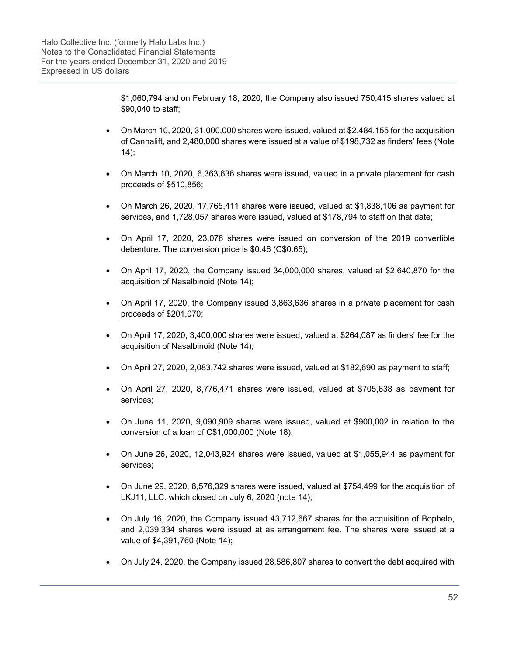\$1,060,794 and on February 18, 2020, the Company also issued 750,415 shares valued at \$90,040 to staff;

- On March 10, 2020, 31,000,000 shares were issued, valued at \$2,484,155 for the acquisition of Cannalift, and 2,480,000 shares were issued at a value of \$198,732 as finders' fees (Note  $14$ :
- On March 10, 2020, 6,363,636 shares were issued, valued in a private placement for cash proceeds of \$510,856;
- On March 26, 2020, 17,765,411 shares were issued, valued at \$1,838,106 as payment for services, and 1,728,057 shares were issued, valued at \$178,794 to staff on that date;
- On April 17, 2020, 23,076 shares were issued on conversion of the 2019 convertible debenture. The conversion price is \$0.46 (C\$0.65);
- On April 17, 2020, the Company issued 34,000,000 shares, valued at \$2,640,870 for the acquisition of Nasalbinoid (Note 14);
- On April 17, 2020, the Company issued 3,863,636 shares in a private placement for cash proceeds of \$201,070;
- On April 17, 2020, 3,400,000 shares were issued, valued at \$264,087 as finders' fee for the acquisition of Nasalbinoid (Note 14);
- On April 27, 2020, 2,083,742 shares were issued, valued at \$182,690 as payment to staff;
- On April 27, 2020, 8,776,471 shares were issued, valued at \$705,638 as payment for services;
- On June 11, 2020, 9,090,909 shares were issued, valued at \$900,002 in relation to the conversion of a loan of C\$1,000,000 (Note 18);
- On June 26, 2020, 12,043,924 shares were issued, valued at \$1,055,944 as payment for services;
- On June 29, 2020, 8,576,329 shares were issued, valued at \$754,499 for the acquisition of LKJ11, LLC. which closed on July 6, 2020 (note 14);
- On July 16, 2020, the Company issued 43,712,667 shares for the acquisition of Bophelo, and 2,039,334 shares were issued at as arrangement fee. The shares were issued at a value of \$4,391,760 (Note 14);
- On July 24, 2020, the Company issued 28,586,807 shares to convert the debt acquired with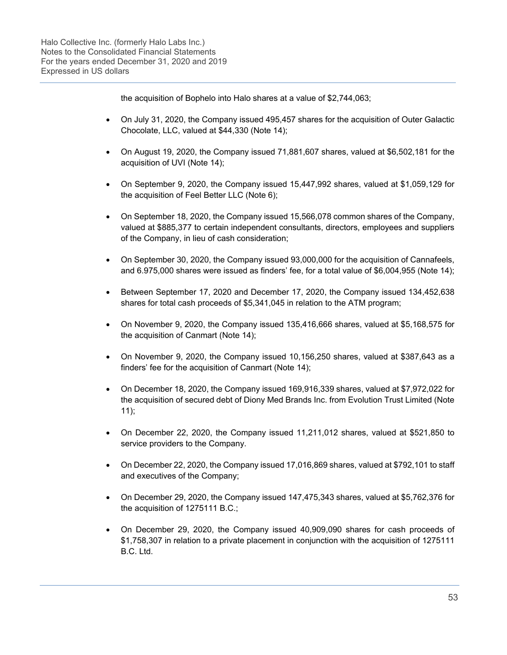the acquisition of Bophelo into Halo shares at a value of \$2,744,063;

- On July 31, 2020, the Company issued 495,457 shares for the acquisition of Outer Galactic Chocolate, LLC, valued at \$44,330 (Note 14);
- On August 19, 2020, the Company issued 71,881,607 shares, valued at \$6,502,181 for the acquisition of UVI (Note 14);
- On September 9, 2020, the Company issued 15,447,992 shares, valued at \$1,059,129 for the acquisition of Feel Better LLC (Note 6);
- On September 18, 2020, the Company issued 15,566,078 common shares of the Company, valued at \$885,377 to certain independent consultants, directors, employees and suppliers of the Company, in lieu of cash consideration;
- On September 30, 2020, the Company issued 93,000,000 for the acquisition of Cannafeels, and 6.975,000 shares were issued as finders' fee, for a total value of \$6,004,955 (Note 14);
- Between September 17, 2020 and December 17, 2020, the Company issued 134,452,638 shares for total cash proceeds of \$5,341,045 in relation to the ATM program;
- On November 9, 2020, the Company issued 135,416,666 shares, valued at \$5,168,575 for the acquisition of Canmart (Note 14);
- On November 9, 2020, the Company issued 10,156,250 shares, valued at \$387,643 as a finders' fee for the acquisition of Canmart (Note 14);
- On December 18, 2020, the Company issued 169,916,339 shares, valued at \$7,972,022 for the acquisition of secured debt of Diony Med Brands Inc. from Evolution Trust Limited (Note  $11$ );
- On December 22, 2020, the Company issued 11,211,012 shares, valued at \$521,850 to service providers to the Company.
- On December 22, 2020, the Company issued 17,016,869 shares, valued at \$792,101 to staff and executives of the Company;
- On December 29, 2020, the Company issued 147,475,343 shares, valued at \$5,762,376 for the acquisition of 1275111 B.C.;
- On December 29, 2020, the Company issued 40,909,090 shares for cash proceeds of \$1,758,307 in relation to a private placement in conjunction with the acquisition of 1275111 B.C. Ltd.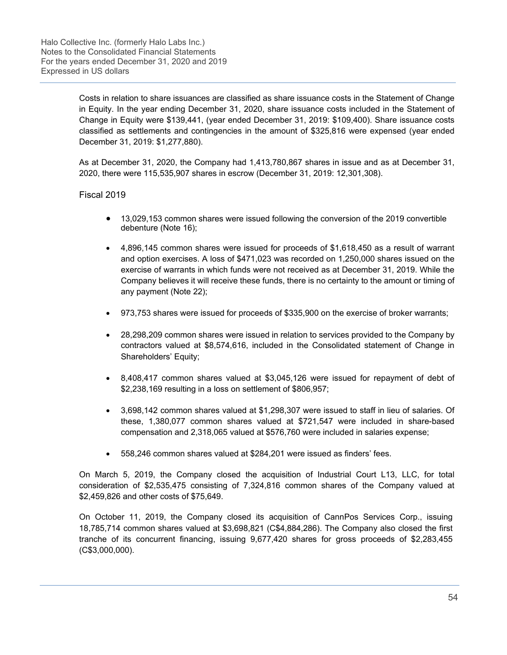Costs in relation to share issuances are classified as share issuance costs in the Statement of Change in Equity. In the year ending December 31, 2020, share issuance costs included in the Statement of Change in Equity were \$139,441, (year ended December 31, 2019: \$109,400). Share issuance costs classified as settlements and contingencies in the amount of \$325,816 were expensed (year ended December 31, 2019: \$1,277,880).

As at December 31, 2020, the Company had 1,413,780,867 shares in issue and as at December 31, 2020, there were 115,535,907 shares in escrow (December 31, 2019: 12,301,308).

Fiscal 2019

- 13,029,153 common shares were issued following the conversion of the 2019 convertible debenture (Note 16);
- 4,896,145 common shares were issued for proceeds of \$1,618,450 as a result of warrant and option exercises. A loss of \$471,023 was recorded on 1,250,000 shares issued on the exercise of warrants in which funds were not received as at December 31, 2019. While the Company believes it will receive these funds, there is no certainty to the amount or timing of any payment (Note 22);
- 973,753 shares were issued for proceeds of \$335,900 on the exercise of broker warrants;
- 28,298,209 common shares were issued in relation to services provided to the Company by contractors valued at \$8,574,616, included in the Consolidated statement of Change in Shareholders' Equity;
- 8,408,417 common shares valued at \$3,045,126 were issued for repayment of debt of \$2,238,169 resulting in a loss on settlement of \$806,957;
- 3,698,142 common shares valued at \$1,298,307 were issued to staff in lieu of salaries. Of these, 1,380,077 common shares valued at \$721,547 were included in share-based compensation and 2,318,065 valued at \$576,760 were included in salaries expense;
- 558,246 common shares valued at \$284,201 were issued as finders' fees.

On March 5, 2019, the Company closed the acquisition of Industrial Court L13, LLC, for total consideration of \$2,535,475 consisting of 7,324,816 common shares of the Company valued at \$2,459,826 and other costs of \$75,649.

On October 11, 2019, the Company closed its acquisition of CannPos Services Corp., issuing 18,785,714 common shares valued at \$3,698,821 (C\$4,884,286). The Company also closed the first tranche of its concurrent financing, issuing 9,677,420 shares for gross proceeds of \$2,283,455 (C\$3,000,000).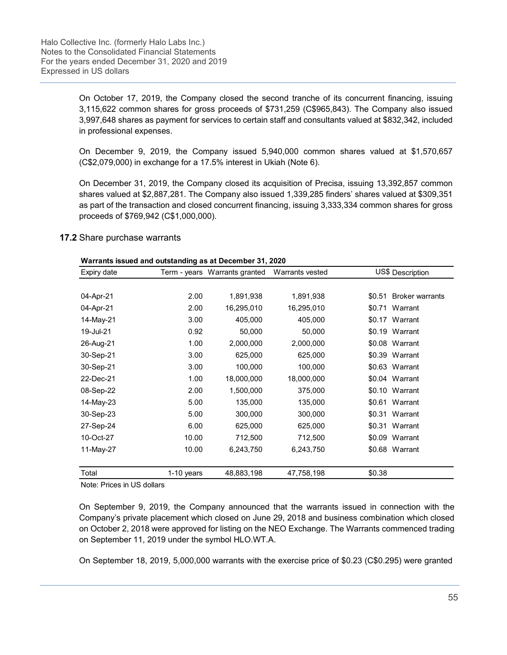On October 17, 2019, the Company closed the second tranche of its concurrent financing, issuing 3,115,622 common shares for gross proceeds of \$731,259 (C\$965,843). The Company also issued 3,997,648 shares as payment for services to certain staff and consultants valued at \$832,342, included in professional expenses.

On December 9, 2019, the Company issued 5,940,000 common shares valued at \$1,570,657 (C\$2,079,000) in exchange for a 17.5% interest in Ukiah (Note 6).

On December 31, 2019, the Company closed its acquisition of Precisa, issuing 13,392,857 common shares valued at \$2,887,281. The Company also issued 1,339,285 finders' shares valued at \$309,351 as part of the transaction and closed concurrent financing, issuing 3,333,334 common shares for gross proceeds of \$769,942 (C\$1,000,000).

## **17.2** Share purchase warrants

| Warrants issued and outstanding as at December 31, 2020 |            |                               |                 |                                  |  |  |  |
|---------------------------------------------------------|------------|-------------------------------|-----------------|----------------------------------|--|--|--|
| Expiry date                                             |            | Term - years Warrants granted | Warrants vested | US\$ Description                 |  |  |  |
|                                                         |            |                               |                 |                                  |  |  |  |
| 04-Apr-21                                               | 2.00       | 1,891,938                     | 1,891,938       | \$0.51<br><b>Broker warrants</b> |  |  |  |
| 04-Apr-21                                               | 2.00       | 16,295,010                    | 16,295,010      | Warrant<br>\$0.71                |  |  |  |
| 14-May-21                                               | 3.00       | 405,000                       | 405,000         | Warrant<br>\$0.17                |  |  |  |
| 19-Jul-21                                               | 0.92       | 50,000                        | 50,000          | \$0.19<br>Warrant                |  |  |  |
| 26-Aug-21                                               | 1.00       | 2,000,000                     | 2,000,000       | \$0.08 Warrant                   |  |  |  |
| 30-Sep-21                                               | 3.00       | 625,000                       | 625,000         | \$0.39 Warrant                   |  |  |  |
| 30-Sep-21                                               | 3.00       | 100,000                       | 100,000         | \$0.63 Warrant                   |  |  |  |
| 22-Dec-21                                               | 1.00       | 18,000,000                    | 18,000,000      | \$0.04 Warrant                   |  |  |  |
| 08-Sep-22                                               | 2.00       | 1,500,000                     | 375,000         | \$0.10 Warrant                   |  |  |  |
| 14-May-23                                               | 5.00       | 135,000                       | 135,000         | \$0.61<br>Warrant                |  |  |  |
| 30-Sep-23                                               | 5.00       | 300,000                       | 300,000         | \$0.31<br>Warrant                |  |  |  |
| 27-Sep-24                                               | 6.00       | 625,000                       | 625,000         | \$0.31<br>Warrant                |  |  |  |
| 10-Oct-27                                               | 10.00      | 712,500                       | 712,500         | \$0.09<br>Warrant                |  |  |  |
| 11-May-27                                               | 10.00      | 6,243,750                     | 6,243,750       | \$0.68 Warrant                   |  |  |  |
| Total                                                   | 1-10 years | 48,883,198                    | 47,758,198      | \$0.38                           |  |  |  |
|                                                         |            |                               |                 |                                  |  |  |  |

**Warrants issued and outstanding as at December 31, 2020**

Note: Prices in US dollars

On September 9, 2019, the Company announced that the warrants issued in connection with the Company's private placement which closed on June 29, 2018 and business combination which closed on October 2, 2018 were approved for listing on the NEO Exchange. The Warrants commenced trading on September 11, 2019 under the symbol HLO.WT.A.

On September 18, 2019, 5,000,000 warrants with the exercise price of \$0.23 (C\$0.295) were granted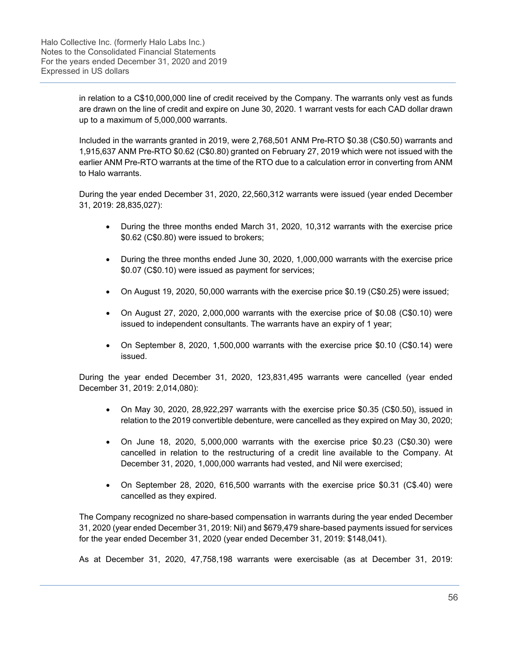in relation to a C\$10,000,000 line of credit received by the Company. The warrants only vest as funds are drawn on the line of credit and expire on June 30, 2020. 1 warrant vests for each CAD dollar drawn up to a maximum of 5,000,000 warrants.

Included in the warrants granted in 2019, were 2,768,501 ANM Pre-RTO \$0.38 (C\$0.50) warrants and 1,915,637 ANM Pre-RTO \$0.62 (C\$0.80) granted on February 27, 2019 which were not issued with the earlier ANM Pre-RTO warrants at the time of the RTO due to a calculation error in converting from ANM to Halo warrants.

During the year ended December 31, 2020, 22,560,312 warrants were issued (year ended December 31, 2019: 28,835,027):

- During the three months ended March 31, 2020, 10,312 warrants with the exercise price \$0.62 (C\$0.80) were issued to brokers;
- During the three months ended June 30, 2020, 1,000,000 warrants with the exercise price \$0.07 (C\$0.10) were issued as payment for services;
- On August 19, 2020, 50,000 warrants with the exercise price \$0.19 (C\$0.25) were issued;
- On August 27, 2020, 2,000,000 warrants with the exercise price of \$0.08 (C\$0.10) were issued to independent consultants. The warrants have an expiry of 1 year;
- On September 8, 2020, 1,500,000 warrants with the exercise price \$0.10 (C\$0.14) were issued.

During the year ended December 31, 2020, 123,831,495 warrants were cancelled (year ended December 31, 2019: 2,014,080):

- On May 30, 2020, 28,922,297 warrants with the exercise price \$0.35 (C\$0.50), issued in relation to the 2019 convertible debenture, were cancelled as they expired on May 30, 2020;
- On June 18, 2020, 5,000,000 warrants with the exercise price \$0.23 (C\$0.30) were cancelled in relation to the restructuring of a credit line available to the Company. At December 31, 2020, 1,000,000 warrants had vested, and Nil were exercised;
- On September 28, 2020, 616,500 warrants with the exercise price \$0.31 (C\$.40) were cancelled as they expired.

The Company recognized no share-based compensation in warrants during the year ended December 31, 2020 (year ended December 31, 2019: Nil) and \$679,479 share-based payments issued for services for the year ended December 31, 2020 (year ended December 31, 2019: \$148,041).

As at December 31, 2020, 47,758,198 warrants were exercisable (as at December 31, 2019: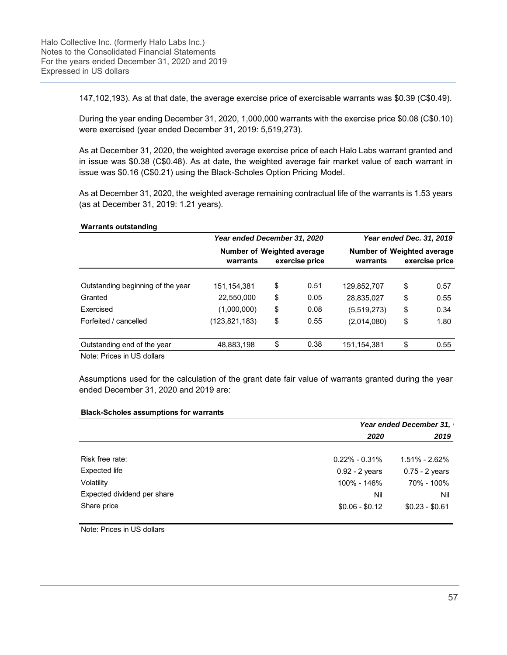147,102,193). As at that date, the average exercise price of exercisable warrants was \$0.39 (C\$0.49).

During the year ending December 31, 2020, 1,000,000 warrants with the exercise price \$0.08 (C\$0.10) were exercised (year ended December 31, 2019: 5,519,273).

As at December 31, 2020, the weighted average exercise price of each Halo Labs warrant granted and in issue was \$0.38 (C\$0.48). As at date, the weighted average fair market value of each warrant in issue was \$0.16 (C\$0.21) using the Black-Scholes Option Pricing Model.

As at December 31, 2020, the weighted average remaining contractual life of the warrants is 1.53 years (as at December 31, 2019: 1.21 years).

|                                   | Year ended December 31, 2020                                    |    | <b>Year ended Dec. 31, 2019</b> |                                                          |    |      |  |
|-----------------------------------|-----------------------------------------------------------------|----|---------------------------------|----------------------------------------------------------|----|------|--|
|                                   | <b>Number of Weighted average</b><br>exercise price<br>warrants |    |                                 | Number of Weighted average<br>exercise price<br>warrants |    |      |  |
|                                   |                                                                 |    |                                 |                                                          |    |      |  |
| Outstanding beginning of the year | 151, 154, 381                                                   | \$ | 0.51                            | 129,852,707                                              | \$ | 0.57 |  |
| Granted                           | 22,550,000                                                      | \$ | 0.05                            | 28,835,027                                               | \$ | 0.55 |  |
| Exercised                         | (1,000,000)                                                     | \$ | 0.08                            | (5.519.273)                                              | \$ | 0.34 |  |
| Forfeited / cancelled             | (123, 821, 183)                                                 | \$ | 0.55                            | (2,014,080)                                              | \$ | 1.80 |  |
| Outstanding end of the year       | 48,883,198                                                      | \$ | 0.38                            | 151,154,381                                              | \$ | 0.55 |  |

Note: Prices in US dollars

**Warrants outstanding**

Assumptions used for the calculation of the grant date fair value of warrants granted during the year ended December 31, 2020 and 2019 are:

#### **Black-Scholes assumptions for warrants**

|                             | Year ended December 31, |                   |  |  |
|-----------------------------|-------------------------|-------------------|--|--|
|                             | 2020                    | 2019              |  |  |
| Risk free rate:             | $0.22\% - 0.31\%$       | $1.51\% - 2.62\%$ |  |  |
| Expected life               | $0.92 - 2$ years        | $0.75 - 2$ years  |  |  |
| Volatility                  | 100% - 146%             | 70% - 100%        |  |  |
| Expected dividend per share | Nil                     | Nil               |  |  |
| Share price                 | $$0.06 - $0.12$         | $$0.23 - $0.61$   |  |  |

Note: Prices in US dollars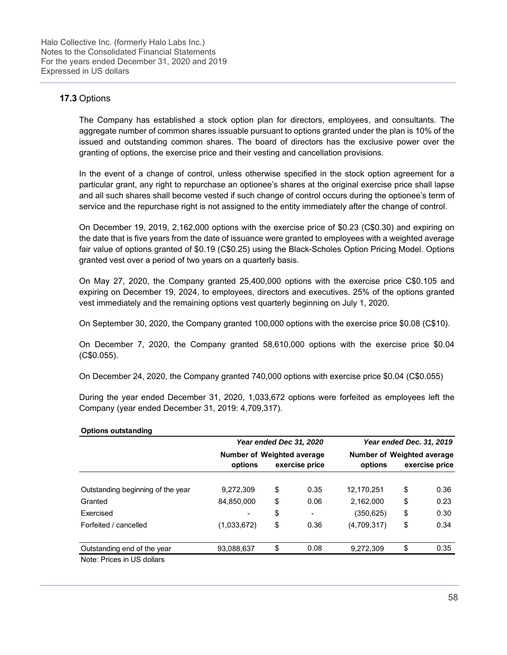# **17.3** Options

The Company has established a stock option plan for directors, employees, and consultants. The aggregate number of common shares issuable pursuant to options granted under the plan is 10% of the issued and outstanding common shares. The board of directors has the exclusive power over the granting of options, the exercise price and their vesting and cancellation provisions.

In the event of a change of control, unless otherwise specified in the stock option agreement for a particular grant, any right to repurchase an optionee's shares at the original exercise price shall lapse and all such shares shall become vested if such change of control occurs during the optionee's term of service and the repurchase right is not assigned to the entity immediately after the change of control.

On December 19, 2019, 2,162,000 options with the exercise price of \$0.23 (C\$0.30) and expiring on the date that is five years from the date of issuance were granted to employees with a weighted average fair value of options granted of \$0.19 (C\$0.25) using the Black-Scholes Option Pricing Model. Options granted vest over a period of two years on a quarterly basis.

On May 27, 2020, the Company granted 25,400,000 options with the exercise price C\$0.105 and expiring on December 19, 2024, to employees, directors and executives. 25% of the options granted vest immediately and the remaining options vest quarterly beginning on July 1, 2020.

On September 30, 2020, the Company granted 100,000 options with the exercise price \$0.08 (C\$10).

On December 7, 2020, the Company granted 58,610,000 options with the exercise price \$0.04 (C\$0.055).

On December 24, 2020, the Company granted 740,000 options with exercise price \$0.04 (C\$0.055)

During the year ended December 31, 2020, 1,033,672 options were forfeited as employees left the Company (year ended December 31, 2019: 4,709,317).

|             |    |                                                         | <b>Year ended Dec. 31, 2019</b>                                         |    |      |  |
|-------------|----|---------------------------------------------------------|-------------------------------------------------------------------------|----|------|--|
| options     |    | Number of Weighted average<br>exercise price<br>options |                                                                         |    |      |  |
| 9,272,309   | \$ | 0.35                                                    | 12,170,251                                                              | \$ | 0.36 |  |
| 84,850,000  | \$ | 0.06                                                    | 2,162,000                                                               | \$ | 0.23 |  |
| $\,$        | \$ | $\blacksquare$                                          | (350, 625)                                                              | \$ | 0.30 |  |
| (1,033,672) | \$ | 0.36                                                    | (4,709,317)                                                             | \$ | 0.34 |  |
| 93,088,637  | \$ | 0.08                                                    | 9,272,309                                                               | \$ | 0.35 |  |
|             |    |                                                         | Year ended Dec 31, 2020<br>Number of Weighted average<br>exercise price |    |      |  |

#### **Options outstanding**

Note: Prices in US dollars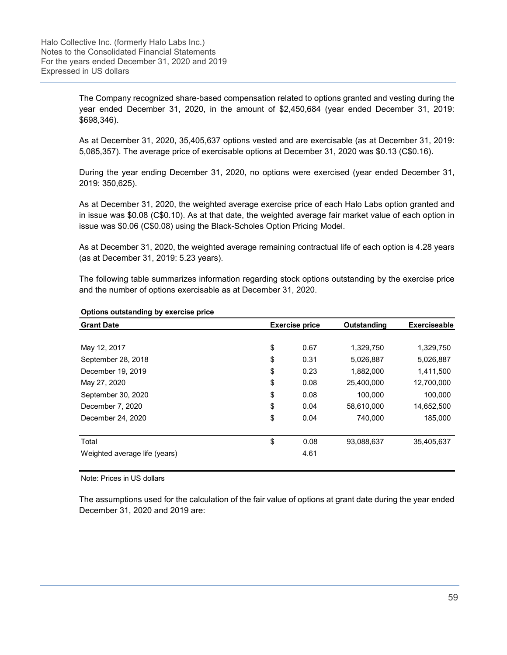The Company recognized share-based compensation related to options granted and vesting during the year ended December 31, 2020, in the amount of \$2,450,684 (year ended December 31, 2019: \$698,346).

As at December 31, 2020, 35,405,637 options vested and are exercisable (as at December 31, 2019: 5,085,357). The average price of exercisable options at December 31, 2020 was \$0.13 (C\$0.16).

During the year ending December 31, 2020, no options were exercised (year ended December 31, 2019: 350,625).

As at December 31, 2020, the weighted average exercise price of each Halo Labs option granted and in issue was \$0.08 (C\$0.10). As at that date, the weighted average fair market value of each option in issue was \$0.06 (C\$0.08) using the Black-Scholes Option Pricing Model.

As at December 31, 2020, the weighted average remaining contractual life of each option is 4.28 years (as at December 31, 2019: 5.23 years).

The following table summarizes information regarding stock options outstanding by the exercise price and the number of options exercisable as at December 31, 2020.

| <b>Grant Date</b>             | <b>Exercise price</b> | Outstanding | <b>Exerciseable</b> |
|-------------------------------|-----------------------|-------------|---------------------|
|                               |                       |             |                     |
| May 12, 2017                  | \$<br>0.67            | 1,329,750   | 1,329,750           |
| September 28, 2018            | \$<br>0.31            | 5,026,887   | 5,026,887           |
| December 19, 2019             | \$<br>0.23            | 1.882.000   | 1,411,500           |
| May 27, 2020                  | \$<br>0.08            | 25,400,000  | 12,700,000          |
| September 30, 2020            | \$<br>0.08            | 100.000     | 100,000             |
| December 7, 2020              | \$<br>0.04            | 58,610,000  | 14,652,500          |
| December 24, 2020             | \$<br>0.04            | 740.000     | 185.000             |
| Total                         | \$<br>0.08            | 93,088,637  | 35,405,637          |
| Weighted average life (years) | 4.61                  |             |                     |

### **Options outstanding by exercise price**

Note: Prices in US dollars

The assumptions used for the calculation of the fair value of options at grant date during the year ended December 31, 2020 and 2019 are: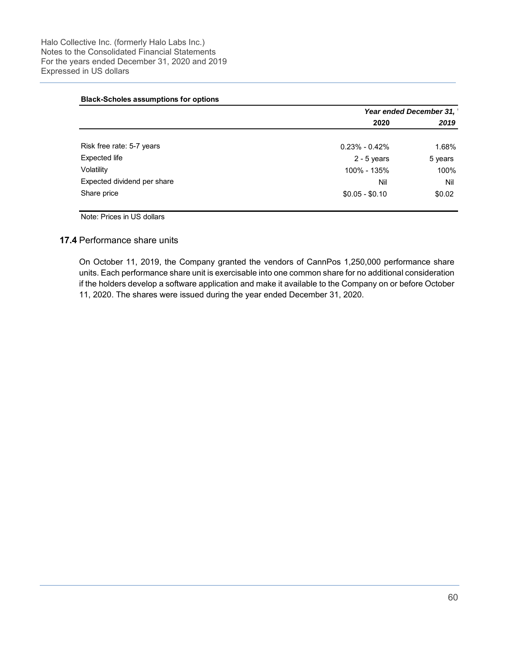### **Black-Scholes assumptions for options**

|                             | Year ended December 31, |         |  |  |
|-----------------------------|-------------------------|---------|--|--|
|                             | 2020                    | 2019    |  |  |
| Risk free rate: 5-7 years   | $0.23\% - 0.42\%$       | 1.68%   |  |  |
| Expected life               | $2 - 5$ years           | 5 years |  |  |
| Volatility                  | 100% - 135%             | 100%    |  |  |
| Expected dividend per share | Nil                     | Nil     |  |  |
| Share price                 | $$0.05 - $0.10$         | \$0.02  |  |  |

Note: Prices in US dollars

## **17.4** Performance share units

On October 11, 2019, the Company granted the vendors of CannPos 1,250,000 performance share units. Each performance share unit is exercisable into one common share for no additional consideration if the holders develop a software application and make it available to the Company on or before October 11, 2020. The shares were issued during the year ended December 31, 2020.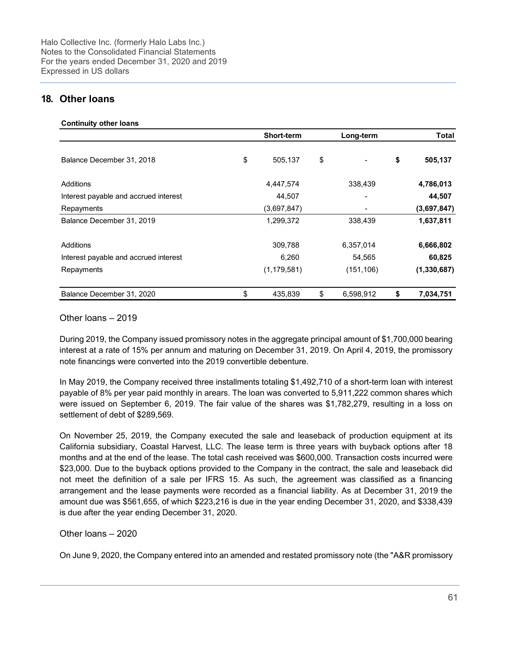# **18. Other loans**

### **Continuity other loans**

|                                       | <b>Short-term</b> | Long-term       | <b>Total</b>    |
|---------------------------------------|-------------------|-----------------|-----------------|
| Balance December 31, 2018             | \$<br>505,137     | \$              | \$<br>505,137   |
| Additions                             | 4,447,574         | 338,439         | 4,786,013       |
| Interest payable and accrued interest | 44,507            |                 | 44,507          |
| Repayments                            | (3,697,847)       |                 | (3,697,847)     |
| Balance December 31, 2019             | 1,299,372         | 338,439         | 1,637,811       |
| Additions                             | 309,788           | 6,357,014       | 6,666,802       |
| Interest payable and accrued interest | 6,260             | 54,565          | 60,825          |
| Repayments                            | (1, 179, 581)     | (151, 106)      | (1,330,687)     |
| Balance December 31, 2020             | \$<br>435,839     | \$<br>6,598,912 | \$<br>7,034,751 |

## Other loans – 2019

During 2019, the Company issued promissory notes in the aggregate principal amount of \$1,700,000 bearing interest at a rate of 15% per annum and maturing on December 31, 2019. On April 4, 2019, the promissory note financings were converted into the 2019 convertible debenture.

In May 2019, the Company received three installments totaling \$1,492,710 of a short-term loan with interest payable of 8% per year paid monthly in arears. The loan was converted to 5,911,222 common shares which were issued on September 6, 2019. The fair value of the shares was \$1,782,279, resulting in a loss on settlement of debt of \$289,569.

On November 25, 2019, the Company executed the sale and leaseback of production equipment at its California subsidiary, Coastal Harvest, LLC. The lease term is three years with buyback options after 18 months and at the end of the lease. The total cash received was \$600,000. Transaction costs incurred were \$23,000. Due to the buyback options provided to the Company in the contract, the sale and leaseback did not meet the definition of a sale per IFRS 15. As such, the agreement was classified as a financing arrangement and the lease payments were recorded as a financial liability. As at December 31, 2019 the amount due was \$561,655, of which \$223,216 is due in the year ending December 31, 2020, and \$338,439 is due after the year ending December 31, 2020.

## Other loans – 2020

On June 9, 2020, the Company entered into an amended and restated promissory note (the "A&R promissory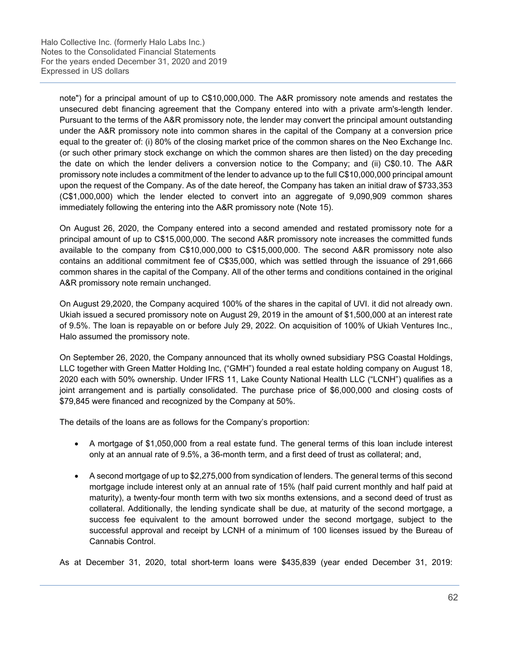note") for a principal amount of up to C\$10,000,000. The A&R promissory note amends and restates the unsecured debt financing agreement that the Company entered into with a private arm's-length lender. Pursuant to the terms of the A&R promissory note, the lender may convert the principal amount outstanding under the A&R promissory note into common shares in the capital of the Company at a conversion price equal to the greater of: (i) 80% of the closing market price of the common shares on the Neo Exchange Inc. (or such other primary stock exchange on which the common shares are then listed) on the day preceding the date on which the lender delivers a conversion notice to the Company; and (ii) C\$0.10. The A&R promissory note includes a commitment of the lender to advance up to the full C\$10,000,000 principal amount upon the request of the Company. As of the date hereof, the Company has taken an initial draw of \$733,353 (C\$1,000,000) which the lender elected to convert into an aggregate of 9,090,909 common shares immediately following the entering into the A&R promissory note (Note 15).

On August 26, 2020, the Company entered into a second amended and restated promissory note for a principal amount of up to C\$15,000,000. The second A&R promissory note increases the committed funds available to the company from C\$10,000,000 to C\$15,000,000. The second A&R promissory note also contains an additional commitment fee of C\$35,000, which was settled through the issuance of 291,666 common shares in the capital of the Company. All of the other terms and conditions contained in the original A&R promissory note remain unchanged.

On August 29,2020, the Company acquired 100% of the shares in the capital of UVI. it did not already own. Ukiah issued a secured promissory note on August 29, 2019 in the amount of \$1,500,000 at an interest rate of 9.5%. The loan is repayable on or before July 29, 2022. On acquisition of 100% of Ukiah Ventures Inc., Halo assumed the promissory note.

On September 26, 2020, the Company announced that its wholly owned subsidiary PSG Coastal Holdings, LLC together with Green Matter Holding Inc, ("GMH") founded a real estate holding company on August 18, 2020 each with 50% ownership. Under IFRS 11, Lake County National Health LLC ("LCNH") qualifies as a joint arrangement and is partially consolidated. The purchase price of \$6,000,000 and closing costs of \$79,845 were financed and recognized by the Company at 50%.

The details of the loans are as follows for the Company's proportion:

- A mortgage of \$1,050,000 from a real estate fund. The general terms of this loan include interest only at an annual rate of 9.5%, a 36-month term, and a first deed of trust as collateral; and,
- A second mortgage of up to \$2,275,000 from syndication of lenders. The general terms of this second mortgage include interest only at an annual rate of 15% (half paid current monthly and half paid at maturity), a twenty-four month term with two six months extensions, and a second deed of trust as collateral. Additionally, the lending syndicate shall be due, at maturity of the second mortgage, a success fee equivalent to the amount borrowed under the second mortgage, subject to the successful approval and receipt by LCNH of a minimum of 100 licenses issued by the Bureau of Cannabis Control.

As at December 31, 2020, total short-term loans were \$435,839 (year ended December 31, 2019: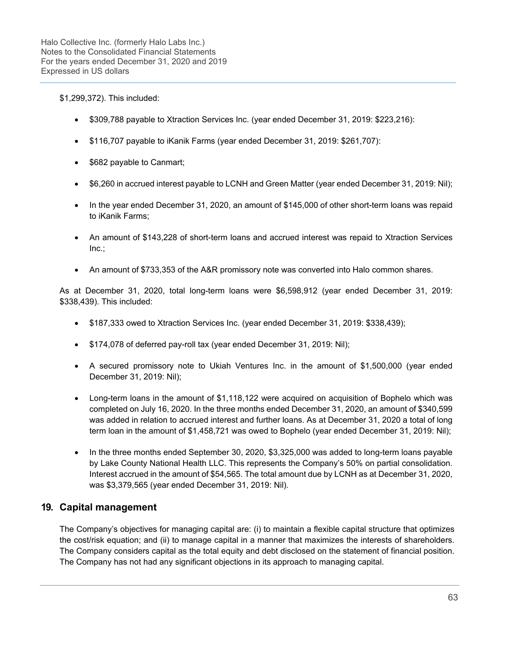\$1,299,372). This included:

- \$309,788 payable to Xtraction Services Inc. (year ended December 31, 2019: \$223,216):
- \$116,707 payable to iKanik Farms (year ended December 31, 2019: \$261,707):
- \$682 payable to Canmart;
- \$6,260 in accrued interest payable to LCNH and Green Matter (year ended December 31, 2019: Nil);
- In the year ended December 31, 2020, an amount of \$145,000 of other short-term loans was repaid to iKanik Farms;
- An amount of \$143,228 of short-term loans and accrued interest was repaid to Xtraction Services Inc.;
- An amount of \$733,353 of the A&R promissory note was converted into Halo common shares.

As at December 31, 2020, total long-term loans were \$6,598,912 (year ended December 31, 2019: \$338,439). This included:

- \$187,333 owed to Xtraction Services Inc. (year ended December 31, 2019: \$338,439);
- \$174,078 of deferred pay-roll tax (year ended December 31, 2019: Nil);
- A secured promissory note to Ukiah Ventures Inc. in the amount of \$1,500,000 (year ended December 31, 2019: Nil);
- Long-term loans in the amount of \$1,118,122 were acquired on acquisition of Bophelo which was completed on July 16, 2020. In the three months ended December 31, 2020, an amount of \$340,599 was added in relation to accrued interest and further loans. As at December 31, 2020 a total of long term loan in the amount of \$1,458,721 was owed to Bophelo (year ended December 31, 2019: Nil);
- In the three months ended September 30, 2020, \$3,325,000 was added to long-term loans payable by Lake County National Health LLC. This represents the Company's 50% on partial consolidation. Interest accrued in the amount of \$54,565. The total amount due by LCNH as at December 31, 2020, was \$3,379,565 (year ended December 31, 2019: Nil).

# **19. Capital management**

The Company's objectives for managing capital are: (i) to maintain a flexible capital structure that optimizes the cost/risk equation; and (ii) to manage capital in a manner that maximizes the interests of shareholders. The Company considers capital as the total equity and debt disclosed on the statement of financial position. The Company has not had any significant objections in its approach to managing capital.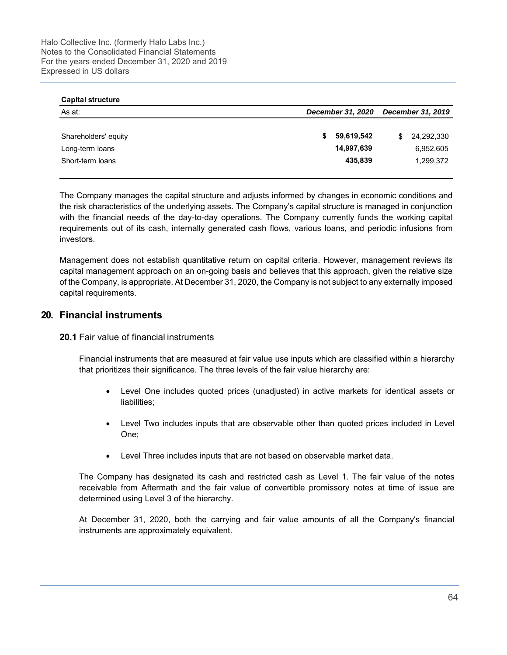### **Capital structure**

| As at:               |    | December 31, 2020 | <b>December 31, 2019</b> |            |  |
|----------------------|----|-------------------|--------------------------|------------|--|
|                      |    |                   |                          |            |  |
| Shareholders' equity | S. | 59,619,542        | S                        | 24,292,330 |  |
| Long-term loans      |    | 14,997,639        |                          | 6,952,605  |  |
| Short-term loans     |    | 435,839           |                          | 1,299,372  |  |
|                      |    |                   |                          |            |  |

The Company manages the capital structure and adjusts informed by changes in economic conditions and the risk characteristics of the underlying assets. The Company's capital structure is managed in conjunction with the financial needs of the day-to-day operations. The Company currently funds the working capital requirements out of its cash, internally generated cash flows, various loans, and periodic infusions from investors.

Management does not establish quantitative return on capital criteria. However, management reviews its capital management approach on an on-going basis and believes that this approach, given the relative size of the Company, is appropriate. At December 31, 2020, the Company is not subject to any externally imposed capital requirements.

## **20. Financial instruments**

# **20.1** Fair value of financial instruments

Financial instruments that are measured at fair value use inputs which are classified within a hierarchy that prioritizes their significance. The three levels of the fair value hierarchy are:

- Level One includes quoted prices (unadjusted) in active markets for identical assets or liabilities:
- Level Two includes inputs that are observable other than quoted prices included in Level One;
- Level Three includes inputs that are not based on observable market data.

The Company has designated its cash and restricted cash as Level 1. The fair value of the notes receivable from Aftermath and the fair value of convertible promissory notes at time of issue are determined using Level 3 of the hierarchy.

At December 31, 2020, both the carrying and fair value amounts of all the Company's financial instruments are approximately equivalent.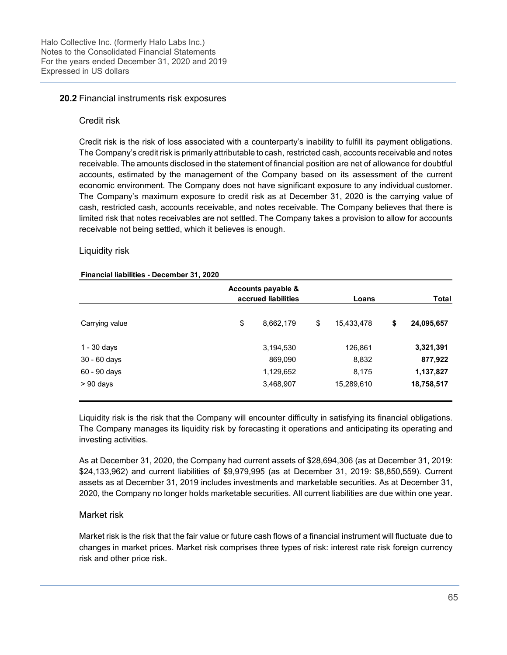## **20.2** Financial instruments risk exposures

## Credit risk

Credit risk is the risk of loss associated with a counterparty's inability to fulfill its payment obligations. The Company's credit risk is primarily attributable to cash, restricted cash, accounts receivable and notes receivable. The amounts disclosed in the statement of financial position are net of allowance for doubtful accounts, estimated by the management of the Company based on its assessment of the current economic environment. The Company does not have significant exposure to any individual customer. The Company's maximum exposure to credit risk as at December 31, 2020 is the carrying value of cash, restricted cash, accounts receivable, and notes receivable. The Company believes that there is limited risk that notes receivables are not settled. The Company takes a provision to allow for accounts receivable not being settled, which it believes is enough.

## Liquidity risk

### **Financial liabilities - December 31, 2020**

|                |    | Accounts payable &<br>accrued liabilities<br>Loans |    |            |    |            |  |  |  |  |
|----------------|----|----------------------------------------------------|----|------------|----|------------|--|--|--|--|
| Carrying value | \$ | 8,662,179                                          | \$ | 15,433,478 | \$ | 24,095,657 |  |  |  |  |
| 1 - 30 days    |    | 3,194,530                                          |    | 126,861    |    | 3,321,391  |  |  |  |  |
| $30 - 60$ days |    | 869,090                                            |    | 8,832      |    | 877,922    |  |  |  |  |
| 60 - 90 days   |    | 1,129,652                                          |    | 8,175      |    | 1,137,827  |  |  |  |  |
| $> 90$ days    |    | 3,468,907                                          |    | 15,289,610 |    | 18,758,517 |  |  |  |  |

Liquidity risk is the risk that the Company will encounter difficulty in satisfying its financial obligations. The Company manages its liquidity risk by forecasting it operations and anticipating its operating and investing activities.

As at December 31, 2020, the Company had current assets of \$28,694,306 (as at December 31, 2019: \$24,133,962) and current liabilities of \$9,979,995 (as at December 31, 2019: \$8,850,559). Current assets as at December 31, 2019 includes investments and marketable securities. As at December 31, 2020, the Company no longer holds marketable securities. All current liabilities are due within one year.

## Market risk

Market risk is the risk that the fair value or future cash flows of a financial instrument will fluctuate due to changes in market prices. Market risk comprises three types of risk: interest rate risk foreign currency risk and other price risk.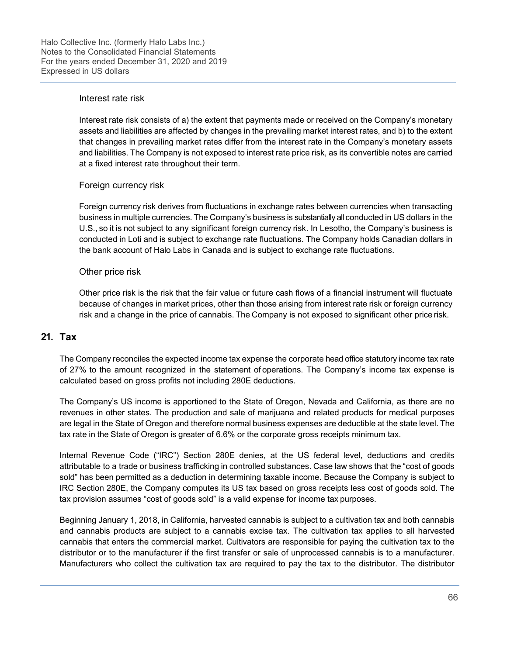## Interest rate risk

Interest rate risk consists of a) the extent that payments made or received on the Company's monetary assets and liabilities are affected by changes in the prevailing market interest rates, and b) to the extent that changes in prevailing market rates differ from the interest rate in the Company's monetary assets and liabilities. The Company is not exposed to interest rate price risk, as its convertible notes are carried at a fixed interest rate throughout their term.

## Foreign currency risk

Foreign currency risk derives from fluctuations in exchange rates between currencies when transacting business in multiple currencies. The Company's business is substantially all conducted in US dollars in the U.S., so it is not subject to any significant foreign currency risk. In Lesotho, the Company's business is conducted in Loti and is subject to exchange rate fluctuations. The Company holds Canadian dollars in the bank account of Halo Labs in Canada and is subject to exchange rate fluctuations.

## Other price risk

Other price risk is the risk that the fair value or future cash flows of a financial instrument will fluctuate because of changes in market prices, other than those arising from interest rate risk or foreign currency risk and a change in the price of cannabis. The Company is not exposed to significant other price risk.

# **21. Tax**

The Company reconciles the expected income tax expense the corporate head office statutory income tax rate of 27% to the amount recognized in the statement of operations. The Company's income tax expense is calculated based on gross profits not including 280E deductions.

The Company's US income is apportioned to the State of Oregon, Nevada and California, as there are no revenues in other states. The production and sale of marijuana and related products for medical purposes are legal in the State of Oregon and therefore normal business expenses are deductible at the state level. The tax rate in the State of Oregon is greater of 6.6% or the corporate gross receipts minimum tax.

Internal Revenue Code ("IRC") Section 280E denies, at the US federal level, deductions and credits attributable to a trade or business trafficking in controlled substances. Case law shows that the "cost of goods sold" has been permitted as a deduction in determining taxable income. Because the Company is subject to IRC Section 280E, the Company computes its US tax based on gross receipts less cost of goods sold. The tax provision assumes "cost of goods sold" is a valid expense for income tax purposes.

Beginning January 1, 2018, in California, harvested cannabis is subject to a cultivation tax and both cannabis and cannabis products are subject to a cannabis excise tax. The cultivation tax applies to all harvested cannabis that enters the commercial market. Cultivators are responsible for paying the cultivation tax to the distributor or to the manufacturer if the first transfer or sale of unprocessed cannabis is to a manufacturer. Manufacturers who collect the cultivation tax are required to pay the tax to the distributor. The distributor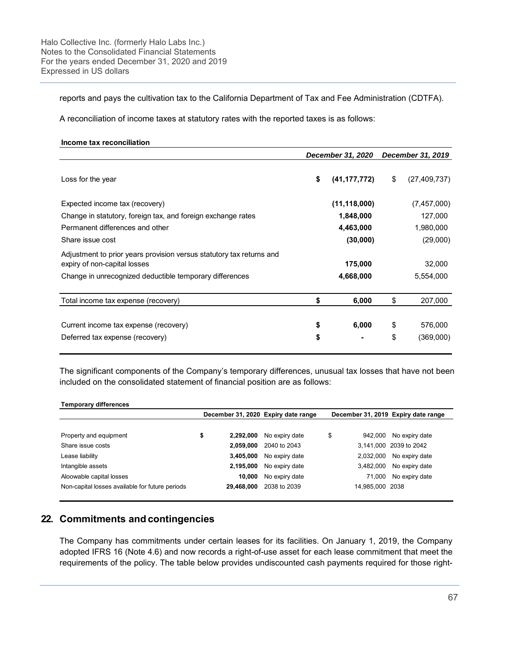reports and pays the cultivation tax to the California Department of Tax and Fee Administration (CDTFA).

A reconciliation of income taxes at statutory rates with the reported taxes is as follows:

**Income tax reconciliation**

|                                                                                                      | December 31, 2020 |                | December 31, 2019    |
|------------------------------------------------------------------------------------------------------|-------------------|----------------|----------------------|
| Loss for the year                                                                                    | \$                | (41, 177, 772) | \$<br>(27, 409, 737) |
| Expected income tax (recovery)                                                                       |                   | (11, 118, 000) | (7,457,000)          |
| Change in statutory, foreign tax, and foreign exchange rates                                         |                   | 1,848,000      | 127,000              |
| Permanent differences and other                                                                      |                   | 4,463,000      | 1,980,000            |
| Share issue cost                                                                                     |                   | (30,000)       | (29,000)             |
| Adjustment to prior years provision versus statutory tax returns and<br>expiry of non-capital losses |                   | 175,000        | 32,000               |
| Change in unrecognized deductible temporary differences                                              |                   | 4,668,000      | 5,554,000            |
| Total income tax expense (recovery)                                                                  | \$                | 6,000          | \$<br>207,000        |
| Current income tax expense (recovery)                                                                | \$                | 6,000          | \$<br>576,000        |
| Deferred tax expense (recovery)                                                                      | \$                |                | \$<br>(369,000)      |

The significant components of the Company's temporary differences, unusual tax losses that have not been included on the consolidated statement of financial position are as follows:

| <b>Temporary differences</b>                    |                 |                                     |                 |                                     |
|-------------------------------------------------|-----------------|-------------------------------------|-----------------|-------------------------------------|
|                                                 |                 | December 31, 2020 Expiry date range |                 | December 31, 2019 Expiry date range |
|                                                 |                 |                                     |                 |                                     |
| Property and equipment                          | \$<br>2.292.000 | No expiry date                      | \$<br>942.000   | No expiry date                      |
| Share issue costs                               | 2,059,000       | 2040 to 2043                        |                 | 3,141,000 2039 to 2042              |
| Lease liability                                 | 3.405.000       | No expiry date                      | 2,032,000       | No expiry date                      |
| Intangible assets                               | 2.195.000       | No expiry date                      | 3.482.000       | No expiry date                      |
| Aloowable capital losses                        | 10.000          | No expiry date                      | 71.000          | No expiry date                      |
| Non-capital losses available for future periods | 29.468.000      | 2038 to 2039                        | 14.985.000 2038 |                                     |

# **22. Commitments and contingencies**

The Company has commitments under certain leases for its facilities. On January 1, 2019, the Company adopted IFRS 16 (Note 4.6) and now records a right-of-use asset for each lease commitment that meet the requirements of the policy. The table below provides undiscounted cash payments required for those right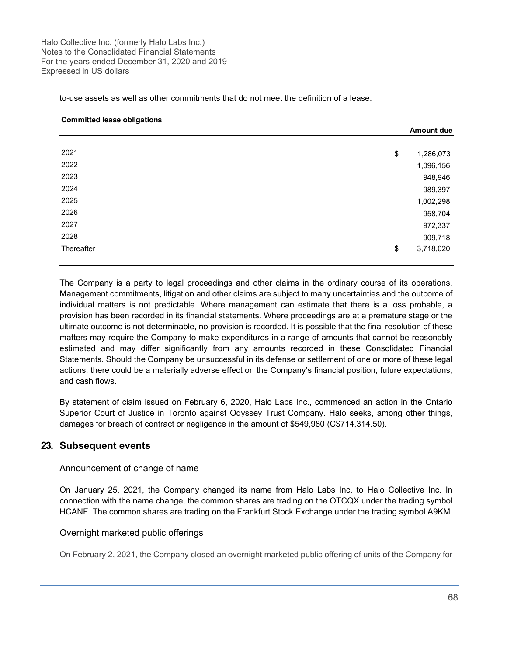to-use assets as well as other commitments that do not meet the definition of a lease.

### **Committed lease obligations**

|            | Amount due      |
|------------|-----------------|
| 2021       | \$<br>1,286,073 |
| 2022       | 1,096,156       |
| 2023       | 948,946         |
| 2024       | 989,397         |
| 2025       | 1,002,298       |
| 2026       | 958,704         |
| 2027       | 972,337         |
| 2028       | 909,718         |
| Thereafter | \$<br>3,718,020 |

The Company is a party to legal proceedings and other claims in the ordinary course of its operations. Management commitments, litigation and other claims are subject to many uncertainties and the outcome of individual matters is not predictable. Where management can estimate that there is a loss probable, a provision has been recorded in its financial statements. Where proceedings are at a premature stage or the ultimate outcome is not determinable, no provision is recorded. It is possible that the final resolution of these matters may require the Company to make expenditures in a range of amounts that cannot be reasonably estimated and may differ significantly from any amounts recorded in these Consolidated Financial Statements. Should the Company be unsuccessful in its defense or settlement of one or more of these legal actions, there could be a materially adverse effect on the Company's financial position, future expectations, and cash flows.

By statement of claim issued on February 6, 2020, Halo Labs Inc., commenced an action in the Ontario Superior Court of Justice in Toronto against Odyssey Trust Company. Halo seeks, among other things, damages for breach of contract or negligence in the amount of \$549,980 (C\$714,314.50).

# **23. Subsequent events**

## Announcement of change of name

On January 25, 2021, the Company changed its name from Halo Labs Inc. to Halo Collective Inc. In connection with the name change, the common shares are trading on the OTCQX under the trading symbol HCANF. The common shares are trading on the Frankfurt Stock Exchange under the trading symbol A9KM.

## Overnight marketed public offerings

On February 2, 2021, the Company closed an overnight marketed public offering of units of the Company for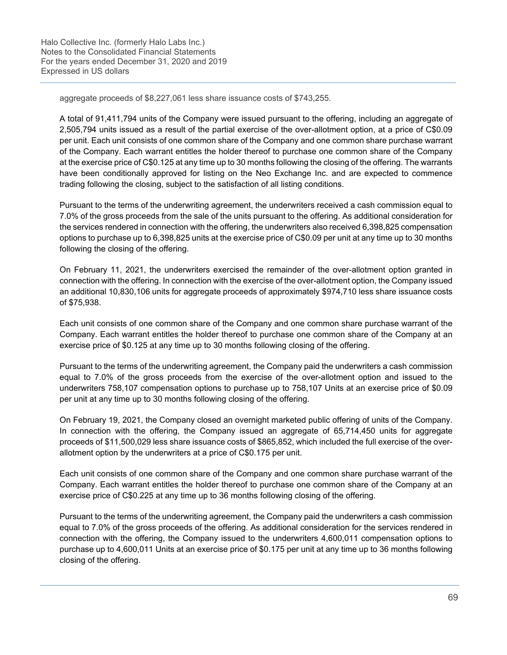aggregate proceeds of \$8,227,061 less share issuance costs of \$743,255.

A total of 91,411,794 units of the Company were issued pursuant to the offering, including an aggregate of 2,505,794 units issued as a result of the partial exercise of the over-allotment option, at a price of C\$0.09 per unit. Each unit consists of one common share of the Company and one common share purchase warrant of the Company. Each warrant entitles the holder thereof to purchase one common share of the Company at the exercise price of C\$0.125 at any time up to 30 months following the closing of the offering. The warrants have been conditionally approved for listing on the Neo Exchange Inc. and are expected to commence trading following the closing, subject to the satisfaction of all listing conditions.

Pursuant to the terms of the underwriting agreement, the underwriters received a cash commission equal to 7.0% of the gross proceeds from the sale of the units pursuant to the offering. As additional consideration for the services rendered in connection with the offering, the underwriters also received 6,398,825 compensation options to purchase up to 6,398,825 units at the exercise price of C\$0.09 per unit at any time up to 30 months following the closing of the offering.

On February 11, 2021, the underwriters exercised the remainder of the over-allotment option granted in connection with the offering. In connection with the exercise of the over-allotment option, the Company issued an additional 10,830,106 units for aggregate proceeds of approximately \$974,710 less share issuance costs of \$75,938.

Each unit consists of one common share of the Company and one common share purchase warrant of the Company. Each warrant entitles the holder thereof to purchase one common share of the Company at an exercise price of \$0.125 at any time up to 30 months following closing of the offering.

Pursuant to the terms of the underwriting agreement, the Company paid the underwriters a cash commission equal to 7.0% of the gross proceeds from the exercise of the over-allotment option and issued to the underwriters 758,107 compensation options to purchase up to 758,107 Units at an exercise price of \$0.09 per unit at any time up to 30 months following closing of the offering.

On February 19, 2021, the Company closed an overnight marketed public offering of units of the Company. In connection with the offering, the Company issued an aggregate of 65,714,450 units for aggregate proceeds of \$11,500,029 less share issuance costs of \$865,852, which included the full exercise of the overallotment option by the underwriters at a price of C\$0.175 per unit.

Each unit consists of one common share of the Company and one common share purchase warrant of the Company. Each warrant entitles the holder thereof to purchase one common share of the Company at an exercise price of C\$0.225 at any time up to 36 months following closing of the offering.

Pursuant to the terms of the underwriting agreement, the Company paid the underwriters a cash commission equal to 7.0% of the gross proceeds of the offering. As additional consideration for the services rendered in connection with the offering, the Company issued to the underwriters 4,600,011 compensation options to purchase up to 4,600,011 Units at an exercise price of \$0.175 per unit at any time up to 36 months following closing of the offering.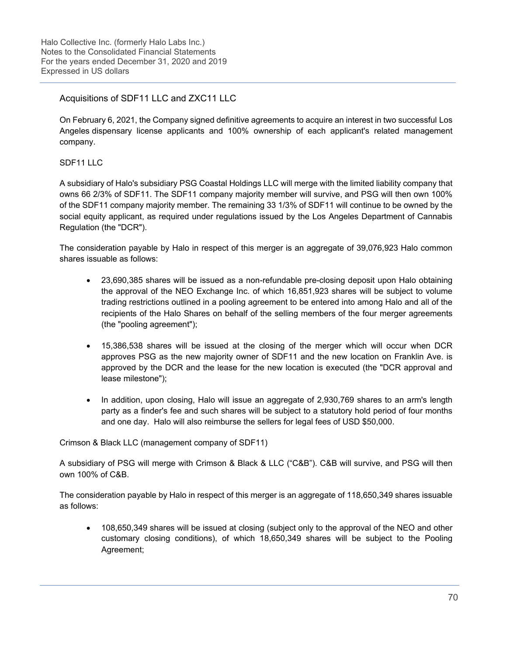# Acquisitions of SDF11 LLC and ZXC11 LLC

On February 6, 2021, the Company signed definitive agreements to acquire an interest in two successful Los Angeles dispensary license applicants and 100% ownership of each applicant's related management company.

SDF11 LLC

A subsidiary of Halo's subsidiary PSG Coastal Holdings LLC will merge with the limited liability company that owns 66 2/3% of SDF11. The SDF11 company majority member will survive, and PSG will then own 100% of the SDF11 company majority member. The remaining 33 1/3% of SDF11 will continue to be owned by the social equity applicant, as required under regulations issued by the Los Angeles Department of Cannabis Regulation (the "DCR").

The consideration payable by Halo in respect of this merger is an aggregate of 39,076,923 Halo common shares issuable as follows:

- 23,690,385 shares will be issued as a non-refundable pre-closing deposit upon Halo obtaining the approval of the NEO Exchange Inc. of which 16,851,923 shares will be subject to volume trading restrictions outlined in a pooling agreement to be entered into among Halo and all of the recipients of the Halo Shares on behalf of the selling members of the four merger agreements (the "pooling agreement");
- 15,386,538 shares will be issued at the closing of the merger which will occur when DCR approves PSG as the new majority owner of SDF11 and the new location on Franklin Ave. is approved by the DCR and the lease for the new location is executed (the "DCR approval and lease milestone");
- In addition, upon closing, Halo will issue an aggregate of 2,930,769 shares to an arm's length party as a finder's fee and such shares will be subject to a statutory hold period of four months and one day. Halo will also reimburse the sellers for legal fees of USD \$50,000.

Crimson & Black LLC (management company of SDF11)

A subsidiary of PSG will merge with Crimson & Black & LLC ("C&B"). C&B will survive, and PSG will then own 100% of C&B.

The consideration payable by Halo in respect of this merger is an aggregate of 118,650,349 shares issuable as follows:

 108,650,349 shares will be issued at closing (subject only to the approval of the NEO and other customary closing conditions), of which 18,650,349 shares will be subject to the Pooling Agreement;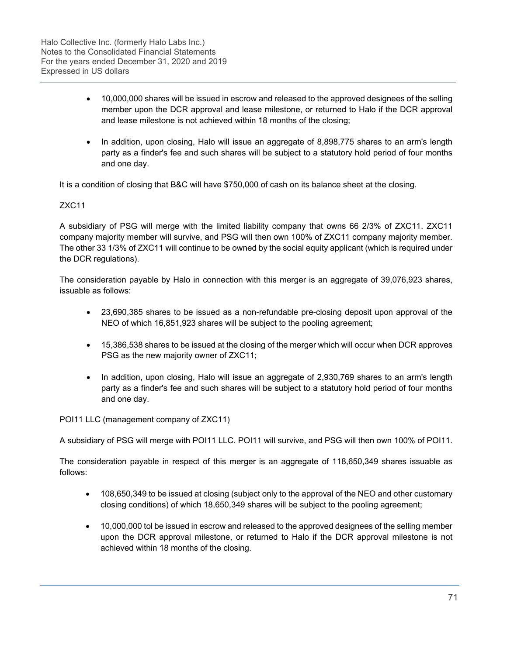- 10,000,000 shares will be issued in escrow and released to the approved designees of the selling member upon the DCR approval and lease milestone, or returned to Halo if the DCR approval and lease milestone is not achieved within 18 months of the closing;
- In addition, upon closing, Halo will issue an aggregate of 8,898,775 shares to an arm's length party as a finder's fee and such shares will be subject to a statutory hold period of four months and one day.

It is a condition of closing that B&C will have \$750,000 of cash on its balance sheet at the closing.

# ZXC11

A subsidiary of PSG will merge with the limited liability company that owns 66 2/3% of ZXC11. ZXC11 company majority member will survive, and PSG will then own 100% of ZXC11 company majority member. The other 33 1/3% of ZXC11 will continue to be owned by the social equity applicant (which is required under the DCR regulations).

The consideration payable by Halo in connection with this merger is an aggregate of 39,076,923 shares, issuable as follows:

- 23,690,385 shares to be issued as a non-refundable pre-closing deposit upon approval of the NEO of which 16,851,923 shares will be subject to the pooling agreement;
- 15,386,538 shares to be issued at the closing of the merger which will occur when DCR approves PSG as the new majority owner of ZXC11;
- In addition, upon closing, Halo will issue an aggregate of 2,930,769 shares to an arm's length party as a finder's fee and such shares will be subject to a statutory hold period of four months and one day.

POI11 LLC (management company of ZXC11)

A subsidiary of PSG will merge with POI11 LLC. POI11 will survive, and PSG will then own 100% of POI11.

The consideration payable in respect of this merger is an aggregate of 118,650,349 shares issuable as follows:

- 108,650,349 to be issued at closing (subject only to the approval of the NEO and other customary closing conditions) of which 18,650,349 shares will be subject to the pooling agreement;
- 10,000,000 tol be issued in escrow and released to the approved designees of the selling member upon the DCR approval milestone, or returned to Halo if the DCR approval milestone is not achieved within 18 months of the closing.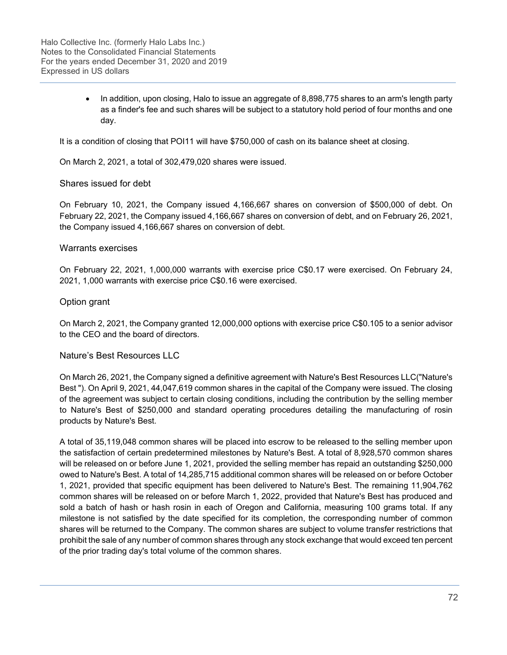> In addition, upon closing, Halo to issue an aggregate of 8,898,775 shares to an arm's length party as a finder's fee and such shares will be subject to a statutory hold period of four months and one day.

It is a condition of closing that POI11 will have \$750,000 of cash on its balance sheet at closing.

On March 2, 2021, a total of 302,479,020 shares were issued.

### Shares issued for debt

On February 10, 2021, the Company issued 4,166,667 shares on conversion of \$500,000 of debt. On February 22, 2021, the Company issued 4,166,667 shares on conversion of debt, and on February 26, 2021, the Company issued 4,166,667 shares on conversion of debt.

### Warrants exercises

On February 22, 2021, 1,000,000 warrants with exercise price C\$0.17 were exercised. On February 24, 2021, 1,000 warrants with exercise price C\$0.16 were exercised.

### Option grant

On March 2, 2021, the Company granted 12,000,000 options with exercise price C\$0.105 to a senior advisor to the CEO and the board of directors.

## Nature's Best Resources LLC

On March 26, 2021, the Company signed a definitive agreement with Nature's Best Resources LLC("Nature's Best "). On April 9, 2021, 44,047,619 common shares in the capital of the Company were issued. The closing of the agreement was subject to certain closing conditions, including the contribution by the selling member to Nature's Best of \$250,000 and standard operating procedures detailing the manufacturing of rosin products by Nature's Best.

A total of 35,119,048 common shares will be placed into escrow to be released to the selling member upon the satisfaction of certain predetermined milestones by Nature's Best. A total of 8,928,570 common shares will be released on or before June 1, 2021, provided the selling member has repaid an outstanding \$250,000 owed to Nature's Best. A total of 14,285,715 additional common shares will be released on or before October 1, 2021, provided that specific equipment has been delivered to Nature's Best. The remaining 11,904,762 common shares will be released on or before March 1, 2022, provided that Nature's Best has produced and sold a batch of hash or hash rosin in each of Oregon and California, measuring 100 grams total. If any milestone is not satisfied by the date specified for its completion, the corresponding number of common shares will be returned to the Company. The common shares are subject to volume transfer restrictions that prohibit the sale of any number of common shares through any stock exchange that would exceed ten percent of the prior trading day's total volume of the common shares.